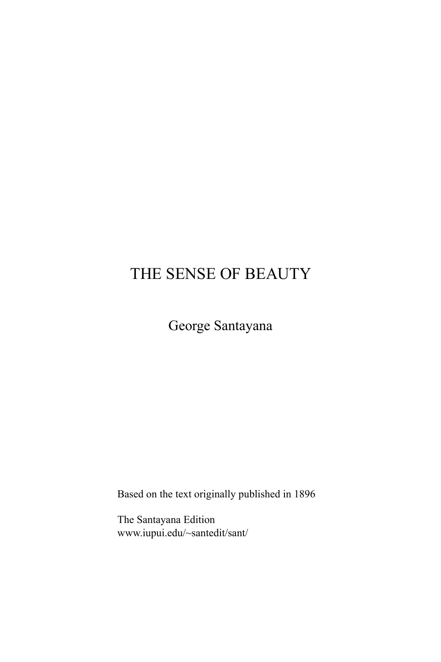# THE SENSE OF BEAUTY

George Santayana

Based on the text originally published in 1896

The Santayana Edition www.iupui.edu/~santedit/sant/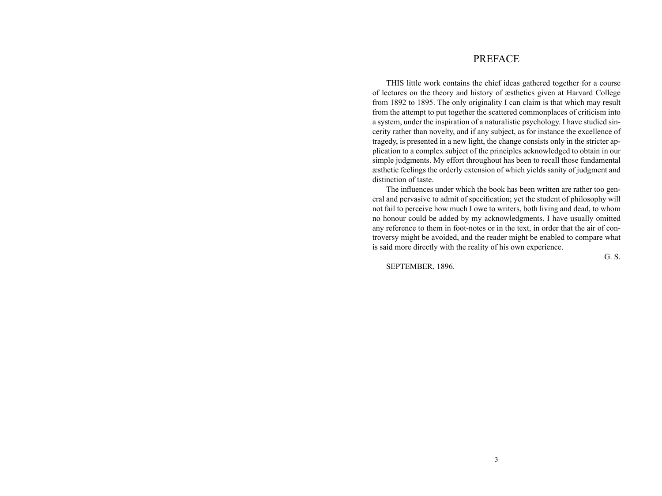# PREFACE

THIS little work contains the chief ideas gathered together for a course of lectures on the theory and history of æsthetics given at Harvard College from 1892 to 1895. The only originality I can claim is that which may result from the attempt to put together the scattered commonplaces of criticism into a system, under the inspiration of a naturalistic psychology. I have studied sincerity rather than novelty, and if any subject, as for instance the excellence of tragedy, is presented in a new light, the change consists only in the stricter application to a complex subject of the principles acknowledged to obtain in our simple judgments. My effort throughout has been to recall those fundamental æsthetic feelings the orderly extension of which yields sanity of judgment and distinction of taste.

The influences under which the book has been written are rather too general and pervasive to admit of specification; yet the student of philosophy will not fail to perceive how much I owe to writers, both living and dead, to whom no honour could be added by my acknowledgments. I have usually omitted any reference to them in foot-notes or in the text, in order that the air of controversy might be avoided, and the reader might be enabled to compare what is said more directly with the reality of his own experience.

SEPTEMBER, 1896.

G. S.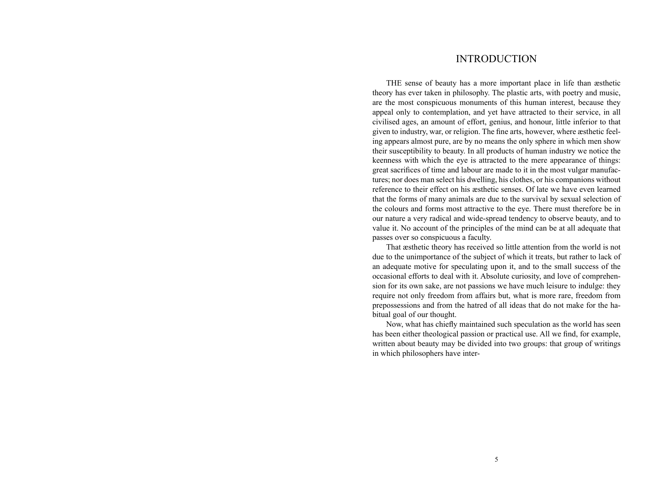# INTRODUCTION

THE sense of beauty has a more important place in life than æsthetic theory has ever taken in philosophy. The plastic arts, with poetry and music, are the most conspicuous monuments of this human interest, because they appeal only to contemplation, and yet have attracted to their service, in all civilised ages, an amount of effort, genius, and honour, little inferior to that given to industry, war, or religion. The fine arts, however, where æsthetic feeling appears almost pure, are by no means the only sphere in which men show their susceptibility to beauty. In all products of human industry we notice the keenness with which the eye is attracted to the mere appearance of things: great sacrifices of time and labour are made to it in the most vulgar manufactures; nor does man select his dwelling, his clothes, or his companions without reference to their effect on his æsthetic senses. Of late we have even learned that the forms of many animals are due to the survival by sexual selection of the colours and forms most attractive to the eye. There must therefore be in our nature a very radical and wide-spread tendency to observe beauty, and to value it. No account of the principles of the mind can be at all adequate that passes over so conspicuous a faculty.

That æsthetic theory has received so little attention from the world is not due to the unimportance of the subject of which it treats, but rather to lack of an adequate motive for speculating upon it, and to the small success of the occasional efforts to deal with it. Absolute curiosity, and love of comprehension for its own sake, are not passions we have much leisure to indulge: they require not only freedom from affairs but, what is more rare, freedom from prepossessions and from the hatred of all ideas that do not make for the habitual goal of our thought.

Now, what has chiefly maintained such speculation as the world has seen has been either theological passion or practical use. All we find, for example, written about beauty may be divided into two groups: that group of writings in which philosophers have inter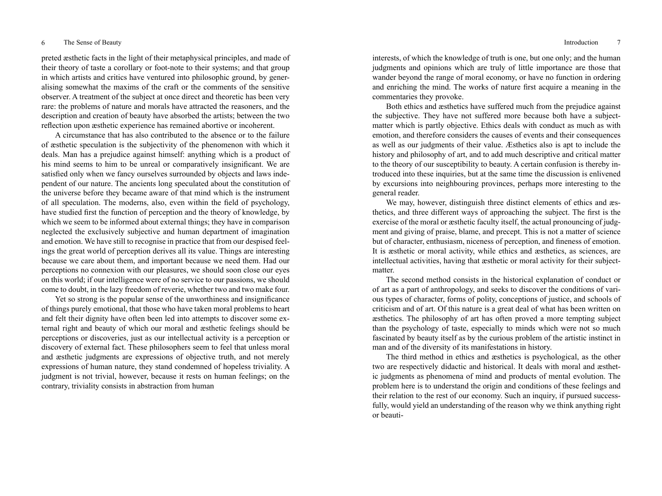preted æsthetic facts in the light of their metaphysical principles, and made of their theory of taste a corollary or foot-note to their systems; and that group in which artists and critics have ventured into philosophic ground, by generalising somewhat the maxims of the craft or the comments of the sensitive observer. A treatment of the subject at once direct and theoretic has been very rare: the problems of nature and morals have attracted the reasoners, and the description and creation of beauty have absorbed the artists; between the two reflection upon æsthetic experience has remained abortive or incoherent.

A circumstance that has also contributed to the absence or to the failure of æsthetic speculation is the subjectivity of the phenomenon with which it deals. Man has a prejudice against himself: anything which is a product of his mind seems to him to be unreal or comparatively insignificant. We are satisfied only when we fancy ourselves surrounded by objects and laws independent of our nature. The ancients long speculated about the constitution of the universe before they became aware of that mind which is the instrument of all speculation. The moderns, also, even within the field of psychology, have studied first the function of perception and the theory of knowledge, by which we seem to be informed about external things; they have in comparison neglected the exclusively subjective and human department of imagination and emotion. We have still to recognise in practice that from our despised feelings the great world of perception derives all its value. Things are interesting because we care about them, and important because we need them. Had our perceptions no connexion with our pleasures, we should soon close our eyes on this world; if our intelligence were of no service to our passions, we should come to doubt, in the lazy freedom of reverie, whether two and two make four.

Yet so strong is the popular sense of the unworthiness and insignificance of things purely emotional, that those who have taken moral problems to heart and felt their dignity have often been led into attempts to discover some external right and beauty of which our moral and æsthetic feelings should be perceptions or discoveries, just as our intellectual activity is a perception or discovery of external fact. These philosophers seem to feel that unless moral and æsthetic judgments are expressions of objective truth, and not merely expressions of human nature, they stand condemned of hopeless triviality. A judgment is not trivial, however, because it rests on human feelings; on the contrary, triviality consists in abstraction from human

interests, of which the knowledge of truth is one, but one only; and the human judgments and opinions which are truly of little importance are those that wander beyond the range of moral economy, or have no function in ordering and enriching the mind. The works of nature first acquire a meaning in the commentaries they provoke.

Both ethics and æsthetics have suffered much from the prejudice against the subjective. They have not suffered more because both have a subjectmatter which is partly objective. Ethics deals with conduct as much as with emotion, and therefore considers the causes of events and their consequences as well as our judgments of their value. Æsthetics also is apt to include the history and philosophy of art, and to add much descriptive and critical matter to the theory of our susceptibility to beauty. A certain confusion is thereby introduced into these inquiries, but at the same time the discussion is enlivened by excursions into neighbouring provinces, perhaps more interesting to the general reader.

We may, however, distinguish three distinct elements of ethics and æsthetics, and three different ways of approaching the subject. The first is the exercise of the moral or æsthetic faculty itself, the actual pronouncing of judgment and giving of praise, blame, and precept. This is not a matter of science but of character, enthusiasm, niceness of perception, and fineness of emotion. It is æsthetic or moral activity, while ethics and æsthetics, as sciences, are intellectual activities, having that æsthetic or moral activity for their subjectmatter.

The second method consists in the historical explanation of conduct or of art as a part of anthropology, and seeks to discover the conditions of various types of character, forms of polity, conceptions of justice, and schools of criticism and of art. Of this nature is a great deal of what has been written on æsthetics. The philosophy of art has often proved a more tempting subject than the psychology of taste, especially to minds which were not so much fascinated by beauty itself as by the curious problem of the artistic instinct in man and of the diversity of its manifestations in history.

The third method in ethics and æsthetics is psychological, as the other two are respectively didactic and historical. It deals with moral and æsthetic judgments as phenomena of mind and products of mental evolution. The problem here is to understand the origin and conditions of these feelings and their relation to the rest of our economy. Such an inquiry, if pursued successfully, would yield an understanding of the reason why we think anything right or beauti-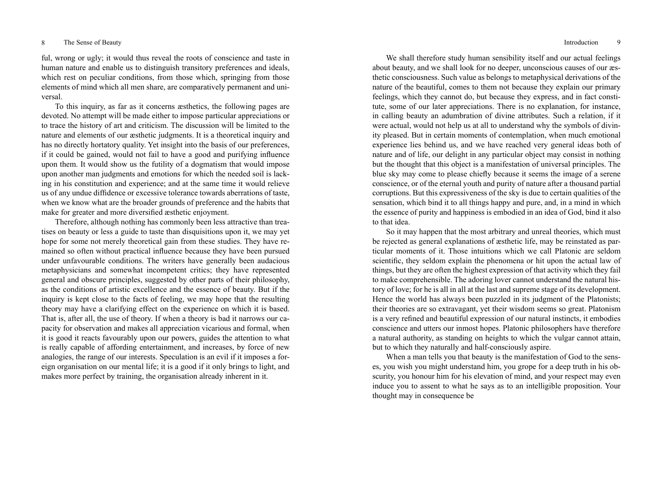## 8 The Sense of Beauty Introduction 9

ful, wrong or ugly; it would thus reveal the roots of conscience and taste in human nature and enable us to distinguish transitory preferences and ideals, which rest on peculiar conditions, from those which, springing from those elements of mind which all men share, are comparatively permanent and universal.

To this inquiry, as far as it concerns æsthetics, the following pages are devoted. No attempt will be made either to impose particular appreciations or to trace the history of art and criticism. The discussion will be limited to the nature and elements of our æsthetic judgments. It is a theoretical inquiry and has no directly hortatory quality. Yet insight into the basis of our preferences, if it could be gained, would not fail to have a good and purifying influence upon them. It would show us the futility of a dogmatism that would impose upon another man judgments and emotions for which the needed soil is lacking in his constitution and experience; and at the same time it would relieve us of any undue diffidence or excessive tolerance towards aberrations of taste, when we know what are the broader grounds of preference and the habits that make for greater and more diversified æsthetic enjoyment.

Therefore, although nothing has commonly been less attractive than treatises on beauty or less a guide to taste than disquisitions upon it, we may yet hope for some not merely theoretical gain from these studies. They have remained so often without practical influence because they have been pursued under unfavourable conditions. The writers have generally been audacious metaphysicians and somewhat incompetent critics; they have represented general and obscure principles, suggested by other parts of their philosophy, as the conditions of artistic excellence and the essence of beauty. But if the inquiry is kept close to the facts of feeling, we may hope that the resulting theory may have a clarifying effect on the experience on which it is based. That is, after all, the use of theory. If when a theory is bad it narrows our capacity for observation and makes all appreciation vicarious and formal, when it is good it reacts favourably upon our powers, guides the attention to what is really capable of affording entertainment, and increases, by force of new analogies, the range of our interests. Speculation is an evil if it imposes a foreign organisation on our mental life; it is a good if it only brings to light, and makes more perfect by training, the organisation already inherent in it.

We shall therefore study human sensibility itself and our actual feelings about beauty, and we shall look for no deeper, unconscious causes of our æsthetic consciousness. Such value as belongs to metaphysical derivations of the nature of the beautiful, comes to them not because they explain our primary feelings, which they cannot do, but because they express, and in fact constitute, some of our later appreciations. There is no explanation, for instance, in calling beauty an adumbration of divine attributes. Such a relation, if it were actual, would not help us at all to understand why the symbols of divinity pleased. But in certain moments of contemplation, when much emotional experience lies behind us, and we have reached very general ideas both of nature and of life, our delight in any particular object may consist in nothing but the thought that this object is a manifestation of universal principles. The blue sky may come to please chiefly because it seems the image of a serene conscience, or of the eternal youth and purity of nature after a thousand partial corruptions. But this expressiveness of the sky is due to certain qualities of the sensation, which bind it to all things happy and pure, and, in a mind in which the essence of purity and happiness is embodied in an idea of God, bind it also to that idea.

So it may happen that the most arbitrary and unreal theories, which must be rejected as general explanations of æsthetic life, may be reinstated as particular moments of it. Those intuitions which we call Platonic are seldom scientific, they seldom explain the phenomena or hit upon the actual law of things, but they are often the highest expression of that activity which they fail to make comprehensible. The adoring lover cannot understand the natural history of love; for he is all in all at the last and supreme stage of its development. Hence the world has always been puzzled in its judgment of the Platonists; their theories are so extravagant, yet their wisdom seems so great. Platonism is a very refined and beautiful expression of our natural instincts, it embodies conscience and utters our inmost hopes. Platonic philosophers have therefore a natural authority, as standing on heights to which the vulgar cannot attain, but to which they naturally and half-consciously aspire.

When a man tells you that beauty is the manifestation of God to the senses, you wish you might understand him, you grope for a deep truth in his obscurity, you honour him for his elevation of mind, and your respect may even induce you to assent to what he says as to an intelligible proposition. Your thought may in consequence be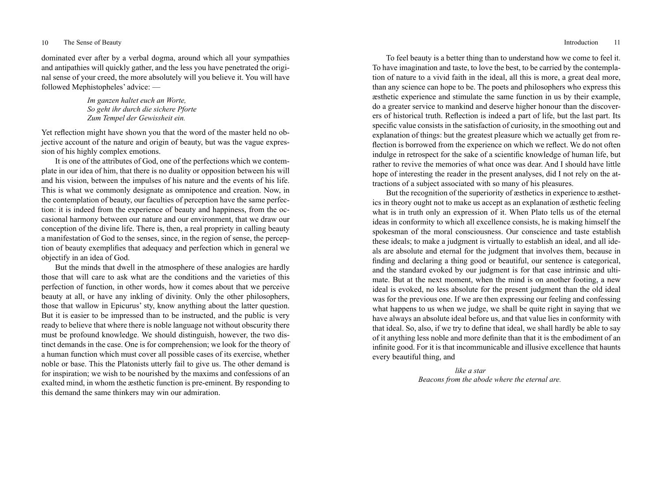## 10 The Sense of Beauty Introduction 11

dominated ever after by a verbal dogma, around which all your sympathies and antipathies will quickly gather, and the less you have penetrated the original sense of your creed, the more absolutely will you believe it. You will have followed Mephistopheles' advice: —

> *Im ganzen haltet euch an Worte, So geht ihr durch die sichere Pforte Zum Tempel der Gewissheit ein.*

Yet reflection might have shown you that the word of the master held no objective account of the nature and origin of beauty, but was the vague expression of his highly complex emotions.

It is one of the attributes of God, one of the perfections which we contemplate in our idea of him, that there is no duality or opposition between his will and his vision, between the impulses of his nature and the events of his life. This is what we commonly designate as omnipotence and creation. Now, in the contemplation of beauty, our faculties of perception have the same perfection: it is indeed from the experience of beauty and happiness, from the occasional harmony between our nature and our environment, that we draw our conception of the divine life. There is, then, a real propriety in calling beauty a manifestation of God to the senses, since, in the region of sense, the perception of beauty exemplifies that adequacy and perfection which in general we objectify in an idea of God.

But the minds that dwell in the atmosphere of these analogies are hardly those that will care to ask what are the conditions and the varieties of this perfection of function, in other words, how it comes about that we perceive beauty at all, or have any inkling of divinity. Only the other philosophers, those that wallow in Epicurus' sty, know anything about the latter question. But it is easier to be impressed than to be instructed, and the public is very ready to believe that where there is noble language not without obscurity there must be profound knowledge. We should distinguish, however, the two distinct demands in the case. One is for comprehension; we look for the theory of a human function which must cover all possible cases of its exercise, whether noble or base. This the Platonists utterly fail to give us. The other demand is for inspiration; we wish to be nourished by the maxims and confessions of an exalted mind, in whom the æsthetic function is pre-eminent. By responding to this demand the same thinkers may win our admiration.

To feel beauty is a better thing than to understand how we come to feel it. To have imagination and taste, to love the best, to be carried by the contemplation of nature to a vivid faith in the ideal, all this is more, a great deal more, than any science can hope to be. The poets and philosophers who express this æsthetic experience and stimulate the same function in us by their example, do a greater service to mankind and deserve higher honour than the discoverers of historical truth. Reflection is indeed a part of life, but the last part. Its specific value consists in the satisfaction of curiosity, in the smoothing out and explanation of things: but the greatest pleasure which we actually get from reflection is borrowed from the experience on which we reflect. We do not often indulge in retrospect for the sake of a scientific knowledge of human life, but rather to revive the memories of what once was dear. And I should have little hope of interesting the reader in the present analyses, did I not rely on the attractions of a subject associated with so many of his pleasures.

But the recognition of the superiority of æsthetics in experience to æsthetics in theory ought not to make us accept as an explanation of æsthetic feeling what is in truth only an expression of it. When Plato tells us of the eternal ideas in conformity to which all excellence consists, he is making himself the spokesman of the moral consciousness. Our conscience and taste establish these ideals; to make a judgment is virtually to establish an ideal, and all ideals are absolute and eternal for the judgment that involves them, because in finding and declaring a thing good or beautiful, our sentence is categorical, and the standard evoked by our judgment is for that case intrinsic and ultimate. But at the next moment, when the mind is on another footing, a new ideal is evoked, no less absolute for the present judgment than the old ideal was for the previous one. If we are then expressing our feeling and confessing what happens to us when we judge, we shall be quite right in saying that we have always an absolute ideal before us, and that value lies in conformity with that ideal. So, also, if we try to define that ideal, we shall hardly be able to say of it anything less noble and more definite than that it is the embodiment of an infinite good. For it is that incommunicable and illusive excellence that haunts every beautiful thing, and

> *like a star Beacons from the abode where the eternal are.*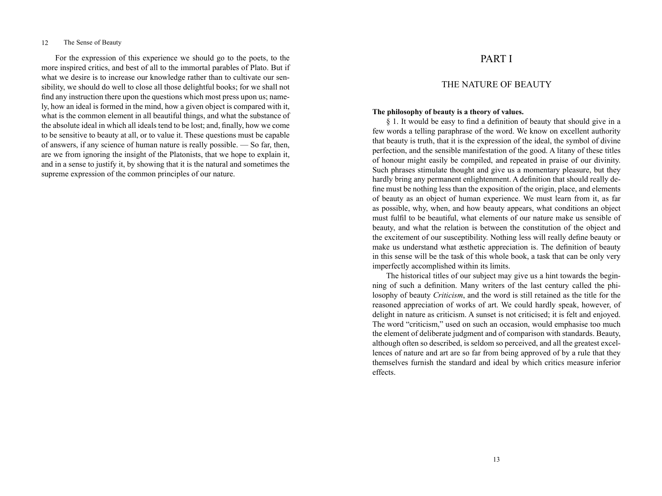For the expression of this experience we should go to the poets, to the more inspired critics, and best of all to the immortal parables of Plato. But if what we desire is to increase our knowledge rather than to cultivate our sensibility, we should do well to close all those delightful books; for we shall not find any instruction there upon the questions which most press upon us; namely, how an ideal is formed in the mind, how a given object is compared with it, what is the common element in all beautiful things, and what the substance of the absolute ideal in which all ideals tend to be lost; and, finally, how we come to be sensitive to beauty at all, or to value it. These questions must be capable of answers, if any science of human nature is really possible. — So far, then, are we from ignoring the insight of the Platonists, that we hope to explain it, and in a sense to justify it, by showing that it is the natural and sometimes the supreme expression of the common principles of our nature.

# PART I

# THE NATURE OF BEAUTY

## **The philosophy of beauty is a theory of values.**

§ 1. It would be easy to find a definition of beauty that should give in a few words a telling paraphrase of the word. We know on excellent authority that beauty is truth, that it is the expression of the ideal, the symbol of divine perfection, and the sensible manifestation of the good. A litany of these titles of honour might easily be compiled, and repeated in praise of our divinity. Such phrases stimulate thought and give us a momentary pleasure, but they hardly bring any permanent enlightenment. A definition that should really define must be nothing less than the exposition of the origin, place, and elements of beauty as an object of human experience. We must learn from it, as far as possible, why, when, and how beauty appears, what conditions an object must fulfil to be beautiful, what elements of our nature make us sensible of beauty, and what the relation is between the constitution of the object and the excitement of our susceptibility. Nothing less will really define beauty or make us understand what æsthetic appreciation is. The definition of beauty in this sense will be the task of this whole book, a task that can be only very imperfectly accomplished within its limits.

The historical titles of our subject may give us a hint towards the beginning of such a definition. Many writers of the last century called the philosophy of beauty *Criticism*, and the word is still retained as the title for the reasoned appreciation of works of art. We could hardly speak, however, of delight in nature as criticism. A sunset is not criticised; it is felt and enjoyed. The word "criticism," used on such an occasion, would emphasise too much the element of deliberate judgment and of comparison with standards. Beauty, although often so described, is seldom so perceived, and all the greatest excellences of nature and art are so far from being approved of by a rule that they themselves furnish the standard and ideal by which critics measure inferior effects.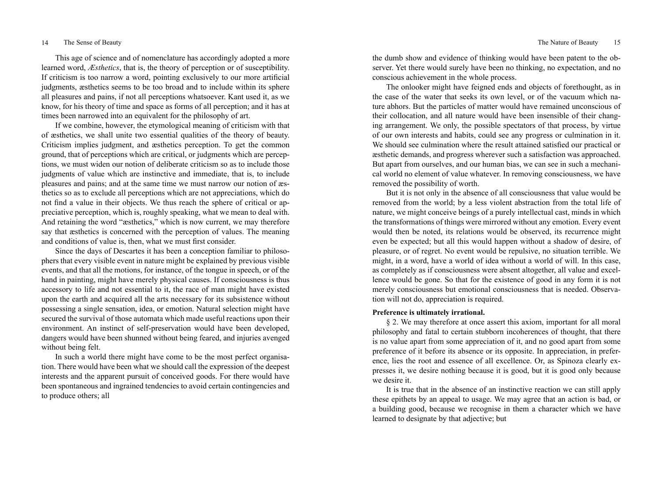This age of science and of nomenclature has accordingly adopted a more learned word, *Æsthetics*, that is, the theory of perception or of susceptibility. If criticism is too narrow a word, pointing exclusively to our more artificial judgments, æsthetics seems to be too broad and to include within its sphere all pleasures and pains, if not all perceptions whatsoever. Kant used it, as we know, for his theory of time and space as forms of all perception; and it has at times been narrowed into an equivalent for the philosophy of art.

If we combine, however, the etymological meaning of criticism with that of æsthetics, we shall unite two essential qualities of the theory of beauty. Criticism implies judgment, and æsthetics perception. To get the common ground, that of perceptions which are critical, or judgments which are perceptions, we must widen our notion of deliberate criticism so as to include those judgments of value which are instinctive and immediate, that is, to include pleasures and pains; and at the same time we must narrow our notion of æsthetics so as to exclude all perceptions which are not appreciations, which do not find a value in their objects. We thus reach the sphere of critical or appreciative perception, which is, roughly speaking, what we mean to deal with. And retaining the word "æsthetics," which is now current, we may therefore say that æsthetics is concerned with the perception of values. The meaning and conditions of value is, then, what we must first consider.

Since the days of Descartes it has been a conception familiar to philosophers that every visible event in nature might be explained by previous visible events, and that all the motions, for instance, of the tongue in speech, or of the hand in painting, might have merely physical causes. If consciousness is thus accessory to life and not essential to it, the race of man might have existed upon the earth and acquired all the arts necessary for its subsistence without possessing a single sensation, idea, or emotion. Natural selection might have secured the survival of those automata which made useful reactions upon their environment. An instinct of self-preservation would have been developed, dangers would have been shunned without being feared, and injuries avenged without being felt.

In such a world there might have come to be the most perfect organisation. There would have been what we should call the expression of the deepest interests and the apparent pursuit of conceived goods. For there would have been spontaneous and ingrained tendencies to avoid certain contingencies and to produce others; all

the dumb show and evidence of thinking would have been patent to the observer. Yet there would surely have been no thinking, no expectation, and no conscious achievement in the whole process.

The onlooker might have feigned ends and objects of forethought, as in the case of the water that seeks its own level, or of the vacuum which nature abhors. But the particles of matter would have remained unconscious of their collocation, and all nature would have been insensible of their changing arrangement. We only, the possible spectators of that process, by virtue of our own interests and habits, could see any progress or culmination in it. We should see culmination where the result attained satisfied our practical or æsthetic demands, and progress wherever such a satisfaction was approached. But apart from ourselves, and our human bias, we can see in such a mechanical world no element of value whatever. In removing consciousness, we have removed the possibility of worth.

But it is not only in the absence of all consciousness that value would be removed from the world; by a less violent abstraction from the total life of nature, we might conceive beings of a purely intellectual cast, minds in which the transformations of things were mirrored without any emotion. Every event would then be noted, its relations would be observed, its recurrence might even be expected; but all this would happen without a shadow of desire, of pleasure, or of regret. No event would be repulsive, no situation terrible. We might, in a word, have a world of idea without a world of will. In this case, as completely as if consciousness were absent altogether, all value and excellence would be gone. So that for the existence of good in any form it is not merely consciousness but emotional consciousness that is needed. Observation will not do, appreciation is required.

# **Preference is ultimately irrational.**

§ 2. We may therefore at once assert this axiom, important for all moral philosophy and fatal to certain stubborn incoherences of thought, that there is no value apart from some appreciation of it, and no good apart from some preference of it before its absence or its opposite. In appreciation, in preference, lies the root and essence of all excellence. Or, as Spinoza clearly expresses it, we desire nothing because it is good, but it is good only because we desire it.

It is true that in the absence of an instinctive reaction we can still apply these epithets by an appeal to usage. We may agree that an action is bad, or a building good, because we recognise in them a character which we have learned to designate by that adjective; but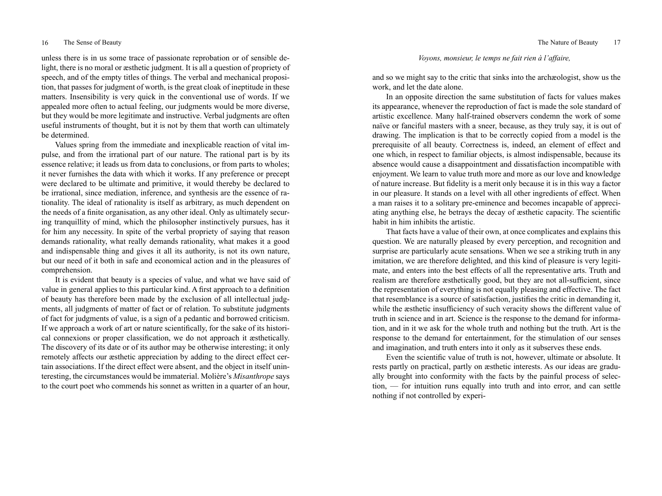## 16 The Sense of Beauty 17 The Nature of Beauty 17

unless there is in us some trace of passionate reprobation or of sensible delight, there is no moral or æsthetic judgment. It is all a question of propriety of speech, and of the empty titles of things. The verbal and mechanical proposition, that passes for judgment of worth, is the great cloak of ineptitude in these matters. Insensibility is very quick in the conventional use of words. If we appealed more often to actual feeling, our judgments would be more diverse, but they would be more legitimate and instructive. Verbal judgments are often useful instruments of thought, but it is not by them that worth can ultimately be determined.

Values spring from the immediate and inexplicable reaction of vital impulse, and from the irrational part of our nature. The rational part is by its essence relative; it leads us from data to conclusions, or from parts to wholes; it never furnishes the data with which it works. If any preference or precept were declared to be ultimate and primitive, it would thereby be declared to be irrational, since mediation, inference, and synthesis are the essence of rationality. The ideal of rationality is itself as arbitrary, as much dependent on the needs of a finite organisation, as any other ideal. Only as ultimately securing tranquillity of mind, which the philosopher instinctively pursues, has it for him any necessity. In spite of the verbal propriety of saying that reason demands rationality, what really demands rationality, what makes it a good and indispensable thing and gives it all its authority, is not its own nature, but our need of it both in safe and economical action and in the pleasures of comprehension.

It is evident that beauty is a species of value, and what we have said of value in general applies to this particular kind. A first approach to a definition of beauty has therefore been made by the exclusion of all intellectual judgments, all judgments of matter of fact or of relation. To substitute judgments of fact for judgments of value, is a sign of a pedantic and borrowed criticism. If we approach a work of art or nature scientifically, for the sake of its historical connexions or proper classification, we do not approach it æsthetically. The discovery of its date or of its author may be otherwise interesting; it only remotely affects our æsthetic appreciation by adding to the direct effect certain associations. If the direct effect were absent, and the object in itself uninteresting, the circumstances would be immaterial. Molière's *Misanthrope* says to the court poet who commends his sonnet as written in a quarter of an hour, *Voyons, monsieur, le temps ne fait rien à l'affaire,*

and so we might say to the critic that sinks into the archæologist, show us the work, and let the date alone.

In an opposite direction the same substitution of facts for values makes its appearance, whenever the reproduction of fact is made the sole standard of artistic excellence. Many half-trained observers condemn the work of some naïve or fanciful masters with a sneer, because, as they truly say, it is out of drawing. The implication is that to be correctly copied from a model is the prerequisite of all beauty. Correctness is, indeed, an element of effect and one which, in respect to familiar objects, is almost indispensable, because its absence would cause a disappointment and dissatisfaction incompatible with enjoyment. We learn to value truth more and more as our love and knowledge of nature increase. But fidelity is a merit only because it is in this way a factor in our pleasure. It stands on a level with all other ingredients of effect. When a man raises it to a solitary pre-eminence and becomes incapable of appreciating anything else, he betrays the decay of æsthetic capacity. The scientific habit in him inhibits the artistic.

That facts have a value of their own, at once complicates and explains this question. We are naturally pleased by every perception, and recognition and surprise are particularly acute sensations. When we see a striking truth in any imitation, we are therefore delighted, and this kind of pleasure is very legitimate, and enters into the best effects of all the representative arts. Truth and realism are therefore æsthetically good, but they are not all-sufficient, since the representation of everything is not equally pleasing and effective. The fact that resemblance is a source of satisfaction, justifies the critic in demanding it, while the æsthetic insufficiency of such veracity shows the different value of truth in science and in art. Science is the response to the demand for information, and in it we ask for the whole truth and nothing but the truth. Art is the response to the demand for entertainment, for the stimulation of our senses and imagination, and truth enters into it only as it subserves these ends.

Even the scientific value of truth is not, however, ultimate or absolute. It rests partly on practical, partly on æsthetic interests. As our ideas are gradually brought into conformity with the facts by the painful process of selection, — for intuition runs equally into truth and into error, and can settle nothing if not controlled by experi-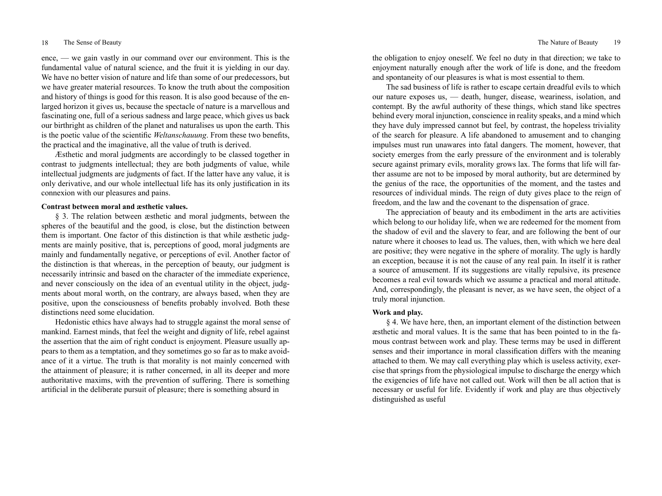## 18 The Sense of Beauty 19 The Nature of Beauty 19

ence, — we gain vastly in our command over our environment. This is the fundamental value of natural science, and the fruit it is yielding in our day. We have no better vision of nature and life than some of our predecessors, but we have greater material resources. To know the truth about the composition and history of things is good for this reason. It is also good because of the enlarged horizon it gives us, because the spectacle of nature is a marvellous and fascinating one, full of a serious sadness and large peace, which gives us back our birthright as children of the planet and naturalises us upon the earth. This is the poetic value of the scientific *Weltanschauung*. From these two benefits, the practical and the imaginative, all the value of truth is derived.

Æsthetic and moral judgments are accordingly to be classed together in contrast to judgments intellectual; they are both judgments of value, while intellectual judgments are judgments of fact. If the latter have any value, it is only derivative, and our whole intellectual life has its only justification in its connexion with our pleasures and pains.

# **Contrast between moral and æsthetic values.**

§ 3. The relation between æsthetic and moral judgments, between the spheres of the beautiful and the good, is close, but the distinction between them is important. One factor of this distinction is that while æsthetic judgments are mainly positive, that is, perceptions of good, moral judgments are mainly and fundamentally negative, or perceptions of evil. Another factor of the distinction is that whereas, in the perception of beauty, our judgment is necessarily intrinsic and based on the character of the immediate experience, and never consciously on the idea of an eventual utility in the object, judgments about moral worth, on the contrary, are always based, when they are positive, upon the consciousness of benefits probably involved. Both these distinctions need some elucidation.

Hedonistic ethics have always had to struggle against the moral sense of mankind. Earnest minds, that feel the weight and dignity of life, rebel against the assertion that the aim of right conduct is enjoyment. Pleasure usually appears to them as a temptation, and they sometimes go so far as to make avoidance of it a virtue. The truth is that morality is not mainly concerned with the attainment of pleasure; it is rather concerned, in all its deeper and more authoritative maxims, with the prevention of suffering. There is something artificial in the deliberate pursuit of pleasure; there is something absurd in

the obligation to enjoy oneself. We feel no duty in that direction; we take to enjoyment naturally enough after the work of life is done, and the freedom and spontaneity of our pleasures is what is most essential to them.

The sad business of life is rather to escape certain dreadful evils to which our nature exposes us, — death, hunger, disease, weariness, isolation, and contempt. By the awful authority of these things, which stand like spectres behind every moral injunction, conscience in reality speaks, and a mind which they have duly impressed cannot but feel, by contrast, the hopeless triviality of the search for pleasure. A life abandoned to amusement and to changing impulses must run unawares into fatal dangers. The moment, however, that society emerges from the early pressure of the environment and is tolerably secure against primary evils, morality grows lax. The forms that life will farther assume are not to be imposed by moral authority, but are determined by the genius of the race, the opportunities of the moment, and the tastes and resources of individual minds. The reign of duty gives place to the reign of freedom, and the law and the covenant to the dispensation of grace.

The appreciation of beauty and its embodiment in the arts are activities which belong to our holiday life, when we are redeemed for the moment from the shadow of evil and the slavery to fear, and are following the bent of our nature where it chooses to lead us. The values, then, with which we here deal are positive; they were negative in the sphere of morality. The ugly is hardly an exception, because it is not the cause of any real pain. In itself it is rather a source of amusement. If its suggestions are vitally repulsive, its presence becomes a real evil towards which we assume a practical and moral attitude. And, correspondingly, the pleasant is never, as we have seen, the object of a truly moral injunction.

# **Work and play.**

§ 4. We have here, then, an important element of the distinction between æsthetic and moral values. It is the same that has been pointed to in the famous contrast between work and play. These terms may be used in different senses and their importance in moral classification differs with the meaning attached to them. We may call everything play which is useless activity, exercise that springs from the physiological impulse to discharge the energy which the exigencies of life have not called out. Work will then be all action that is necessary or useful for life. Evidently if work and play are thus objectively distinguished as useful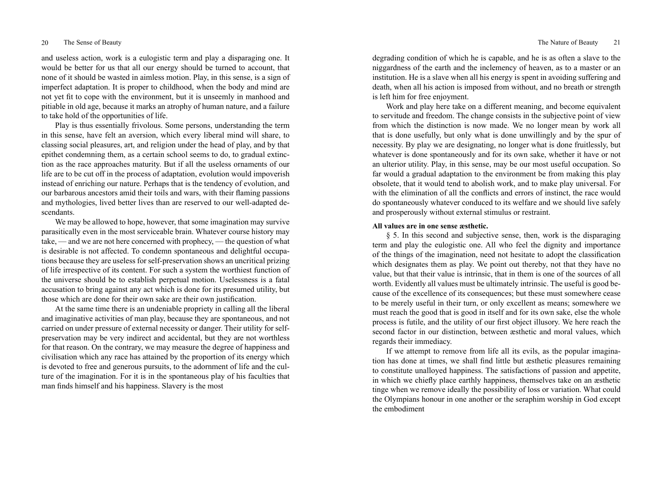## 20 The Sense of Beauty 21 The Nature of Beauty 21

and useless action, work is a eulogistic term and play a disparaging one. It would be better for us that all our energy should be turned to account, that none of it should be wasted in aimless motion. Play, in this sense, is a sign of imperfect adaptation. It is proper to childhood, when the body and mind are not yet fit to cope with the environment, but it is unseemly in manhood and pitiable in old age, because it marks an atrophy of human nature, and a failure to take hold of the opportunities of life.

Play is thus essentially frivolous. Some persons, understanding the term in this sense, have felt an aversion, which every liberal mind will share, to classing social pleasures, art, and religion under the head of play, and by that epithet condemning them, as a certain school seems to do, to gradual extinction as the race approaches maturity. But if all the useless ornaments of our life are to be cut off in the process of adaptation, evolution would impoverish instead of enriching our nature. Perhaps that is the tendency of evolution, and our barbarous ancestors amid their toils and wars, with their flaming passions and mythologies, lived better lives than are reserved to our well-adapted descendants.

We may be allowed to hope, however, that some imagination may survive parasitically even in the most serviceable brain. Whatever course history may take, — and we are not here concerned with prophecy, — the question of what is desirable is not affected. To condemn spontaneous and delightful occupations because they are useless for self-preservation shows an uncritical prizing of life irrespective of its content. For such a system the worthiest function of the universe should be to establish perpetual motion. Uselessness is a fatal accusation to bring against any act which is done for its presumed utility, but those which are done for their own sake are their own justification.

At the same time there is an undeniable propriety in calling all the liberal and imaginative activities of man play, because they are spontaneous, and not carried on under pressure of external necessity or danger. Their utility for selfpreservation may be very indirect and accidental, but they are not worthless for that reason. On the contrary, we may measure the degree of happiness and civilisation which any race has attained by the proportion of its energy which is devoted to free and generous pursuits, to the adornment of life and the culture of the imagination. For it is in the spontaneous play of his faculties that man finds himself and his happiness. Slavery is the most

degrading condition of which he is capable, and he is as often a slave to the niggardness of the earth and the inclemency of heaven, as to a master or an institution. He is a slave when all his energy is spent in avoiding suffering and death, when all his action is imposed from without, and no breath or strength is left him for free enjoyment.

Work and play here take on a different meaning, and become equivalent to servitude and freedom. The change consists in the subjective point of view from which the distinction is now made. We no longer mean by work all that is done usefully, but only what is done unwillingly and by the spur of necessity. By play we are designating, no longer what is done fruitlessly, but whatever is done spontaneously and for its own sake, whether it have or not an ulterior utility. Play, in this sense, may be our most useful occupation. So far would a gradual adaptation to the environment be from making this play obsolete, that it would tend to abolish work, and to make play universal. For with the elimination of all the conflicts and errors of instinct, the race would do spontaneously whatever conduced to its welfare and we should live safely and prosperously without external stimulus or restraint.

# **All values are in one sense æsthetic.**

§ 5. In this second and subjective sense, then, work is the disparaging term and play the eulogistic one. All who feel the dignity and importance of the things of the imagination, need not hesitate to adopt the classification which designates them as play. We point out thereby, not that they have no value, but that their value is intrinsic, that in them is one of the sources of all worth. Evidently all values must be ultimately intrinsic. The useful is good because of the excellence of its consequences; but these must somewhere cease to be merely useful in their turn, or only excellent as means; somewhere we must reach the good that is good in itself and for its own sake, else the whole process is futile, and the utility of our first object illusory. We here reach the second factor in our distinction, between æsthetic and moral values, which regards their immediacy.

If we attempt to remove from life all its evils, as the popular imagination has done at times, we shall find little but æsthetic pleasures remaining to constitute unalloyed happiness. The satisfactions of passion and appetite, in which we chiefly place earthly happiness, themselves take on an æsthetic tinge when we remove ideally the possibility of loss or variation. What could the Olympians honour in one another or the seraphim worship in God except the embodiment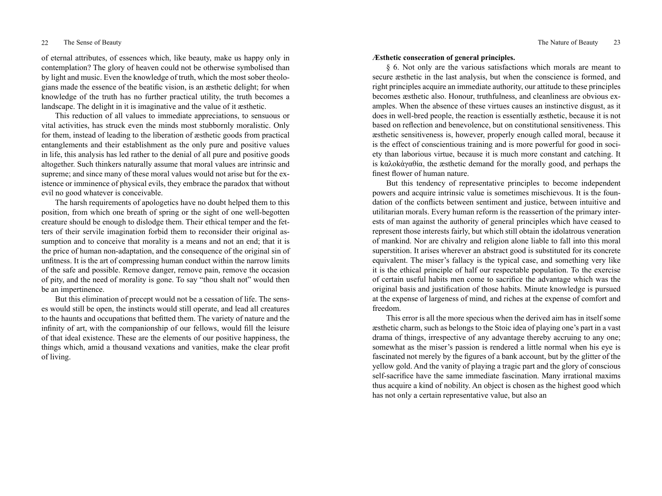of eternal attributes, of essences which, like beauty, make us happy only in contemplation? The glory of heaven could not be otherwise symbolised than by light and music. Even the knowledge of truth, which the most sober theologians made the essence of the beatific vision, is an æsthetic delight; for when knowledge of the truth has no further practical utility, the truth becomes a landscape. The delight in it is imaginative and the value of it æsthetic.

This reduction of all values to immediate appreciations, to sensuous or vital activities, has struck even the minds most stubbornly moralistic. Only for them, instead of leading to the liberation of æsthetic goods from practical entanglements and their establishment as the only pure and positive values in life, this analysis has led rather to the denial of all pure and positive goods altogether. Such thinkers naturally assume that moral values are intrinsic and supreme; and since many of these moral values would not arise but for the existence or imminence of physical evils, they embrace the paradox that without evil no good whatever is conceivable.

The harsh requirements of apologetics have no doubt helped them to this position, from which one breath of spring or the sight of one well-begotten creature should be enough to dislodge them. Their ethical temper and the fetters of their servile imagination forbid them to reconsider their original assumption and to conceive that morality is a means and not an end; that it is the price of human non-adaptation, and the consequence of the original sin of unfitness. It is the art of compressing human conduct within the narrow limits of the safe and possible. Remove danger, remove pain, remove the occasion of pity, and the need of morality is gone. To say "thou shalt not" would then be an impertinence.

But this elimination of precept would not be a cessation of life. The senses would still be open, the instincts would still operate, and lead all creatures to the haunts and occupations that befitted them. The variety of nature and the infinity of art, with the companionship of our fellows, would fill the leisure of that ideal existence. These are the elements of our positive happiness, the things which, amid a thousand vexations and vanities, make the clear profit of living.

## **Æsthetic consecration of general principles.**

§ 6. Not only are the various satisfactions which morals are meant to secure æsthetic in the last analysis, but when the conscience is formed, and right principles acquire an immediate authority, our attitude to these principles becomes æsthetic also. Honour, truthfulness, and cleanliness are obvious examples. When the absence of these virtues causes an instinctive disgust, as it does in well-bred people, the reaction is essentially æsthetic, because it is not based on reflection and benevolence, but on constitutional sensitiveness. This æsthetic sensitiveness is, however, properly enough called moral, because it is the effect of conscientious training and is more powerful for good in society than laborious virtue, because it is much more constant and catching. It is kαλοkἀγαθία, the æsthetic demand for the morally good, and perhaps the finest flower of human nature.

But this tendency of representative principles to become independent powers and acquire intrinsic value is sometimes mischievous. It is the foundation of the conflicts between sentiment and justice, between intuitive and utilitarian morals. Every human reform is the reassertion of the primary interests of man against the authority of general principles which have ceased to represent those interests fairly, but which still obtain the idolatrous veneration of mankind. Nor are chivalry and religion alone liable to fall into this moral superstition. It arises wherever an abstract good is substituted for its concrete equivalent. The miser's fallacy is the typical case, and something very like it is the ethical principle of half our respectable population. To the exercise of certain useful habits men come to sacrifice the advantage which was the original basis and justification of those habits. Minute knowledge is pursued at the expense of largeness of mind, and riches at the expense of comfort and freedom.

This error is all the more specious when the derived aim has in itself some æsthetic charm, such as belongs to the Stoic idea of playing one's part in a vast drama of things, irrespective of any advantage thereby accruing to any one; somewhat as the miser's passion is rendered a little normal when his eye is fascinated not merely by the figures of a bank account, but by the glitter of the yellow gold. And the vanity of playing a tragic part and the glory of conscious self-sacrifice have the same immediate fascination. Many irrational maxims thus acquire a kind of nobility. An object is chosen as the highest good which has not only a certain representative value, but also an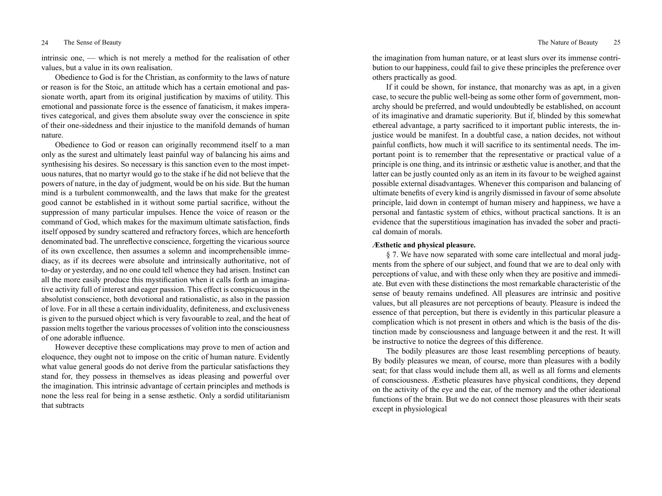intrinsic one, — which is not merely a method for the realisation of other values, but a value in its own realisation.

Obedience to God is for the Christian, as conformity to the laws of nature or reason is for the Stoic, an attitude which has a certain emotional and passionate worth, apart from its original justification by maxims of utility. This emotional and passionate force is the essence of fanaticism, it makes imperatives categorical, and gives them absolute sway over the conscience in spite of their one-sidedness and their injustice to the manifold demands of human nature.

Obedience to God or reason can originally recommend itself to a man only as the surest and ultimately least painful way of balancing his aims and synthesising his desires. So necessary is this sanction even to the most impetuous natures, that no martyr would go to the stake if he did not believe that the powers of nature, in the day of judgment, would be on his side. But the human mind is a turbulent commonwealth, and the laws that make for the greatest good cannot be established in it without some partial sacrifice, without the suppression of many particular impulses. Hence the voice of reason or the command of God, which makes for the maximum ultimate satisfaction, finds itself opposed by sundry scattered and refractory forces, which are henceforth denominated bad. The unreflective conscience, forgetting the vicarious source of its own excellence, then assumes a solemn and incomprehensible immediacy, as if its decrees were absolute and intrinsically authoritative, not of to-day or yesterday, and no one could tell whence they had arisen. Instinct can all the more easily produce this mystification when it calls forth an imaginative activity full of interest and eager passion. This effect is conspicuous in the absolutist conscience, both devotional and rationalistic, as also in the passion of love. For in all these a certain individuality, definiteness, and exclusiveness is given to the pursued object which is very favourable to zeal, and the heat of passion melts together the various processes of volition into the consciousness of one adorable influence.

However deceptive these complications may prove to men of action and eloquence, they ought not to impose on the critic of human nature. Evidently what value general goods do not derive from the particular satisfactions they stand for, they possess in themselves as ideas pleasing and powerful over the imagination. This intrinsic advantage of certain principles and methods is none the less real for being in a sense æsthetic. Only a sordid utilitarianism that subtracts

the imagination from human nature, or at least slurs over its immense contribution to our happiness, could fail to give these principles the preference over others practically as good.

If it could be shown, for instance, that monarchy was as apt, in a given case, to secure the public well-being as some other form of government, monarchy should be preferred, and would undoubtedly be established, on account of its imaginative and dramatic superiority. But if, blinded by this somewhat ethereal advantage, a party sacrificed to it important public interests, the injustice would be manifest. In a doubtful case, a nation decides, not without painful conflicts, how much it will sacrifice to its sentimental needs. The important point is to remember that the representative or practical value of a principle is one thing, and its intrinsic or æsthetic value is another, and that the latter can be justly counted only as an item in its favour to be weighed against possible external disadvantages. Whenever this comparison and balancing of ultimate benefits of every kind is angrily dismissed in favour of some absolute principle, laid down in contempt of human misery and happiness, we have a personal and fantastic system of ethics, without practical sanctions. It is an evidence that the superstitious imagination has invaded the sober and practical domain of morals.

# **Æsthetic and physical pleasure.**

§ 7. We have now separated with some care intellectual and moral judgments from the sphere of our subject, and found that we are to deal only with perceptions of value, and with these only when they are positive and immediate. But even with these distinctions the most remarkable characteristic of the sense of beauty remains undefined. All pleasures are intrinsic and positive values, but all pleasures are not perceptions of beauty. Pleasure is indeed the essence of that perception, but there is evidently in this particular pleasure a complication which is not present in others and which is the basis of the distinction made by consciousness and language between it and the rest. It will be instructive to notice the degrees of this difference.

The bodily pleasures are those least resembling perceptions of beauty. By bodily pleasures we mean, of course, more than pleasures with a bodily seat; for that class would include them all, as well as all forms and elements of consciousness. Æsthetic pleasures have physical conditions, they depend on the activity of the eye and the ear, of the memory and the other ideational functions of the brain. But we do not connect those pleasures with their seats except in physiological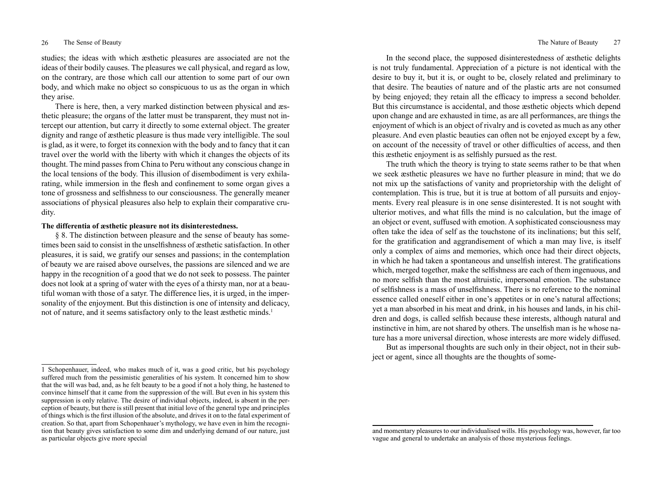## 26 The Sense of Beauty 27 The Nature of Beauty 27

studies; the ideas with which æsthetic pleasures are associated are not the ideas of their bodily causes. The pleasures we call physical, and regard as low, on the contrary, are those which call our attention to some part of our own body, and which make no object so conspicuous to us as the organ in which they arise.

There is here, then, a very marked distinction between physical and æsthetic pleasure; the organs of the latter must be transparent, they must not intercept our attention, but carry it directly to some external object. The greater dignity and range of æsthetic pleasure is thus made very intelligible. The soul is glad, as it were, to forget its connexion with the body and to fancy that it can travel over the world with the liberty with which it changes the objects of its thought. The mind passes from China to Peru without any conscious change in the local tensions of the body. This illusion of disembodiment is very exhilarating, while immersion in the flesh and confinement to some organ gives a tone of grossness and selfishness to our consciousness. The generally meaner associations of physical pleasures also help to explain their comparative crudity.

## **The differentia of æsthetic pleasure not its disinterestedness.**

§ 8. The distinction between pleasure and the sense of beauty has sometimes been said to consist in the unselfishness of æsthetic satisfaction. In other pleasures, it is said, we gratify our senses and passions; in the contemplation of beauty we are raised above ourselves, the passions are silenced and we are happy in the recognition of a good that we do not seek to possess. The painter does not look at a spring of water with the eyes of a thirsty man, nor at a beautiful woman with those of a satyr. The difference lies, it is urged, in the impersonality of the enjoyment. But this distinction is one of intensity and delicacy, not of nature, and it seems satisfactory only to the least æsthetic minds.<sup>1</sup>

In the second place, the supposed disinterestedness of æsthetic delights is not truly fundamental. Appreciation of a picture is not identical with the desire to buy it, but it is, or ought to be, closely related and preliminary to that desire. The beauties of nature and of the plastic arts are not consumed by being enjoyed; they retain all the efficacy to impress a second beholder. But this circumstance is accidental, and those æsthetic objects which depend upon change and are exhausted in time, as are all performances, are things the enjoyment of which is an object of rivalry and is coveted as much as any other pleasure. And even plastic beauties can often not be enjoyed except by a few, on account of the necessity of travel or other difficulties of access, and then this æsthetic enjoyment is as selfishly pursued as the rest.

The truth which the theory is trying to state seems rather to be that when we seek æsthetic pleasures we have no further pleasure in mind; that we do not mix up the satisfactions of vanity and proprietorship with the delight of contemplation. This is true, but it is true at bottom of all pursuits and enjoyments. Every real pleasure is in one sense disinterested. It is not sought with ulterior motives, and what fills the mind is no calculation, but the image of an object or event, suffused with emotion. A sophisticated consciousness may often take the idea of self as the touchstone of its inclinations; but this self, for the gratification and aggrandisement of which a man may live, is itself only a complex of aims and memories, which once had their direct objects, in which he had taken a spontaneous and unselfish interest. The gratifications which, merged together, make the selfishness are each of them ingenuous, and no more selfish than the most altruistic, impersonal emotion. The substance of selfishness is a mass of unselfishness. There is no reference to the nominal essence called oneself either in one's appetites or in one's natural affections; yet a man absorbed in his meat and drink, in his houses and lands, in his children and dogs, is called selfish because these interests, although natural and instinctive in him, are not shared by others. The unselfish man is he whose nature has a more universal direction, whose interests are more widely diffused.

But as impersonal thoughts are such only in their object, not in their subject or agent, since all thoughts are the thoughts of some-

<sup>1</sup> Schopenhauer, indeed, who makes much of it, was a good critic, but his psychology suffered much from the pessimistic generalities of his system. It concerned him to show that the will was bad, and, as he felt beauty to be a good if not a holy thing, he hastened to convince himself that it came from the suppression of the will. But even in his system this suppression is only relative. The desire of individual objects, indeed, is absent in the perception of beauty, but there is still present that initial love of the general type and principles of things which is the first illusion of the absolute, and drives it on to the fatal experiment of creation. So that, apart from Schopenhauer's mythology, we have even in him the recognition that beauty gives satisfaction to some dim and underlying demand of our nature, just as particular objects give more special

and momentary pleasures to our individualised wills. His psychology was, however, far too vague and general to undertake an analysis of those mysterious feelings.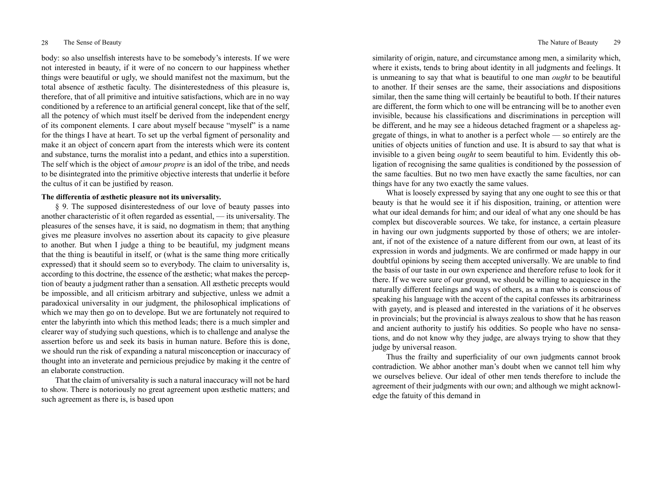body: so also unselfish interests have to be somebody's interests. If we were not interested in beauty, if it were of no concern to our happiness whether things were beautiful or ugly, we should manifest not the maximum, but the total absence of æsthetic faculty. The disinterestedness of this pleasure is, therefore, that of all primitive and intuitive satisfactions, which are in no way conditioned by a reference to an artificial general concept, like that of the self, all the potency of which must itself be derived from the independent energy of its component elements. I care about myself because "myself" is a name for the things I have at heart. To set up the verbal figment of personality and make it an object of concern apart from the interests which were its content and substance, turns the moralist into a pedant, and ethics into a superstition. The self which is the object of *amour propre* is an idol of the tribe, and needs to be disintegrated into the primitive objective interests that underlie it before the cultus of it can be justified by reason.

## **The differentia of æsthetic pleasure not its universality.**

§ 9. The supposed disinterestedness of our love of beauty passes into another characteristic of it often regarded as essential, — its universality. The pleasures of the senses have, it is said, no dogmatism in them; that anything gives me pleasure involves no assertion about its capacity to give pleasure to another. But when I judge a thing to be beautiful, my judgment means that the thing is beautiful in itself, or (what is the same thing more critically expressed) that it should seem so to everybody. The claim to universality is, according to this doctrine, the essence of the æsthetic; what makes the perception of beauty a judgment rather than a sensation. All æsthetic precepts would be impossible, and all criticism arbitrary and subjective, unless we admit a paradoxical universality in our judgment, the philosophical implications of which we may then go on to develope. But we are fortunately not required to enter the labyrinth into which this method leads; there is a much simpler and clearer way of studying such questions, which is to challenge and analyse the assertion before us and seek its basis in human nature. Before this is done, we should run the risk of expanding a natural misconception or inaccuracy of thought into an inveterate and pernicious prejudice by making it the centre of an elaborate construction.

That the claim of universality is such a natural inaccuracy will not be hard to show. There is notoriously no great agreement upon æsthetic matters; and such agreement as there is, is based upon

similarity of origin, nature, and circumstance among men, a similarity which, where it exists, tends to bring about identity in all judgments and feelings. It is unmeaning to say that what is beautiful to one man *ought* to be beautiful to another. If their senses are the same, their associations and dispositions similar, then the same thing will certainly be beautiful to both. If their natures are different, the form which to one will be entrancing will be to another even invisible, because his classifications and discriminations in perception will be different, and he may see a hideous detached fragment or a shapeless aggregate of things, in what to another is a perfect whole — so entirely are the unities of objects unities of function and use. It is absurd to say that what is invisible to a given being *ought* to seem beautiful to him. Evidently this obligation of recognising the same qualities is conditioned by the possession of the same faculties. But no two men have exactly the same faculties, nor can things have for any two exactly the same values.

What is loosely expressed by saying that any one ought to see this or that beauty is that he would see it if his disposition, training, or attention were what our ideal demands for him; and our ideal of what any one should be has complex but discoverable sources. We take, for instance, a certain pleasure in having our own judgments supported by those of others; we are intolerant, if not of the existence of a nature different from our own, at least of its expression in words and judgments. We are confirmed or made happy in our doubtful opinions by seeing them accepted universally. We are unable to find the basis of our taste in our own experience and therefore refuse to look for it there. If we were sure of our ground, we should be willing to acquiesce in the naturally different feelings and ways of others, as a man who is conscious of speaking his language with the accent of the capital confesses its arbitrariness with gayety, and is pleased and interested in the variations of it he observes in provincials; but the provincial is always zealous to show that he has reason and ancient authority to justify his oddities. So people who have no sensations, and do not know why they judge, are always trying to show that they judge by universal reason.

Thus the frailty and superficiality of our own judgments cannot brook contradiction. We abhor another man's doubt when we cannot tell him why we ourselves believe. Our ideal of other men tends therefore to include the agreement of their judgments with our own; and although we might acknowledge the fatuity of this demand in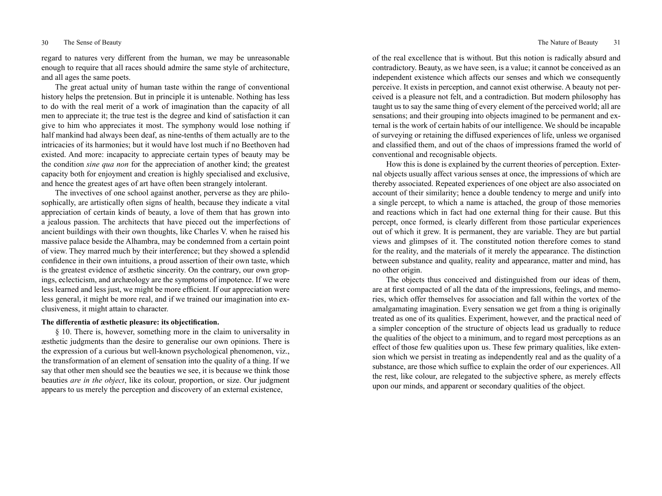regard to natures very different from the human, we may be unreasonable enough to require that all races should admire the same style of architecture, and all ages the same poets.

The great actual unity of human taste within the range of conventional history helps the pretension. But in principle it is untenable. Nothing has less to do with the real merit of a work of imagination than the capacity of all men to appreciate it; the true test is the degree and kind of satisfaction it can give to him who appreciates it most. The symphony would lose nothing if half mankind had always been deaf, as nine-tenths of them actually are to the intricacies of its harmonies; but it would have lost much if no Beethoven had existed. And more: incapacity to appreciate certain types of beauty may be the condition *sine qua non* for the appreciation of another kind; the greatest capacity both for enjoyment and creation is highly specialised and exclusive, and hence the greatest ages of art have often been strangely intolerant.

The invectives of one school against another, perverse as they are philosophically, are artistically often signs of health, because they indicate a vital appreciation of certain kinds of beauty, a love of them that has grown into a jealous passion. The architects that have pieced out the imperfections of ancient buildings with their own thoughts, like Charles V. when he raised his massive palace beside the Alhambra, may be condemned from a certain point of view. They marred much by their interference; but they showed a splendid confidence in their own intuitions, a proud assertion of their own taste, which is the greatest evidence of æsthetic sincerity. On the contrary, our own gropings, eclecticism, and archæology are the symptoms of impotence. If we were less learned and less just, we might be more efficient. If our appreciation were less general, it might be more real, and if we trained our imagination into exclusiveness, it might attain to character.

# **The differentia of æsthetic pleasure: its objectification.**

§ 10. There is, however, something more in the claim to universality in æsthetic judgments than the desire to generalise our own opinions. There is the expression of a curious but well-known psychological phenomenon, viz., the transformation of an element of sensation into the quality of a thing. If we say that other men should see the beauties we see, it is because we think those beauties *are in the object*, like its colour, proportion, or size. Our judgment appears to us merely the perception and discovery of an external existence,

of the real excellence that is without. But this notion is radically absurd and contradictory. Beauty, as we have seen, is a value; it cannot be conceived as an independent existence which affects our senses and which we consequently perceive. It exists in perception, and cannot exist otherwise. A beauty not perceived is a pleasure not felt, and a contradiction. But modern philosophy has taught us to say the same thing of every element of the perceived world; all are sensations; and their grouping into objects imagined to be permanent and external is the work of certain habits of our intelligence. We should be incapable of surveying or retaining the diffused experiences of life, unless we organised and classified them, and out of the chaos of impressions framed the world of conventional and recognisable objects.

How this is done is explained by the current theories of perception. External objects usually affect various senses at once, the impressions of which are thereby associated. Repeated experiences of one object are also associated on account of their similarity; hence a double tendency to merge and unify into a single percept, to which a name is attached, the group of those memories and reactions which in fact had one external thing for their cause. But this percept, once formed, is clearly different from those particular experiences out of which it grew. It is permanent, they are variable. They are but partial views and glimpses of it. The constituted notion therefore comes to stand for the reality, and the materials of it merely the appearance. The distinction between substance and quality, reality and appearance, matter and mind, has no other origin.

The objects thus conceived and distinguished from our ideas of them, are at first compacted of all the data of the impressions, feelings, and memories, which offer themselves for association and fall within the vortex of the amalgamating imagination. Every sensation we get from a thing is originally treated as one of its qualities. Experiment, however, and the practical need of a simpler conception of the structure of objects lead us gradually to reduce the qualities of the object to a minimum, and to regard most perceptions as an effect of those few qualities upon us. These few primary qualities, like extension which we persist in treating as independently real and as the quality of a substance, are those which suffice to explain the order of our experiences. All the rest, like colour, are relegated to the subjective sphere, as merely effects upon our minds, and apparent or secondary qualities of the object.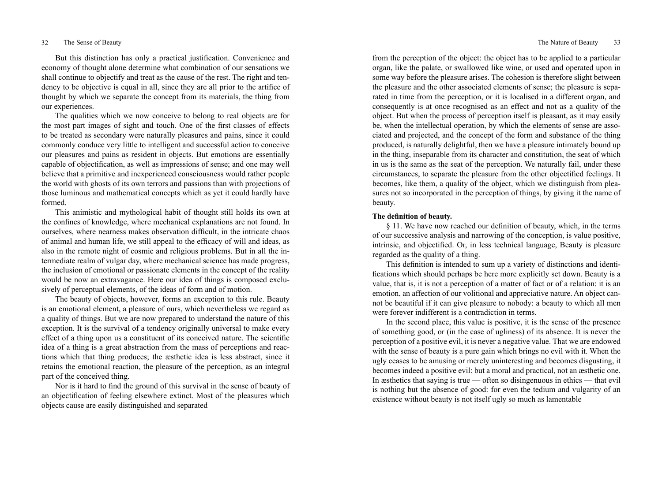But this distinction has only a practical justification. Convenience and economy of thought alone determine what combination of our sensations we shall continue to objectify and treat as the cause of the rest. The right and tendency to be objective is equal in all, since they are all prior to the artifice of thought by which we separate the concept from its materials, the thing from our experiences.

The qualities which we now conceive to belong to real objects are for the most part images of sight and touch. One of the first classes of effects to be treated as secondary were naturally pleasures and pains, since it could commonly conduce very little to intelligent and successful action to conceive our pleasures and pains as resident in objects. But emotions are essentially capable of objectification, as well as impressions of sense; and one may well believe that a primitive and inexperienced consciousness would rather people the world with ghosts of its own terrors and passions than with projections of those luminous and mathematical concepts which as yet it could hardly have formed.

This animistic and mythological habit of thought still holds its own at the confines of knowledge, where mechanical explanations are not found. In ourselves, where nearness makes observation difficult, in the intricate chaos of animal and human life, we still appeal to the efficacy of will and ideas, as also in the remote night of cosmic and religious problems. But in all the intermediate realm of vulgar day, where mechanical science has made progress, the inclusion of emotional or passionate elements in the concept of the reality would be now an extravagance. Here our idea of things is composed exclusively of perceptual elements, of the ideas of form and of motion.

The beauty of objects, however, forms an exception to this rule. Beauty is an emotional element, a pleasure of ours, which nevertheless we regard as a quality of things. But we are now prepared to understand the nature of this exception. It is the survival of a tendency originally universal to make every effect of a thing upon us a constituent of its conceived nature. The scientific idea of a thing is a great abstraction from the mass of perceptions and reactions which that thing produces; the æsthetic idea is less abstract, since it retains the emotional reaction, the pleasure of the perception, as an integral part of the conceived thing.

Nor is it hard to find the ground of this survival in the sense of beauty of an objectification of feeling elsewhere extinct. Most of the pleasures which objects cause are easily distinguished and separated

from the perception of the object: the object has to be applied to a particular organ, like the palate, or swallowed like wine, or used and operated upon in some way before the pleasure arises. The cohesion is therefore slight between the pleasure and the other associated elements of sense; the pleasure is separated in time from the perception, or it is localised in a different organ, and consequently is at once recognised as an effect and not as a quality of the object. But when the process of perception itself is pleasant, as it may easily be, when the intellectual operation, by which the elements of sense are associated and projected, and the concept of the form and substance of the thing produced, is naturally delightful, then we have a pleasure intimately bound up in the thing, inseparable from its character and constitution, the seat of which in us is the same as the seat of the perception. We naturally fail, under these circumstances, to separate the pleasure from the other objectified feelings. It becomes, like them, a quality of the object, which we distinguish from pleasures not so incorporated in the perception of things, by giving it the name of beauty.

# **The definition of beauty.**

§ 11. We have now reached our definition of beauty, which, in the terms of our successive analysis and narrowing of the conception, is value positive, intrinsic, and objectified. Or, in less technical language, Beauty is pleasure regarded as the quality of a thing.

This definition is intended to sum up a variety of distinctions and identifications which should perhaps be here more explicitly set down. Beauty is a value, that is, it is not a perception of a matter of fact or of a relation: it is an emotion, an affection of our volitional and appreciative nature. An object cannot be beautiful if it can give pleasure to nobody: a beauty to which all men were forever indifferent is a contradiction in terms.

In the second place, this value is positive, it is the sense of the presence of something good, or (in the case of ugliness) of its absence. It is never the perception of a positive evil, it is never a negative value. That we are endowed with the sense of beauty is a pure gain which brings no evil with it. When the ugly ceases to be amusing or merely uninteresting and becomes disgusting, it becomes indeed a positive evil: but a moral and practical, not an æsthetic one. In æsthetics that saying is true — often so disingenuous in ethics — that evil is nothing but the absence of good: for even the tedium and vulgarity of an existence without beauty is not itself ugly so much as lamentable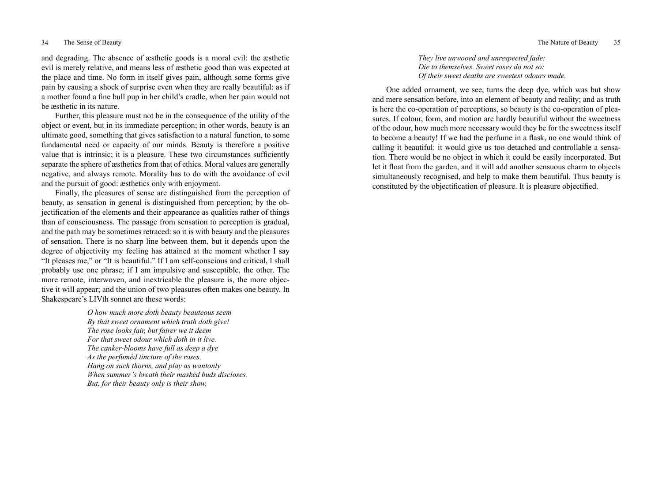and degrading. The absence of æsthetic goods is a moral evil: the æsthetic evil is merely relative, and means less of æsthetic good than was expected at the place and time. No form in itself gives pain, although some forms give pain by causing a shock of surprise even when they are really beautiful: as if a mother found a fine bull pup in her child's cradle, when her pain would not be æsthetic in its nature.

Further, this pleasure must not be in the consequence of the utility of the object or event, but in its immediate perception; in other words, beauty is an ultimate good, something that gives satisfaction to a natural function, to some fundamental need or capacity of our minds. Beauty is therefore a positive value that is intrinsic; it is a pleasure. These two circumstances sufficiently separate the sphere of æsthetics from that of ethics. Moral values are generally negative, and always remote. Morality has to do with the avoidance of evil and the pursuit of good: æsthetics only with enjoyment.

Finally, the pleasures of sense are distinguished from the perception of beauty, as sensation in general is distinguished from perception; by the objectification of the elements and their appearance as qualities rather of things than of consciousness. The passage from sensation to perception is gradual, and the path may be sometimes retraced: so it is with beauty and the pleasures of sensation. There is no sharp line between them, but it depends upon the degree of objectivity my feeling has attained at the moment whether I say "It pleases me," or "It is beautiful." If I am self-conscious and critical, I shall probably use one phrase; if I am impulsive and susceptible, the other. The more remote, interwoven, and inextricable the pleasure is, the more objective it will appear; and the union of two pleasures often makes one beauty. In Shakespeare's LIVth sonnet are these words:

> *O how much more doth beauty beauteous seem By that sweet ornament which truth doth give! The rose looks fair, but fairer we it deem For that sweet odour which doth in it live. The canker-blooms have full as deep a dye As the perfumèd tincture of the roses, Hang on such thorns, and play as wantonly When summer's breath their maskèd buds discloses. But, for their beauty only is their show,*

## *They live unwooed and unrespected fade; Die to themselves. Sweet roses do not so: Of their sweet deaths are sweetest odours made.*

One added ornament, we see, turns the deep dye, which was but show and mere sensation before, into an element of beauty and reality; and as truth is here the co-operation of perceptions, so beauty is the co-operation of pleasures. If colour, form, and motion are hardly beautiful without the sweetness of the odour, how much more necessary would they be for the sweetness itself to become a beauty! If we had the perfume in a flask, no one would think of calling it beautiful: it would give us too detached and controllable a sensation. There would be no object in which it could be easily incorporated. But let it float from the garden, and it will add another sensuous charm to objects simultaneously recognised, and help to make them beautiful. Thus beauty is constituted by the objectification of pleasure. It is pleasure objectified.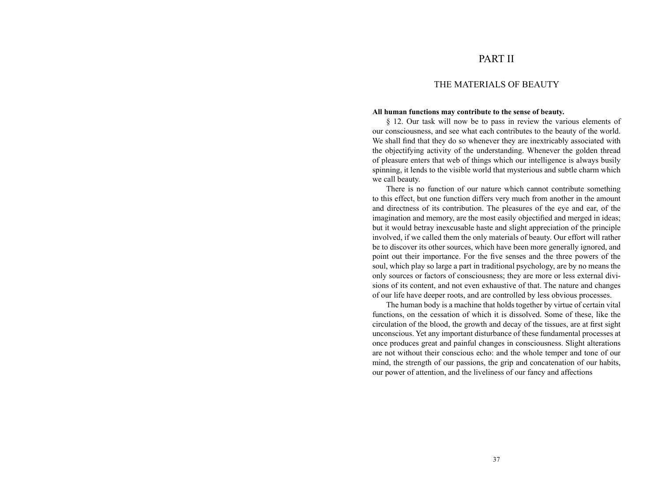# PART II

# THE MATERIALS OF BEAUTY

## **All human functions may contribute to the sense of beauty.**

§ 12. Our task will now be to pass in review the various elements of our consciousness, and see what each contributes to the beauty of the world. We shall find that they do so whenever they are inextricably associated with the objectifying activity of the understanding. Whenever the golden thread of pleasure enters that web of things which our intelligence is always busily spinning, it lends to the visible world that mysterious and subtle charm which we call beauty.

There is no function of our nature which cannot contribute something to this effect, but one function differs very much from another in the amount and directness of its contribution. The pleasures of the eye and ear, of the imagination and memory, are the most easily objectified and merged in ideas; but it would betray inexcusable haste and slight appreciation of the principle involved, if we called them the only materials of beauty. Our effort will rather be to discover its other sources, which have been more generally ignored, and point out their importance. For the five senses and the three powers of the soul, which play so large a part in traditional psychology, are by no means the only sources or factors of consciousness; they are more or less external divisions of its content, and not even exhaustive of that. The nature and changes of our life have deeper roots, and are controlled by less obvious processes.

The human body is a machine that holds together by virtue of certain vital functions, on the cessation of which it is dissolved. Some of these, like the circulation of the blood, the growth and decay of the tissues, are at first sight unconscious. Yet any important disturbance of these fundamental processes at once produces great and painful changes in consciousness. Slight alterations are not without their conscious echo: and the whole temper and tone of our mind, the strength of our passions, the grip and concatenation of our habits, our power of attention, and the liveliness of our fancy and affections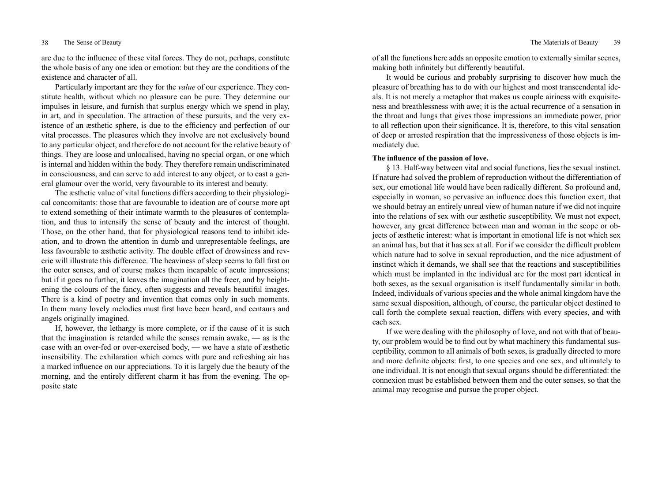are due to the influence of these vital forces. They do not, perhaps, constitute the whole basis of any one idea or emotion: but they are the conditions of the existence and character of all.

Particularly important are they for the *value* of our experience. They constitute health, without which no pleasure can be pure. They determine our impulses in leisure, and furnish that surplus energy which we spend in play, in art, and in speculation. The attraction of these pursuits, and the very existence of an æsthetic sphere, is due to the efficiency and perfection of our vital processes. The pleasures which they involve are not exclusively bound to any particular object, and therefore do not account for the relative beauty of things. They are loose and unlocalised, having no special organ, or one which is internal and hidden within the body. They therefore remain undiscriminated in consciousness, and can serve to add interest to any object, or to cast a general glamour over the world, very favourable to its interest and beauty.

The æsthetic value of vital functions differs according to their physiological concomitants: those that are favourable to ideation are of course more apt to extend something of their intimate warmth to the pleasures of contemplation, and thus to intensify the sense of beauty and the interest of thought. Those, on the other hand, that for physiological reasons tend to inhibit ideation, and to drown the attention in dumb and unrepresentable feelings, are less favourable to æsthetic activity. The double effect of drowsiness and reverie will illustrate this difference. The heaviness of sleep seems to fall first on the outer senses, and of course makes them incapable of acute impressions; but if it goes no further, it leaves the imagination all the freer, and by heightening the colours of the fancy, often suggests and reveals beautiful images. There is a kind of poetry and invention that comes only in such moments. In them many lovely melodies must first have been heard, and centaurs and angels originally imagined.

If, however, the lethargy is more complete, or if the cause of it is such that the imagination is retarded while the senses remain awake, — as is the case with an over-fed or over-exercised body, — we have a state of æsthetic insensibility. The exhilaration which comes with pure and refreshing air has a marked influence on our appreciations. To it is largely due the beauty of the morning, and the entirely different charm it has from the evening. The opposite state

of all the functions here adds an opposite emotion to externally similar scenes, making both infinitely but differently beautiful.

It would be curious and probably surprising to discover how much the pleasure of breathing has to do with our highest and most transcendental ideals. It is not merely a metaphor that makes us couple airiness with exquisiteness and breathlessness with awe; it is the actual recurrence of a sensation in the throat and lungs that gives those impressions an immediate power, prior to all reflection upon their significance. It is, therefore, to this vital sensation of deep or arrested respiration that the impressiveness of those objects is immediately due.

# **The influence of the passion of love.**

§ 13. Half-way between vital and social functions, lies the sexual instinct. If nature had solved the problem of reproduction without the differentiation of sex, our emotional life would have been radically different. So profound and, especially in woman, so pervasive an influence does this function exert, that we should betray an entirely unreal view of human nature if we did not inquire into the relations of sex with our æsthetic susceptibility. We must not expect, however, any great difference between man and woman in the scope or objects of æsthetic interest: what is important in emotional life is not which sex an animal has, but that it has sex at all. For if we consider the difficult problem which nature had to solve in sexual reproduction, and the nice adjustment of instinct which it demands, we shall see that the reactions and susceptibilities which must be implanted in the individual are for the most part identical in both sexes, as the sexual organisation is itself fundamentally similar in both. Indeed, individuals of various species and the whole animal kingdom have the same sexual disposition, although, of course, the particular object destined to call forth the complete sexual reaction, differs with every species, and with each sex.

If we were dealing with the philosophy of love, and not with that of beauty, our problem would be to find out by what machinery this fundamental susceptibility, common to all animals of both sexes, is gradually directed to more and more definite objects: first, to one species and one sex, and ultimately to one individual. It is not enough that sexual organs should be differentiated: the connexion must be established between them and the outer senses, so that the animal may recognise and pursue the proper object.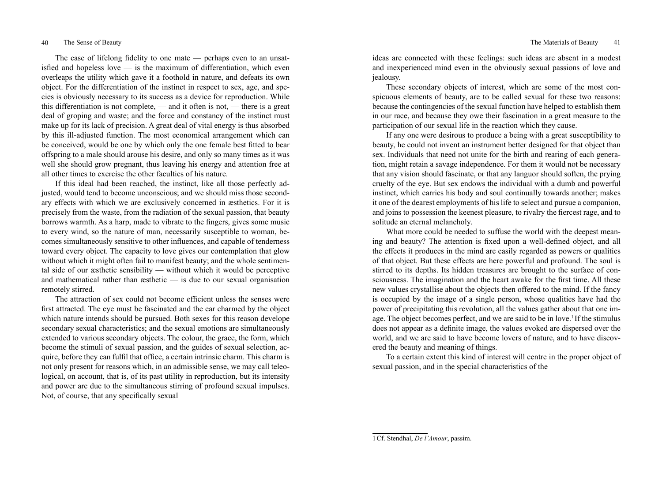The case of lifelong fidelity to one mate — perhaps even to an unsatisfied and hopeless love  $\overline{\phantom{a}}$  is the maximum of differentiation, which even overleaps the utility which gave it a foothold in nature, and defeats its own object. For the differentiation of the instinct in respect to sex, age, and species is obviously necessary to its success as a device for reproduction. While this differentiation is not complete, — and it often is not, — there is a great deal of groping and waste; and the force and constancy of the instinct must make up for its lack of precision. A great deal of vital energy is thus absorbed by this ill-adjusted function. The most economical arrangement which can be conceived, would be one by which only the one female best fitted to bear offspring to a male should arouse his desire, and only so many times as it was well she should grow pregnant, thus leaving his energy and attention free at all other times to exercise the other faculties of his nature.

If this ideal had been reached, the instinct, like all those perfectly adjusted, would tend to become unconscious; and we should miss those secondary effects with which we are exclusively concerned in æsthetics. For it is precisely from the waste, from the radiation of the sexual passion, that beauty borrows warmth. As a harp, made to vibrate to the fingers, gives some music to every wind, so the nature of man, necessarily susceptible to woman, becomes simultaneously sensitive to other influences, and capable of tenderness toward every object. The capacity to love gives our contemplation that glow without which it might often fail to manifest beauty; and the whole sentimental side of our æsthetic sensibility — without which it would be perceptive and mathematical rather than æsthetic — is due to our sexual organisation remotely stirred.

The attraction of sex could not become efficient unless the senses were first attracted. The eye must be fascinated and the ear charmed by the object which nature intends should be pursued. Both sexes for this reason develope secondary sexual characteristics; and the sexual emotions are simultaneously extended to various secondary objects. The colour, the grace, the form, which become the stimuli of sexual passion, and the guides of sexual selection, acquire, before they can fulfil that office, a certain intrinsic charm. This charm is not only present for reasons which, in an admissible sense, we may call teleological, on account, that is, of its past utility in reproduction, but its intensity and power are due to the simultaneous stirring of profound sexual impulses. Not, of course, that any specifically sexual

ideas are connected with these feelings: such ideas are absent in a modest and inexperienced mind even in the obviously sexual passions of love and jealousy.

These secondary objects of interest, which are some of the most conspicuous elements of beauty, are to be called sexual for these two reasons: because the contingencies of the sexual function have helped to establish them in our race, and because they owe their fascination in a great measure to the participation of our sexual life in the reaction which they cause.

If any one were desirous to produce a being with a great susceptibility to beauty, he could not invent an instrument better designed for that object than sex. Individuals that need not unite for the birth and rearing of each generation, might retain a savage independence. For them it would not be necessary that any vision should fascinate, or that any languor should soften, the prying cruelty of the eye. But sex endows the individual with a dumb and powerful instinct, which carries his body and soul continually towards another; makes it one of the dearest employments of his life to select and pursue a companion, and joins to possession the keenest pleasure, to rivalry the fiercest rage, and to solitude an eternal melancholy.

What more could be needed to suffuse the world with the deepest meaning and beauty? The attention is fixed upon a well-defined object, and all the effects it produces in the mind are easily regarded as powers or qualities of that object. But these effects are here powerful and profound. The soul is stirred to its depths. Its hidden treasures are brought to the surface of consciousness. The imagination and the heart awake for the first time. All these new values crystallise about the objects then offered to the mind. If the fancy is occupied by the image of a single person, whose qualities have had the power of precipitating this revolution, all the values gather about that one image. The object becomes perfect, and we are said to be in love.<sup>1</sup> If the stimulus does not appear as a definite image, the values evoked are dispersed over the world, and we are said to have become lovers of nature, and to have discovered the beauty and meaning of things.

To a certain extent this kind of interest will centre in the proper object of sexual passion, and in the special characteristics of the

<sup>1</sup>Cf. Stendhal, *De l'Amour*, passim.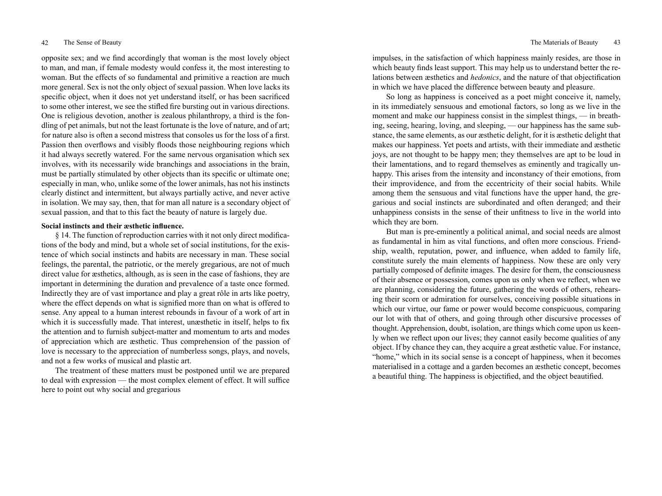opposite sex; and we find accordingly that woman is the most lovely object to man, and man, if female modesty would confess it, the most interesting to woman. But the effects of so fundamental and primitive a reaction are much more general. Sex is not the only object of sexual passion. When love lacks its specific object, when it does not yet understand itself, or has been sacrificed to some other interest, we see the stifled fire bursting out in various directions. One is religious devotion, another is zealous philanthropy, a third is the fondling of pet animals, but not the least fortunate is the love of nature, and of art; for nature also is often a second mistress that consoles us for the loss of a first. Passion then overflows and visibly floods those neighbouring regions which it had always secretly watered. For the same nervous organisation which sex involves, with its necessarily wide branchings and associations in the brain, must be partially stimulated by other objects than its specific or ultimate one; especially in man, who, unlike some of the lower animals, has not his instincts clearly distinct and intermittent, but always partially active, and never active in isolation. We may say, then, that for man all nature is a secondary object of sexual passion, and that to this fact the beauty of nature is largely due.

# **Social instincts and their æsthetic influence.**

§ 14. The function of reproduction carries with it not only direct modifications of the body and mind, but a whole set of social institutions, for the existence of which social instincts and habits are necessary in man. These social feelings, the parental, the patriotic, or the merely gregarious, are not of much direct value for æsthetics, although, as is seen in the case of fashions, they are important in determining the duration and prevalence of a taste once formed. Indirectly they are of vast importance and play a great rôle in arts like poetry, where the effect depends on what is signified more than on what is offered to sense. Any appeal to a human interest rebounds in favour of a work of art in which it is successfully made. That interest, unæsthetic in itself, helps to fix the attention and to furnish subject-matter and momentum to arts and modes of appreciation which are æsthetic. Thus comprehension of the passion of love is necessary to the appreciation of numberless songs, plays, and novels, and not a few works of musical and plastic art.

The treatment of these matters must be postponed until we are prepared to deal with expression — the most complex element of effect. It will suffice here to point out why social and gregarious

impulses, in the satisfaction of which happiness mainly resides, are those in which beauty finds least support. This may help us to understand better the relations between æsthetics and *hedonics*, and the nature of that objectification in which we have placed the difference between beauty and pleasure.

So long as happiness is conceived as a poet might conceive it, namely, in its immediately sensuous and emotional factors, so long as we live in the moment and make our happiness consist in the simplest things, — in breathing, seeing, hearing, loving, and sleeping, — our happiness has the same substance, the same elements, as our æsthetic delight, for it is æsthetic delight that makes our happiness. Yet poets and artists, with their immediate and æsthetic joys, are not thought to be happy men; they themselves are apt to be loud in their lamentations, and to regard themselves as eminently and tragically unhappy. This arises from the intensity and inconstancy of their emotions, from their improvidence, and from the eccentricity of their social habits. While among them the sensuous and vital functions have the upper hand, the gregarious and social instincts are subordinated and often deranged; and their unhappiness consists in the sense of their unfitness to live in the world into which they are born.

But man is pre-eminently a political animal, and social needs are almost as fundamental in him as vital functions, and often more conscious. Friendship, wealth, reputation, power, and influence, when added to family life, constitute surely the main elements of happiness. Now these are only very partially composed of definite images. The desire for them, the consciousness of their absence or possession, comes upon us only when we reflect, when we are planning, considering the future, gathering the words of others, rehearsing their scorn or admiration for ourselves, conceiving possible situations in which our virtue, our fame or power would become conspicuous, comparing our lot with that of others, and going through other discursive processes of thought. Apprehension, doubt, isolation, are things which come upon us keenly when we reflect upon our lives; they cannot easily become qualities of any object. If by chance they can, they acquire a great æsthetic value. For instance, "home," which in its social sense is a concept of happiness, when it becomes materialised in a cottage and a garden becomes an æsthetic concept, becomes a beautiful thing. The happiness is objectified, and the object beautified.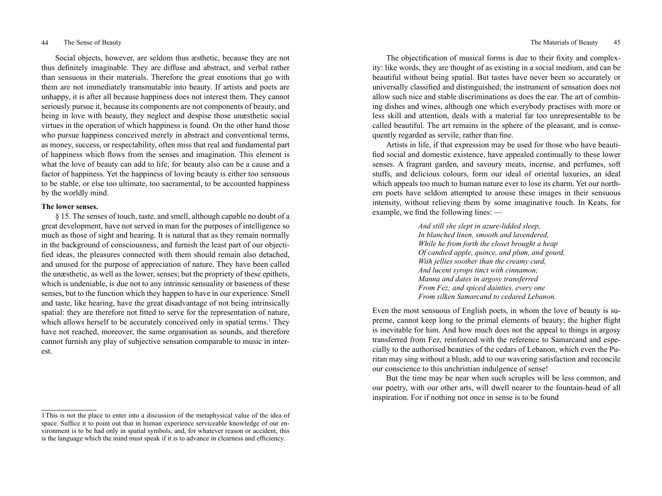Social objects, however, are seldom thus æsthetic, because they are not thus definitely imaginable. They are diffuse and abstract, and verbal rather than sensuous in their materials. Therefore the great emotions that go with them are not immediately transmutable into beauty. If artists and poets are unhappy, it is after all because happiness does not interest them. They cannot seriously pursue it, because its components are not components of beauty, and being in love with beauty, they neglect and despise those unæsthetic social virtues in the operation of which happiness is found. On the other hand those who pursue happiness conceived merely in abstract and conventional terms, as money, success, or respectability, often miss that real and fundamental part of happiness which flows from the senses and imagination. This element is what the love of beauty can add to life; for beauty also can be a cause and a factor of happiness. Yet the happiness of loving beauty is either too sensuous to be stable, or else too ultimate, too sacramental, to be accounted happiness by the worldly mind.

# **The lower senses.**

§ 15. The senses of touch, taste, and smell, although capable no doubt of a great development, have not served in man for the purposes of intelligence so much as those of sight and hearing. It is natural that as they remain normally in the background of consciousness, and furnish the least part of our objectified ideas, the pleasures connected with them should remain also detached, and unused for the purpose of appreciation of nature. They have been called the unæsthetic, as well as the lower, senses; but the propriety of these epithets, which is undeniable, is due not to any intrinsic sensuality or baseness of these senses, but to the function which they happen to have in our experience. Smell and taste, like hearing, have the great disadvantage of not being intrinsically spatial: they are therefore not fitted to serve for the representation of nature, which allows herself to be accurately conceived only in spatial terms.<sup>1</sup> They have not reached, moreover, the same organisation as sounds, and therefore cannot furnish any play of subjective sensation comparable to music in interest.

The objectification of musical forms is due to their fixity and complexity: like words, they are thought of as existing in a social medium, and can be beautiful without being spatial. But tastes have never been so accurately or universally classified and distinguished; the instrument of sensation does not allow such nice and stable discriminations as does the ear. The art of combining dishes and wines, although one which everybody practises with more or less skill and attention, deals with a material far too unrepresentable to be called beautiful. The art remains in the sphere of the pleasant, and is consequently regarded as servile, rather than fine.

Artists in life, if that expression may be used for those who have beautified social and domestic existence, have appealed continually to these lower senses. A fragrant garden, and savoury meats, incense, and perfumes, soft stuffs, and delicious colours, form our ideal of oriental luxuries, an ideal which appeals too much to human nature ever to lose its charm. Yet our northern poets have seldom attempted to arouse these images in their sensuous intensity, without relieving them by some imaginative touch. In Keats, for example, we find the following lines: —

> *And still she slept in azure-lidded sleep, In blanched linen, smooth and lavendered, While he from forth the closet brought a heap Of candied apple, quince, and plum, and gourd, With jellies soother than the creamy curd, And lucent syrops tinct with cinnamon; Manna and dates in argosy transferred From Fez; and spiced dainties, every one From silken Samarcand to cedared Lebanon.*

Even the most sensuous of English poets, in whom the love of beauty is supreme, cannot keep long to the primal elements of beauty; the higher flight is inevitable for him. And how much does not the appeal to things in argosy transferred from Fez, reinforced with the reference to Samarcand and especially to the authorised beauties of the cedars of Lebanon, which even the Puritan may sing without a blush, add to our wavering satisfaction and reconcile our conscience to this unchristian indulgence of sense!

But the time may be near when such scruples will be less common, and our poetry, with our other arts, will dwell nearer to the fountain-head of all inspiration. For if nothing not once in sense is to be found

<sup>1</sup>This is not the place to enter into a discussion of the metaphysical value of the idea of space. Suffice it to point out that in human experience serviceable knowledge of our environment is to be had only in spatial symbols, and, for whatever reason or accident, this is the language which the mind must speak if it is to advance in clearness and efficiency.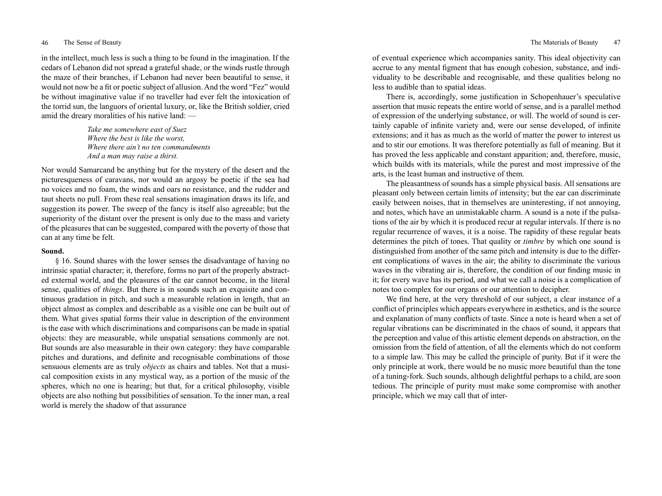in the intellect, much less is such a thing to be found in the imagination. If the cedars of Lebanon did not spread a grateful shade, or the winds rustle through the maze of their branches, if Lebanon had never been beautiful to sense, it would not now be a fit or poetic subject of allusion. And the word "Fez" would be without imaginative value if no traveller had ever felt the intoxication of the torrid sun, the languors of oriental luxury, or, like the British soldier, cried amid the dreary moralities of his native land: —

> *Take me somewhere east of Suez Where the best is like the worst, Where there ain't no ten commandments And a man may raise a thirst.*

Nor would Samarcand be anything but for the mystery of the desert and the picturesqueness of caravans, nor would an argosy be poetic if the sea had no voices and no foam, the winds and oars no resistance, and the rudder and taut sheets no pull. From these real sensations imagination draws its life, and suggestion its power. The sweep of the fancy is itself also agreeable; but the superiority of the distant over the present is only due to the mass and variety of the pleasures that can be suggested, compared with the poverty of those that can at any time be felt.

## **Sound.**

§ 16. Sound shares with the lower senses the disadvantage of having no intrinsic spatial character; it, therefore, forms no part of the properly abstracted external world, and the pleasures of the ear cannot become, in the literal sense, qualities of *things*. But there is in sounds such an exquisite and continuous gradation in pitch, and such a measurable relation in length, that an object almost as complex and describable as a visible one can be built out of them. What gives spatial forms their value in description of the environment is the ease with which discriminations and comparisons can be made in spatial objects: they are measurable, while unspatial sensations commonly are not. But sounds are also measurable in their own category: they have comparable pitches and durations, and definite and recognisable combinations of those sensuous elements are as truly *objects* as chairs and tables. Not that a musical composition exists in any mystical way, as a portion of the music of the spheres, which no one is hearing; but that, for a critical philosophy, visible objects are also nothing but possibilities of sensation. To the inner man, a real world is merely the shadow of that assurance

of eventual experience which accompanies sanity. This ideal objectivity can accrue to any mental figment that has enough cohesion, substance, and individuality to be describable and recognisable, and these qualities belong no less to audible than to spatial ideas.

There is, accordingly, some justification in Schopenhauer's speculative assertion that music repeats the entire world of sense, and is a parallel method of expression of the underlying substance, or will. The world of sound is certainly capable of infinite variety and, were our sense developed, of infinite extensions; and it has as much as the world of matter the power to interest us and to stir our emotions. It was therefore potentially as full of meaning. But it has proved the less applicable and constant apparition; and, therefore, music, which builds with its materials, while the purest and most impressive of the arts, is the least human and instructive of them.

The pleasantness of sounds has a simple physical basis. All sensations are pleasant only between certain limits of intensity; but the ear can discriminate easily between noises, that in themselves are uninteresting, if not annoying, and notes, which have an unmistakable charm. A sound is a note if the pulsations of the air by which it is produced recur at regular intervals. If there is no regular recurrence of waves, it is a noise. The rapidity of these regular beats determines the pitch of tones. That quality or *timbre* by which one sound is distinguished from another of the same pitch and intensity is due to the different complications of waves in the air; the ability to discriminate the various waves in the vibrating air is, therefore, the condition of our finding music in it; for every wave has its period, and what we call a noise is a complication of notes too complex for our organs or our attention to decipher.

We find here, at the very threshold of our subject, a clear instance of a conflict of principles which appears everywhere in æsthetics, and is the source and explanation of many conflicts of taste. Since a note is heard when a set of regular vibrations can be discriminated in the chaos of sound, it appears that the perception and value of this artistic element depends on abstraction, on the omission from the field of attention, of all the elements which do not conform to a simple law. This may be called the principle of purity. But if it were the only principle at work, there would be no music more beautiful than the tone of a tuning-fork. Such sounds, although delightful perhaps to a child, are soon tedious. The principle of purity must make some compromise with another principle, which we may call that of inter-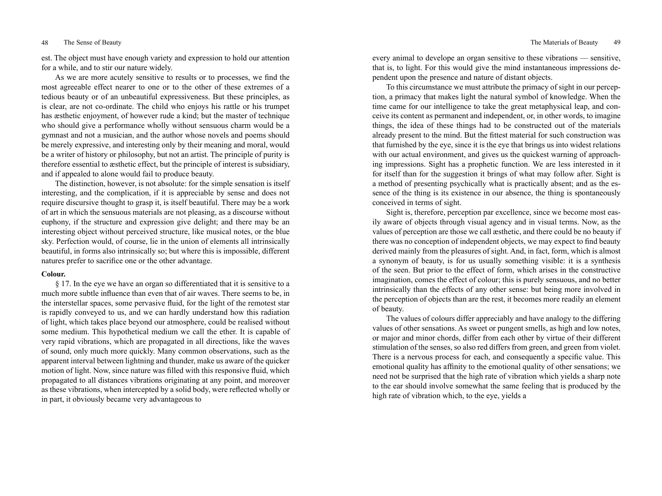est. The object must have enough variety and expression to hold our attention for a while, and to stir our nature widely.

As we are more acutely sensitive to results or to processes, we find the most agreeable effect nearer to one or to the other of these extremes of a tedious beauty or of an unbeautiful expressiveness. But these principles, as is clear, are not co-ordinate. The child who enjoys his rattle or his trumpet has æsthetic enjoyment, of however rude a kind; but the master of technique who should give a performance wholly without sensuous charm would be a gymnast and not a musician, and the author whose novels and poems should be merely expressive, and interesting only by their meaning and moral, would be a writer of history or philosophy, but not an artist. The principle of purity is therefore essential to æsthetic effect, but the principle of interest is subsidiary, and if appealed to alone would fail to produce beauty.

The distinction, however, is not absolute: for the simple sensation is itself interesting, and the complication, if it is appreciable by sense and does not require discursive thought to grasp it, is itself beautiful. There may be a work of art in which the sensuous materials are not pleasing, as a discourse without euphony, if the structure and expression give delight; and there may be an interesting object without perceived structure, like musical notes, or the blue sky. Perfection would, of course, lie in the union of elements all intrinsically beautiful, in forms also intrinsically so; but where this is impossible, different natures prefer to sacrifice one or the other advantage.

## **Colour.**

§ 17. In the eye we have an organ so differentiated that it is sensitive to a much more subtle influence than even that of air waves. There seems to be, in the interstellar spaces, some pervasive fluid, for the light of the remotest star is rapidly conveyed to us, and we can hardly understand how this radiation of light, which takes place beyond our atmosphere, could be realised without some medium. This hypothetical medium we call the ether. It is capable of very rapid vibrations, which are propagated in all directions, like the waves of sound, only much more quickly. Many common observations, such as the apparent interval between lightning and thunder, make us aware of the quicker motion of light. Now, since nature was filled with this responsive fluid, which propagated to all distances vibrations originating at any point, and moreover as these vibrations, when intercepted by a solid body, were reflected wholly or in part, it obviously became very advantageous to

every animal to develope an organ sensitive to these vibrations — sensitive, that is, to light. For this would give the mind instantaneous impressions dependent upon the presence and nature of distant objects.

To this circumstance we must attribute the primacy of sight in our perception, a primacy that makes light the natural symbol of knowledge. When the time came for our intelligence to take the great metaphysical leap, and conceive its content as permanent and independent, or, in other words, to imagine things, the idea of these things had to be constructed out of the materials already present to the mind. But the fittest material for such construction was that furnished by the eye, since it is the eye that brings us into widest relations with our actual environment, and gives us the quickest warning of approaching impressions. Sight has a prophetic function. We are less interested in it for itself than for the suggestion it brings of what may follow after. Sight is a method of presenting psychically what is practically absent; and as the essence of the thing is its existence in our absence, the thing is spontaneously conceived in terms of sight.

Sight is, therefore, perception par excellence, since we become most easily aware of objects through visual agency and in visual terms. Now, as the values of perception are those we call æsthetic, and there could be no beauty if there was no conception of independent objects, we may expect to find beauty derived mainly from the pleasures of sight. And, in fact, form, which is almost a synonym of beauty, is for us usually something visible: it is a synthesis of the seen. But prior to the effect of form, which arises in the constructive imagination, comes the effect of colour; this is purely sensuous, and no better intrinsically than the effects of any other sense: but being more involved in the perception of objects than are the rest, it becomes more readily an element of beauty.

The values of colours differ appreciably and have analogy to the differing values of other sensations. As sweet or pungent smells, as high and low notes, or major and minor chords, differ from each other by virtue of their different stimulation of the senses, so also red differs from green, and green from violet. There is a nervous process for each, and consequently a specific value. This emotional quality has affinity to the emotional quality of other sensations; we need not be surprised that the high rate of vibration which yields a sharp note to the ear should involve somewhat the same feeling that is produced by the high rate of vibration which, to the eye, yields a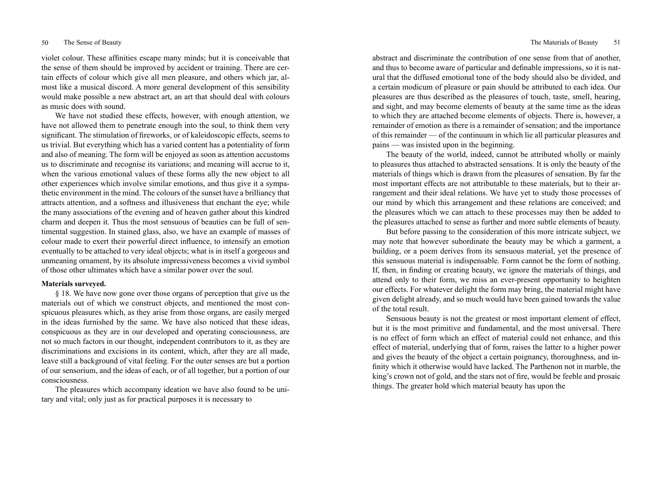violet colour. These affinities escape many minds; but it is conceivable that the sense of them should be improved by accident or training. There are certain effects of colour which give all men pleasure, and others which jar, almost like a musical discord. A more general development of this sensibility would make possible a new abstract art, an art that should deal with colours as music does with sound.

We have not studied these effects, however, with enough attention, we have not allowed them to penetrate enough into the soul, to think them very significant. The stimulation of fireworks, or of kaleidoscopic effects, seems to us trivial. But everything which has a varied content has a potentiality of form and also of meaning. The form will be enjoyed as soon as attention accustoms us to discriminate and recognise its variations; and meaning will accrue to it, when the various emotional values of these forms ally the new object to all other experiences which involve similar emotions, and thus give it a sympathetic environment in the mind. The colours of the sunset have a brilliancy that attracts attention, and a softness and illusiveness that enchant the eye; while the many associations of the evening and of heaven gather about this kindred charm and deepen it. Thus the most sensuous of beauties can be full of sentimental suggestion. In stained glass, also, we have an example of masses of colour made to exert their powerful direct influence, to intensify an emotion eventually to be attached to very ideal objects; what is in itself a gorgeous and unmeaning ornament, by its absolute impressiveness becomes a vivid symbol of those other ultimates which have a similar power over the soul.

# **Materials surveyed.**

§ 18. We have now gone over those organs of perception that give us the materials out of which we construct objects, and mentioned the most conspicuous pleasures which, as they arise from those organs, are easily merged in the ideas furnished by the same. We have also noticed that these ideas, conspicuous as they are in our developed and operating consciousness, are not so much factors in our thought, independent contributors to it, as they are discriminations and excisions in its content, which, after they are all made, leave still a background of vital feeling. For the outer senses are but a portion of our sensorium, and the ideas of each, or of all together, but a portion of our consciousness.

The pleasures which accompany ideation we have also found to be unitary and vital; only just as for practical purposes it is necessary to

abstract and discriminate the contribution of one sense from that of another, and thus to become aware of particular and definable impressions, so it is natural that the diffused emotional tone of the body should also be divided, and a certain modicum of pleasure or pain should be attributed to each idea. Our pleasures are thus described as the pleasures of touch, taste, smell, hearing, and sight, and may become elements of beauty at the same time as the ideas to which they are attached become elements of objects. There is, however, a remainder of emotion as there is a remainder of sensation; and the importance of this remainder — of the continuum in which lie all particular pleasures and pains — was insisted upon in the beginning.

The beauty of the world, indeed, cannot be attributed wholly or mainly to pleasures thus attached to abstracted sensations. It is only the beauty of the materials of things which is drawn from the pleasures of sensation. By far the most important effects are not attributable to these materials, but to their arrangement and their ideal relations. We have yet to study those processes of our mind by which this arrangement and these relations are conceived; and the pleasures which we can attach to these processes may then be added to the pleasures attached to sense as further and more subtle elements of beauty.

But before passing to the consideration of this more intricate subject, we may note that however subordinate the beauty may be which a garment, a building, or a poem derives from its sensuous material, yet the presence of this sensuous material is indispensable. Form cannot be the form of nothing. If, then, in finding or creating beauty, we ignore the materials of things, and attend only to their form, we miss an ever-present opportunity to heighten our effects. For whatever delight the form may bring, the material might have given delight already, and so much would have been gained towards the value of the total result.

Sensuous beauty is not the greatest or most important element of effect, but it is the most primitive and fundamental, and the most universal. There is no effect of form which an effect of material could not enhance, and this effect of material, underlying that of form, raises the latter to a higher power and gives the beauty of the object a certain poignancy, thoroughness, and infinity which it otherwise would have lacked. The Parthenon not in marble, the king's crown not of gold, and the stars not of fire, would be feeble and prosaic things. The greater hold which material beauty has upon the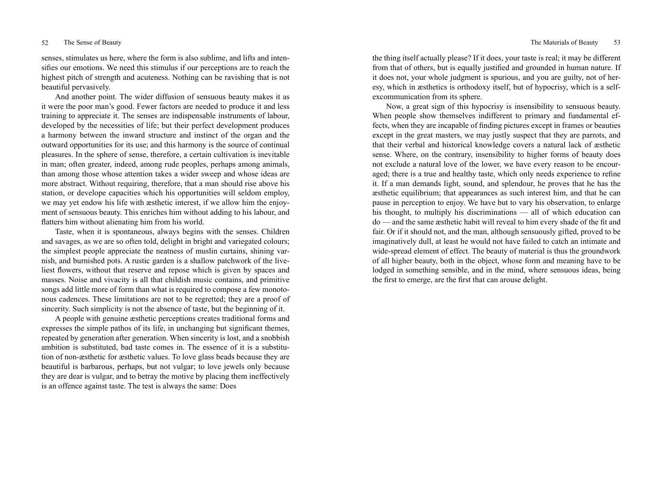senses, stimulates us here, where the form is also sublime, and lifts and intensifies our emotions. We need this stimulus if our perceptions are to reach the highest pitch of strength and acuteness. Nothing can be ravishing that is not beautiful pervasively.

And another point. The wider diffusion of sensuous beauty makes it as it were the poor man's good. Fewer factors are needed to produce it and less training to appreciate it. The senses are indispensable instruments of labour, developed by the necessities of life; but their perfect development produces a harmony between the inward structure and instinct of the organ and the outward opportunities for its use; and this harmony is the source of continual pleasures. In the sphere of sense, therefore, a certain cultivation is inevitable in man; often greater, indeed, among rude peoples, perhaps among animals, than among those whose attention takes a wider sweep and whose ideas are more abstract. Without requiring, therefore, that a man should rise above his station, or develope capacities which his opportunities will seldom employ, we may yet endow his life with æsthetic interest, if we allow him the enjoyment of sensuous beauty. This enriches him without adding to his labour, and flatters him without alienating him from his world.

Taste, when it is spontaneous, always begins with the senses. Children and savages, as we are so often told, delight in bright and variegated colours; the simplest people appreciate the neatness of muslin curtains, shining varnish, and burnished pots. A rustic garden is a shallow patchwork of the liveliest flowers, without that reserve and repose which is given by spaces and masses. Noise and vivacity is all that childish music contains, and primitive songs add little more of form than what is required to compose a few monotonous cadences. These limitations are not to be regretted; they are a proof of sincerity. Such simplicity is not the absence of taste, but the beginning of it.

A people with genuine æsthetic perceptions creates traditional forms and expresses the simple pathos of its life, in unchanging but significant themes, repeated by generation after generation. When sincerity is lost, and a snobbish ambition is substituted, bad taste comes in. The essence of it is a substitution of non-æsthetic for æsthetic values. To love glass beads because they are beautiful is barbarous, perhaps, but not vulgar; to love jewels only because they are dear is vulgar, and to betray the motive by placing them ineffectively is an offence against taste. The test is always the same: Does

the thing itself actually please? If it does, your taste is real; it may be different from that of others, but is equally justified and grounded in human nature. If it does not, your whole judgment is spurious, and you are guilty, not of heresy, which in æsthetics is orthodoxy itself, but of hypocrisy, which is a selfexcommunication from its sphere.

Now, a great sign of this hypocrisy is insensibility to sensuous beauty. When people show themselves indifferent to primary and fundamental effects, when they are incapable of finding pictures except in frames or beauties except in the great masters, we may justly suspect that they are parrots, and that their verbal and historical knowledge covers a natural lack of æsthetic sense. Where, on the contrary, insensibility to higher forms of beauty does not exclude a natural love of the lower, we have every reason to be encouraged; there is a true and healthy taste, which only needs experience to refine it. If a man demands light, sound, and splendour, he proves that he has the æsthetic equilibrium; that appearances as such interest him, and that he can pause in perception to enjoy. We have but to vary his observation, to enlarge his thought, to multiply his discriminations — all of which education can do — and the same æsthetic habit will reveal to him every shade of the fit and fair. Or if it should not, and the man, although sensuously gifted, proved to be imaginatively dull, at least he would not have failed to catch an intimate and wide-spread element of effect. The beauty of material is thus the groundwork of all higher beauty, both in the object, whose form and meaning have to be lodged in something sensible, and in the mind, where sensuous ideas, being the first to emerge, are the first that can arouse delight.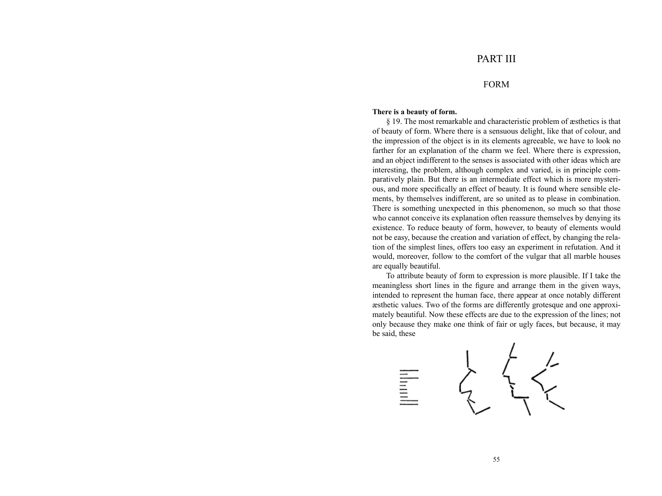# FORM

# **There is a beauty of form.**

§ 19. The most remarkable and characteristic problem of æsthetics is that of beauty of form. Where there is a sensuous delight, like that of colour, and the impression of the object is in its elements agreeable, we have to look no farther for an explanation of the charm we feel. Where there is expression, and an object indifferent to the senses is associated with other ideas which are interesting, the problem, although complex and varied, is in principle comparatively plain. But there is an intermediate effect which is more mysterious, and more specifically an effect of beauty. It is found where sensible elements, by themselves indifferent, are so united as to please in combination. There is something unexpected in this phenomenon, so much so that those who cannot conceive its explanation often reassure themselves by denying its existence. To reduce beauty of form, however, to beauty of elements would not be easy, because the creation and variation of effect, by changing the relation of the simplest lines, offers too easy an experiment in refutation. And it would, moreover, follow to the comfort of the vulgar that all marble houses are equally beautiful.

To attribute beauty of form to expression is more plausible. If I take the meaningless short lines in the figure and arrange them in the given ways, intended to represent the human face, there appear at once notably different æsthetic values. Two of the forms are differently grotesque and one approximately beautiful. Now these effects are due to the expression of the lines; not only because they make one think of fair or ugly faces, but because, it may be said, these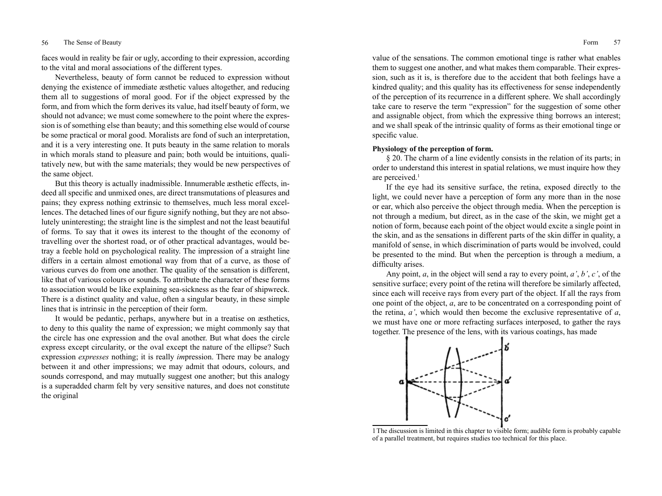## 56 The Sense of Beauty Form 57

faces would in reality be fair or ugly, according to their expression, according to the vital and moral associations of the different types.

Nevertheless, beauty of form cannot be reduced to expression without denying the existence of immediate æsthetic values altogether, and reducing them all to suggestions of moral good. For if the object expressed by the form, and from which the form derives its value, had itself beauty of form, we should not advance; we must come somewhere to the point where the expression is of something else than beauty; and this something else would of course be some practical or moral good. Moralists are fond of such an interpretation, and it is a very interesting one. It puts beauty in the same relation to morals in which morals stand to pleasure and pain; both would be intuitions, qualitatively new, but with the same materials; they would be new perspectives of the same object.

But this theory is actually inadmissible. Innumerable æsthetic effects, indeed all specific and unmixed ones, are direct transmutations of pleasures and pains; they express nothing extrinsic to themselves, much less moral excellences. The detached lines of our figure signify nothing, but they are not absolutely uninteresting; the straight line is the simplest and not the least beautiful of forms. To say that it owes its interest to the thought of the economy of travelling over the shortest road, or of other practical advantages, would betray a feeble hold on psychological reality. The impression of a straight line differs in a certain almost emotional way from that of a curve, as those of various curves do from one another. The quality of the sensation is different, like that of various colours or sounds. To attribute the character of these forms to association would be like explaining sea-sickness as the fear of shipwreck. There is a distinct quality and value, often a singular beauty, in these simple lines that is intrinsic in the perception of their form.

It would be pedantic, perhaps, anywhere but in a treatise on æsthetics, to deny to this quality the name of expression; we might commonly say that the circle has one expression and the oval another. But what does the circle express except circularity, or the oval except the nature of the ellipse? Such expression *expresses* nothing; it is really *im*pression. There may be analogy between it and other impressions; we may admit that odours, colours, and sounds correspond, and may mutually suggest one another; but this analogy is a superadded charm felt by very sensitive natures, and does not constitute the original

value of the sensations. The common emotional tinge is rather what enables them to suggest one another, and what makes them comparable. Their expression, such as it is, is therefore due to the accident that both feelings have a kindred quality; and this quality has its effectiveness for sense independently of the perception of its recurrence in a different sphere. We shall accordingly take care to reserve the term "expression" for the suggestion of some other and assignable object, from which the expressive thing borrows an interest; and we shall speak of the intrinsic quality of forms as their emotional tinge or specific value.

# **Physiology of the perception of form.**

§ 20. The charm of a line evidently consists in the relation of its parts; in order to understand this interest in spatial relations, we must inquire how they are perceived.<sup>1</sup>

If the eye had its sensitive surface, the retina, exposed directly to the light, we could never have a perception of form any more than in the nose or ear, which also perceive the object through media. When the perception is not through a medium, but direct, as in the case of the skin, we might get a notion of form, because each point of the object would excite a single point in the skin, and as the sensations in different parts of the skin differ in quality, a manifold of sense, in which discrimination of parts would be involved, could be presented to the mind. But when the perception is through a medium, a difficulty arises.

Any point, *a*, in the object will send a ray to every point, *a'*, *b'*, *c'*, of the sensitive surface; every point of the retina will therefore be similarly affected, since each will receive rays from every part of the object. If all the rays from one point of the object, *a*, are to be concentrated on a corresponding point of the retina, *a'*, which would then become the exclusive representative of *a*, we must have one or more refracting surfaces interposed, to gather the rays together. The presence of the lens, with its various coatings, has made



1The discussion is limited in this chapter to visible form; audible form is probably capable of a parallel treatment, but requires studies too technical for this place.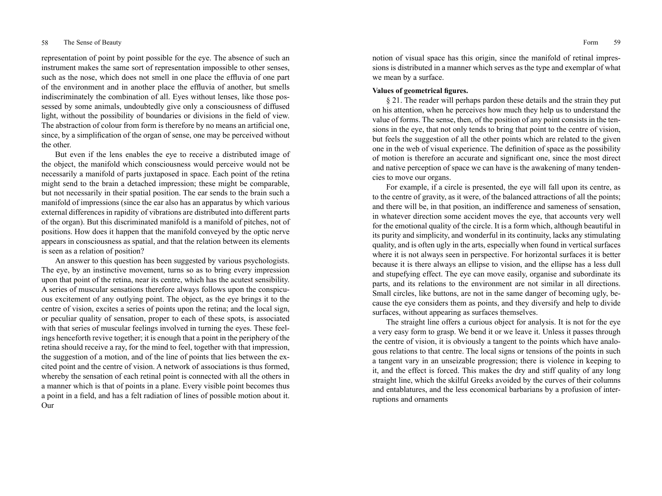representation of point by point possible for the eye. The absence of such an instrument makes the same sort of representation impossible to other senses, such as the nose, which does not smell in one place the effluvia of one part of the environment and in another place the effluvia of another, but smells indiscriminately the combination of all. Eyes without lenses, like those possessed by some animals, undoubtedly give only a consciousness of diffused light, without the possibility of boundaries or divisions in the field of view. The abstraction of colour from form is therefore by no means an artificial one, since, by a simplification of the organ of sense, one may be perceived without the other.

But even if the lens enables the eye to receive a distributed image of the object, the manifold which consciousness would perceive would not be necessarily a manifold of parts juxtaposed in space. Each point of the retina might send to the brain a detached impression; these might be comparable, but not necessarily in their spatial position. The ear sends to the brain such a manifold of impressions (since the ear also has an apparatus by which various external differences in rapidity of vibrations are distributed into different parts of the organ). But this discriminated manifold is a manifold of pitches, not of positions. How does it happen that the manifold conveyed by the optic nerve appears in consciousness as spatial, and that the relation between its elements is seen as a relation of position?

An answer to this question has been suggested by various psychologists. The eye, by an instinctive movement, turns so as to bring every impression upon that point of the retina, near its centre, which has the acutest sensibility. A series of muscular sensations therefore always follows upon the conspicuous excitement of any outlying point. The object, as the eye brings it to the centre of vision, excites a series of points upon the retina; and the local sign, or peculiar quality of sensation, proper to each of these spots, is associated with that series of muscular feelings involved in turning the eyes. These feelings henceforth revive together; it is enough that a point in the periphery of the retina should receive a ray, for the mind to feel, together with that impression, the suggestion of a motion, and of the line of points that lies between the excited point and the centre of vision. A network of associations is thus formed, whereby the sensation of each retinal point is connected with all the others in a manner which is that of points in a plane. Every visible point becomes thus a point in a field, and has a felt radiation of lines of possible motion about it. Our

notion of visual space has this origin, since the manifold of retinal impressions is distributed in a manner which serves as the type and exemplar of what we mean by a surface.

# **Values of geometrical figures.**

§ 21. The reader will perhaps pardon these details and the strain they put on his attention, when he perceives how much they help us to understand the value of forms. The sense, then, of the position of any point consists in the tensions in the eye, that not only tends to bring that point to the centre of vision, but feels the suggestion of all the other points which are related to the given one in the web of visual experience. The definition of space as the possibility of motion is therefore an accurate and significant one, since the most direct and native perception of space we can have is the awakening of many tendencies to move our organs.

For example, if a circle is presented, the eye will fall upon its centre, as to the centre of gravity, as it were, of the balanced attractions of all the points; and there will be, in that position, an indifference and sameness of sensation, in whatever direction some accident moves the eye, that accounts very well for the emotional quality of the circle. It is a form which, although beautiful in its purity and simplicity, and wonderful in its continuity, lacks any stimulating quality, and is often ugly in the arts, especially when found in vertical surfaces where it is not always seen in perspective. For horizontal surfaces it is better because it is there always an ellipse to vision, and the ellipse has a less dull and stupefying effect. The eye can move easily, organise and subordinate its parts, and its relations to the environment are not similar in all directions. Small circles, like buttons, are not in the same danger of becoming ugly, because the eye considers them as points, and they diversify and help to divide surfaces, without appearing as surfaces themselves.

The straight line offers a curious object for analysis. It is not for the eye a very easy form to grasp. We bend it or we leave it. Unless it passes through the centre of vision, it is obviously a tangent to the points which have analogous relations to that centre. The local signs or tensions of the points in such a tangent vary in an unseizable progression; there is violence in keeping to it, and the effect is forced. This makes the dry and stiff quality of any long straight line, which the skilful Greeks avoided by the curves of their columns and entablatures, and the less economical barbarians by a profusion of interruptions and ornaments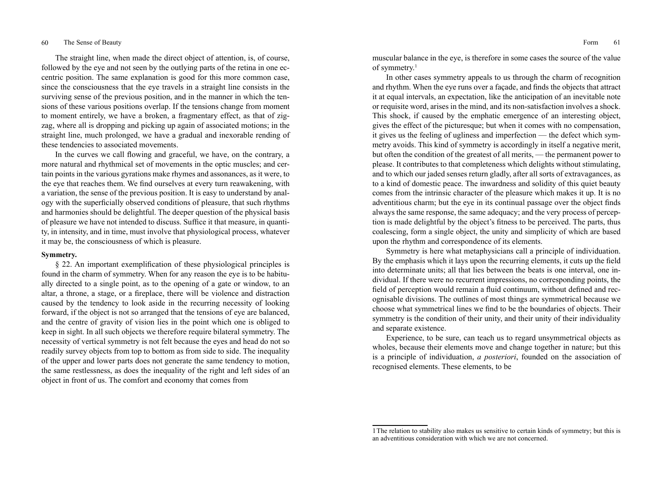## 60 The Sense of Beauty Form 61

The straight line, when made the direct object of attention, is, of course, followed by the eye and not seen by the outlying parts of the retina in one eccentric position. The same explanation is good for this more common case, since the consciousness that the eye travels in a straight line consists in the surviving sense of the previous position, and in the manner in which the tensions of these various positions overlap. If the tensions change from moment to moment entirely, we have a broken, a fragmentary effect, as that of zigzag, where all is dropping and picking up again of associated motions; in the straight line, much prolonged, we have a gradual and inexorable rending of these tendencies to associated movements.

In the curves we call flowing and graceful, we have, on the contrary, a more natural and rhythmical set of movements in the optic muscles; and certain points in the various gyrations make rhymes and assonances, as it were, to the eye that reaches them. We find ourselves at every turn reawakening, with a variation, the sense of the previous position. It is easy to understand by analogy with the superficially observed conditions of pleasure, that such rhythms and harmonies should be delightful. The deeper question of the physical basis of pleasure we have not intended to discuss. Suffice it that measure, in quantity, in intensity, and in time, must involve that physiological process, whatever it may be, the consciousness of which is pleasure.

## **Symmetry.**

§ 22. An important exemplification of these physiological principles is found in the charm of symmetry. When for any reason the eye is to be habitually directed to a single point, as to the opening of a gate or window, to an altar, a throne, a stage, or a fireplace, there will be violence and distraction caused by the tendency to look aside in the recurring necessity of looking forward, if the object is not so arranged that the tensions of eye are balanced, and the centre of gravity of vision lies in the point which one is obliged to keep in sight. In all such objects we therefore require bilateral symmetry. The necessity of vertical symmetry is not felt because the eyes and head do not so readily survey objects from top to bottom as from side to side. The inequality of the upper and lower parts does not generate the same tendency to motion, the same restlessness, as does the inequality of the right and left sides of an object in front of us. The comfort and economy that comes from

muscular balance in the eye, is therefore in some cases the source of the value of symmetry.<sup>1</sup>

In other cases symmetry appeals to us through the charm of recognition and rhythm. When the eye runs over a façade, and finds the objects that attract it at equal intervals, an expectation, like the anticipation of an inevitable note or requisite word, arises in the mind, and its non-satisfaction involves a shock. This shock, if caused by the emphatic emergence of an interesting object, gives the effect of the picturesque; but when it comes with no compensation, it gives us the feeling of ugliness and imperfection — the defect which symmetry avoids. This kind of symmetry is accordingly in itself a negative merit, but often the condition of the greatest of all merits, — the permanent power to please. It contributes to that completeness which delights without stimulating, and to which our jaded senses return gladly, after all sorts of extravagances, as to a kind of domestic peace. The inwardness and solidity of this quiet beauty comes from the intrinsic character of the pleasure which makes it up. It is no adventitious charm; but the eye in its continual passage over the object finds always the same response, the same adequacy; and the very process of perception is made delightful by the object's fitness to be perceived. The parts, thus coalescing, form a single object, the unity and simplicity of which are based upon the rhythm and correspondence of its elements.

Symmetry is here what metaphysicians call a principle of individuation. By the emphasis which it lays upon the recurring elements, it cuts up the field into determinate units; all that lies between the beats is one interval, one individual. If there were no recurrent impressions, no corresponding points, the field of perception would remain a fluid continuum, without defined and recognisable divisions. The outlines of most things are symmetrical because we choose what symmetrical lines we find to be the boundaries of objects. Their symmetry is the condition of their unity, and their unity of their individuality and separate existence.

Experience, to be sure, can teach us to regard unsymmetrical objects as wholes, because their elements move and change together in nature; but this is a principle of individuation, *a posteriori*, founded on the association of recognised elements. These elements, to be

<sup>1</sup>The relation to stability also makes us sensitive to certain kinds of symmetry; but this is an adventitious consideration with which we are not concerned.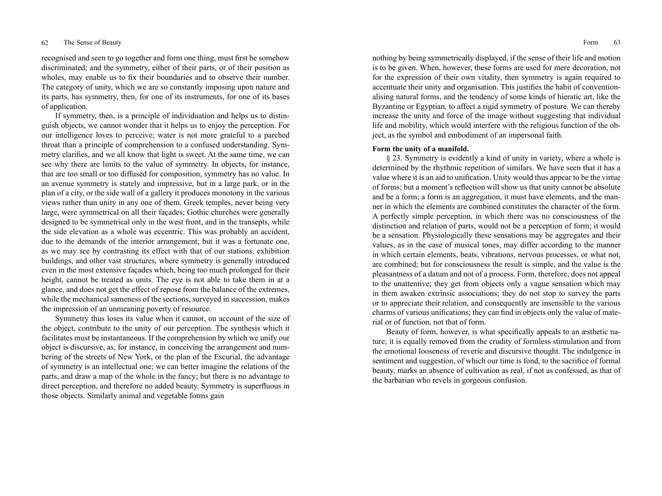recognised and seen to go together and form one thing, must first be somehow discriminated; and the symmetry, either of their parts, or of their position as wholes, may enable us to fix their boundaries and to observe their number. The category of unity, which we are so constantly imposing upon nature and its parts, has symmetry, then, for one of its instruments, for one of its bases of application.

If symmetry, then, is a principle of individuation and helps us to distinguish objects, we cannot wonder that it helps us to enjoy the perception. For our intelligence loves to perceive; water is not more grateful to a parched throat than a principle of comprehension to a confused understanding. Symmetry clarifies, and we all know that light is sweet. At the same time, we can see why there are limits to the value of symmetry. In objects, for instance, that are too small or too diffused for composition, symmetry has no value. In an avenue symmetry is stately and impressive, but in a large park, or in the plan of a city, or the side wall of a gallery it produces monotony in the various views rather than unity in any one of them. Greek temples, never being very large, were symmetrical on all their façades; Gothic churches were generally designed to be symmetrical only in the west front, and in the transepts, while the side elevation as a whole was eccentric. This was probably an accident, due to the demands of the interior arrangement; but it was a fortunate one, as we may see by contrasting its effect with that of our stations, exhibition buildings, and other vast structures, where symmetry is generally introduced even in the most extensive façades which, being too much prolonged for their height, cannot be treated as units. The eye is not able to take them in at a glance, and does not get the effect of repose from the balance of the extremes, while the mechanical sameness of the sections, surveyed in succession, makes the impression of an unmeaning poverty of resource.

Symmetry thus loses its value when it cannot, on account of the size of the object, contribute to the unity of our perception. The synthesis which it facilitates must be instantaneous. If the comprehension by which we unify our object is discursive, as, for instance, in conceiving the arrangement and numbering of the streets of New York, or the plan of the Escurial, the advantage of symmetry is an intellectual one; we can better imagine the relations of the parts, and draw a map of the whole in the fancy; but there is no advantage to direct perception, and therefore no added beauty. Symmetry is superfluous in those objects. Similarly animal and vegetable forms gain

nothing by being symmetrically displayed, if the sense of their life and motion is to be given. When, however, these forms are used for mere decoration, not for the expression of their own vitality, then symmetry is again required to accentuate their unity and organisation. This justifies the habit of conventionalising natural forms, and the tendency of some kinds of hieratic art, like the Byzantine or Egyptian, to affect a rigid symmetry of posture. We can thereby increase the unity and force of the image without suggesting that individual life and mobility, which would interfere with the religious function of the object, as the symbol and embodiment of an impersonal faith.

# **Form the unity of a manifold.**

§ 23. Symmetry is evidently a kind of unity in variety, where a whole is determined by the rhythmic repetition of similars. We have seen that it has a value where it is an aid to unification. Unity would thus appear to be the virtue of forms; but a moment's reflection will show us that unity cannot be absolute and be a form; a form is an aggregation, it must have elements, and the manner in which the elements are combined constitutes the character of the form. A perfectly simple perception, in which there was no consciousness of the distinction and relation of parts, would not be a perception of form; it would be a sensation. Physiologically these sensations may be aggregates and their values, as in the case of musical tones, may differ according to the manner in which certain elements, beats, vibrations, nervous processes, or what not, are combined; but for consciousness the result is simple, and the value is the pleasantness of a datum and not of a process. Form, therefore, does not appeal to the unattentive; they get from objects only a vague sensation which may in them awaken extrinsic associations; they do not stop to survey the parts or to appreciate their relation, and consequently are insensible to the various charms of various unifications; they can find in objects only the value of material or of function, not that of form.

Beauty of form, however, is what specifically appeals to an æsthetic nature; it is equally removed from the crudity of formless stimulation and from the emotional looseness of reverie and discursive thought. The indulgence in sentiment and suggestion, of which our time is fond, to the sacrifice of formal beauty, marks an absence of cultivation as real, if not as confessed, as that of the barbarian who revels in gorgeous confusion.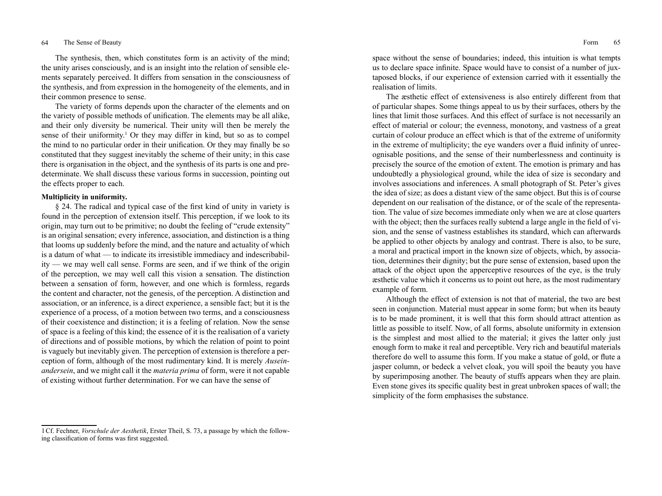## 64 The Sense of Beauty Form 65

The synthesis, then, which constitutes form is an activity of the mind; the unity arises consciously, and is an insight into the relation of sensible elements separately perceived. It differs from sensation in the consciousness of the synthesis, and from expression in the homogeneity of the elements, and in their common presence to sense.

The variety of forms depends upon the character of the elements and on the variety of possible methods of unification. The elements may be all alike, and their only diversity be numerical. Their unity will then be merely the sense of their uniformity.<sup>1</sup> Or they may differ in kind, but so as to compel the mind to no particular order in their unification. Or they may finally be so constituted that they suggest inevitably the scheme of their unity; in this case there is organisation in the object, and the synthesis of its parts is one and predeterminate. We shall discuss these various forms in succession, pointing out the effects proper to each.

# **Multiplicity in uniformity.**

§ 24. The radical and typical case of the first kind of unity in variety is found in the perception of extension itself. This perception, if we look to its origin, may turn out to be primitive; no doubt the feeling of "crude extensity" is an original sensation; every inference, association, and distinction is a thing that looms up suddenly before the mind, and the nature and actuality of which is a datum of what — to indicate its irresistible immediacy and indescribability — we may well call sense. Forms are seen, and if we think of the origin of the perception, we may well call this vision a sensation. The distinction between a sensation of form, however, and one which is formless, regards the content and character, not the genesis, of the perception. A distinction and association, or an inference, is a direct experience, a sensible fact; but it is the experience of a process, of a motion between two terms, and a consciousness of their coexistence and distinction; it is a feeling of relation. Now the sense of space is a feeling of this kind; the essence of it is the realisation of a variety of directions and of possible motions, by which the relation of point to point is vaguely but inevitably given. The perception of extension is therefore a perception of form, although of the most rudimentary kind. It is merely *Auseinandersein*, and we might call it the *materia prima* of form, were it not capable of existing without further determination. For we can have the sense of

space without the sense of boundaries; indeed, this intuition is what tempts us to declare space infinite. Space would have to consist of a number of juxtaposed blocks, if our experience of extension carried with it essentially the realisation of limits.

The æsthetic effect of extensiveness is also entirely different from that of particular shapes. Some things appeal to us by their surfaces, others by the lines that limit those surfaces. And this effect of surface is not necessarily an effect of material or colour; the evenness, monotony, and vastness of a great curtain of colour produce an effect which is that of the extreme of uniformity in the extreme of multiplicity; the eye wanders over a fluid infinity of unrecognisable positions, and the sense of their numberlessness and continuity is precisely the source of the emotion of extent. The emotion is primary and has undoubtedly a physiological ground, while the idea of size is secondary and involves associations and inferences. A small photograph of St. Peter's gives the idea of size; as does a distant view of the same object. But this is of course dependent on our realisation of the distance, or of the scale of the representation. The value of size becomes immediate only when we are at close quarters with the object; then the surfaces really subtend a large angle in the field of vision, and the sense of vastness establishes its standard, which can afterwards be applied to other objects by analogy and contrast. There is also, to be sure, a moral and practical import in the known size of objects, which, by association, determines their dignity; but the pure sense of extension, based upon the attack of the object upon the apperceptive resources of the eye, is the truly æsthetic value which it concerns us to point out here, as the most rudimentary example of form.

Although the effect of extension is not that of material, the two are best seen in conjunction. Material must appear in some form; but when its beauty is to be made prominent, it is well that this form should attract attention as little as possible to itself. Now, of all forms, absolute uniformity in extension is the simplest and most allied to the material; it gives the latter only just enough form to make it real and perceptible. Very rich and beautiful materials therefore do well to assume this form. If you make a statue of gold, or flute a jasper column, or bedeck a velvet cloak, you will spoil the beauty you have by superimposing another. The beauty of stuffs appears when they are plain. Even stone gives its specific quality best in great unbroken spaces of wall; the simplicity of the form emphasises the substance.

<sup>1</sup>Cf. Fechner, *Vorschule der Aesthetik*, Erster Theil, S. 73, a passage by which the following classification of forms was first suggested.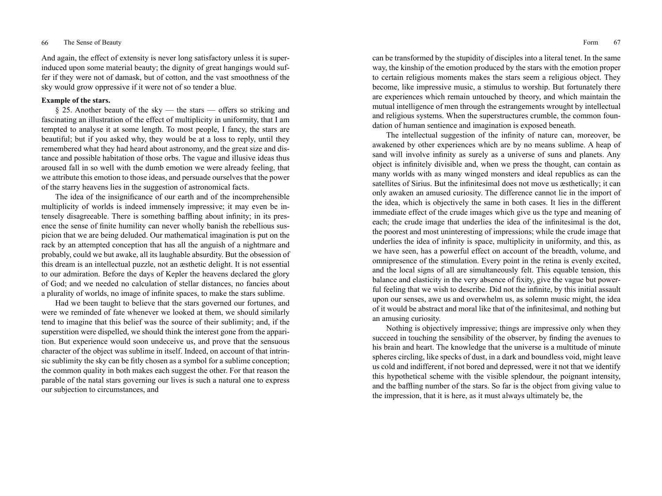## 66 The Sense of Beauty Form 67

And again, the effect of extensity is never long satisfactory unless it is superinduced upon some material beauty; the dignity of great hangings would suffer if they were not of damask, but of cotton, and the vast smoothness of the sky would grow oppressive if it were not of so tender a blue.

# **Example of the stars.**

§ 25. Another beauty of the sky — the stars — offers so striking and fascinating an illustration of the effect of multiplicity in uniformity, that I am tempted to analyse it at some length. To most people, I fancy, the stars are beautiful; but if you asked why, they would be at a loss to reply, until they remembered what they had heard about astronomy, and the great size and distance and possible habitation of those orbs. The vague and illusive ideas thus aroused fall in so well with the dumb emotion we were already feeling, that we attribute this emotion to those ideas, and persuade ourselves that the power of the starry heavens lies in the suggestion of astronomical facts.

The idea of the insignificance of our earth and of the incomprehensible multiplicity of worlds is indeed immensely impressive; it may even be intensely disagreeable. There is something baffling about infinity; in its presence the sense of finite humility can never wholly banish the rebellious suspicion that we are being deluded. Our mathematical imagination is put on the rack by an attempted conception that has all the anguish of a nightmare and probably, could we but awake, all its laughable absurdity. But the obsession of this dream is an intellectual puzzle, not an æsthetic delight. It is not essential to our admiration. Before the days of Kepler the heavens declared the glory of God; and we needed no calculation of stellar distances, no fancies about a plurality of worlds, no image of infinite spaces, to make the stars sublime.

Had we been taught to believe that the stars governed our fortunes, and were we reminded of fate whenever we looked at them, we should similarly tend to imagine that this belief was the source of their sublimity; and, if the superstition were dispelled, we should think the interest gone from the apparition. But experience would soon undeceive us, and prove that the sensuous character of the object was sublime in itself. Indeed, on account of that intrinsic sublimity the sky can be fitly chosen as a symbol for a sublime conception; the common quality in both makes each suggest the other. For that reason the parable of the natal stars governing our lives is such a natural one to express our subjection to circumstances, and

can be transformed by the stupidity of disciples into a literal tenet. In the same way, the kinship of the emotion produced by the stars with the emotion proper to certain religious moments makes the stars seem a religious object. They become, like impressive music, a stimulus to worship. But fortunately there are experiences which remain untouched by theory, and which maintain the mutual intelligence of men through the estrangements wrought by intellectual and religious systems. When the superstructures crumble, the common foundation of human sentience and imagination is exposed beneath.

The intellectual suggestion of the infinity of nature can, moreover, be awakened by other experiences which are by no means sublime. A heap of sand will involve infinity as surely as a universe of suns and planets. Any object is infinitely divisible and, when we press the thought, can contain as many worlds with as many winged monsters and ideal republics as can the satellites of Sirius. But the infinitesimal does not move us æsthetically; it can only awaken an amused curiosity. The difference cannot lie in the import of the idea, which is objectively the same in both cases. It lies in the different immediate effect of the crude images which give us the type and meaning of each; the crude image that underlies the idea of the infinitesimal is the dot, the poorest and most uninteresting of impressions; while the crude image that underlies the idea of infinity is space, multiplicity in uniformity, and this, as we have seen, has a powerful effect on account of the breadth, volume, and omnipresence of the stimulation. Every point in the retina is evenly excited, and the local signs of all are simultaneously felt. This equable tension, this balance and elasticity in the very absence of fixity, give the vague but powerful feeling that we wish to describe. Did not the infinite, by this initial assault upon our senses, awe us and overwhelm us, as solemn music might, the idea of it would be abstract and moral like that of the infinitesimal, and nothing but an amusing curiosity.

Nothing is objectively impressive; things are impressive only when they succeed in touching the sensibility of the observer, by finding the avenues to his brain and heart. The knowledge that the universe is a multitude of minute spheres circling, like specks of dust, in a dark and boundless void, might leave us cold and indifferent, if not bored and depressed, were it not that we identify this hypothetical scheme with the visible splendour, the poignant intensity, and the baffling number of the stars. So far is the object from giving value to the impression, that it is here, as it must always ultimately be, the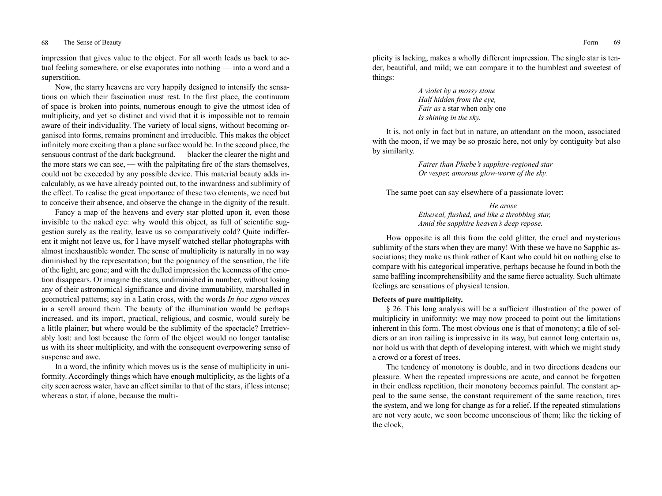impression that gives value to the object. For all worth leads us back to actual feeling somewhere, or else evaporates into nothing — into a word and a superstition.

Now, the starry heavens are very happily designed to intensify the sensations on which their fascination must rest. In the first place, the continuum of space is broken into points, numerous enough to give the utmost idea of multiplicity, and yet so distinct and vivid that it is impossible not to remain aware of their individuality. The variety of local signs, without becoming organised into forms, remains prominent and irreducible. This makes the object infinitely more exciting than a plane surface would be. In the second place, the sensuous contrast of the dark background, — blacker the clearer the night and the more stars we can see, — with the palpitating fire of the stars themselves, could not be exceeded by any possible device. This material beauty adds incalculably, as we have already pointed out, to the inwardness and sublimity of the effect. To realise the great importance of these two elements, we need but to conceive their absence, and observe the change in the dignity of the result.

Fancy a map of the heavens and every star plotted upon it, even those invisible to the naked eye: why would this object, as full of scientific suggestion surely as the reality, leave us so comparatively cold? Quite indifferent it might not leave us, for I have myself watched stellar photographs with almost inexhaustible wonder. The sense of multiplicity is naturally in no way diminished by the representation; but the poignancy of the sensation, the life of the light, are gone; and with the dulled impression the keenness of the emotion disappears. Or imagine the stars, undiminished in number, without losing any of their astronomical significance and divine immutability, marshalled in geometrical patterns; say in a Latin cross, with the words *In hoc signo vinces* in a scroll around them. The beauty of the illumination would be perhaps increased, and its import, practical, religious, and cosmic, would surely be a little plainer; but where would be the sublimity of the spectacle? Irretrievably lost: and lost because the form of the object would no longer tantalise us with its sheer multiplicity, and with the consequent overpowering sense of suspense and awe.

In a word, the infinity which moves us is the sense of multiplicity in uniformity. Accordingly things which have enough multiplicity, as the lights of a city seen across water, have an effect similar to that of the stars, if less intense; whereas a star, if alone, because the multi-

plicity is lacking, makes a wholly different impression. The single star is tender, beautiful, and mild; we can compare it to the humblest and sweetest of things:

> *A violet by a mossy stone Half hidden from the eye, Fair as* a star when only one *Is shining in the sky.*

It is, not only in fact but in nature, an attendant on the moon, associated with the moon, if we may be so prosaic here, not only by contiguity but also by similarity.

> *Fairer than Phœbe's sapphire-regioned star Or vesper, amorous glow-worm of the sky.*

The same poet can say elsewhere of a passionate lover:

 *He arose Ethereal, flushed, and like a throbbing star, Amid the sapphire heaven's deep repose.*

How opposite is all this from the cold glitter, the cruel and mysterious sublimity of the stars when they are many! With these we have no Sapphic associations; they make us think rather of Kant who could hit on nothing else to compare with his categorical imperative, perhaps because he found in both the same baffling incomprehensibility and the same fierce actuality. Such ultimate feelings are sensations of physical tension.

## **Defects of pure multiplicity.**

§ 26. This long analysis will be a sufficient illustration of the power of multiplicity in uniformity; we may now proceed to point out the limitations inherent in this form. The most obvious one is that of monotony; a file of soldiers or an iron railing is impressive in its way, but cannot long entertain us, nor hold us with that depth of developing interest, with which we might study a crowd or a forest of trees.

The tendency of monotony is double, and in two directions deadens our pleasure. When the repeated impressions are acute, and cannot be forgotten in their endless repetition, their monotony becomes painful. The constant appeal to the same sense, the constant requirement of the same reaction, tires the system, and we long for change as for a relief. If the repeated stimulations are not very acute, we soon become unconscious of them; like the ticking of the clock,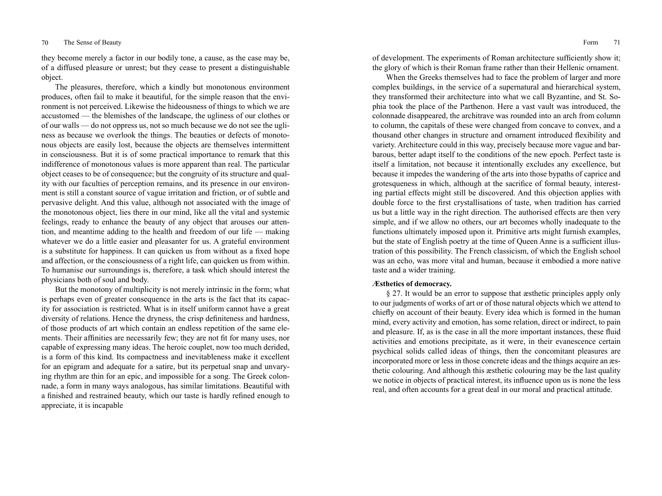they become merely a factor in our bodily tone, a cause, as the case may be, of a diffused pleasure or unrest; but they cease to present a distinguishable object.

The pleasures, therefore, which a kindly but monotonous environment produces, often fail to make it beautiful, for the simple reason that the environment is not perceived. Likewise the hideousness of things to which we are accustomed — the blemishes of the landscape, the ugliness of our clothes or of our walls — do not oppress us, not so much because we do not see the ugliness as because we overlook the things. The beauties or defects of monotonous objects are easily lost, because the objects are themselves intermittent in consciousness. But it is of some practical importance to remark that this indifference of monotonous values is more apparent than real. The particular object ceases to be of consequence; but the congruity of its structure and quality with our faculties of perception remains, and its presence in our environment is still a constant source of vague irritation and friction, or of subtle and pervasive delight. And this value, although not associated with the image of the monotonous object, lies there in our mind, like all the vital and systemic feelings, ready to enhance the beauty of any object that arouses our attention, and meantime adding to the health and freedom of our life — making whatever we do a little easier and pleasanter for us. A grateful environment is a substitute for happiness. It can quicken us from without as a fixed hope and affection, or the consciousness of a right life, can quicken us from within. To humanise our surroundings is, therefore, a task which should interest the physicians both of soul and body.

But the monotony of multiplicity is not merely intrinsic in the form; what is perhaps even of greater consequence in the arts is the fact that its capacity for association is restricted. What is in itself uniform cannot have a great diversity of relations. Hence the dryness, the crisp definiteness and hardness, of those products of art which contain an endless repetition of the same elements. Their affinities are necessarily few; they are not fit for many uses, nor capable of expressing many ideas. The heroic couplet, now too much derided, is a form of this kind. Its compactness and inevitableness make it excellent for an epigram and adequate for a satire, but its perpetual snap and unvarying rhythm are thin for an epic, and impossible for a song. The Greek colonnade, a form in many ways analogous, has similar limitations. Beautiful with a finished and restrained beauty, which our taste is hardly refined enough to appreciate, it is incapable

of development. The experiments of Roman architecture sufficiently show it; the glory of which is their Roman frame rather than their Hellenic ornament.

When the Greeks themselves had to face the problem of larger and more complex buildings, in the service of a supernatural and hierarchical system, they transformed their architecture into what we call Byzantine, and St. Sophia took the place of the Parthenon. Here a vast vault was introduced, the colonnade disappeared, the architrave was rounded into an arch from column to column, the capitals of these were changed from concave to convex, and a thousand other changes in structure and ornament introduced flexibility and variety. Architecture could in this way, precisely because more vague and barbarous, better adapt itself to the conditions of the new epoch. Perfect taste is itself a limitation, not because it intentionally excludes any excellence, but because it impedes the wandering of the arts into those bypaths of caprice and grotesqueness in which, although at the sacrifice of formal beauty, interesting partial effects might still be discovered. And this objection applies with double force to the first crystallisations of taste, when tradition has carried us but a little way in the right direction. The authorised effects are then very simple, and if we allow no others, our art becomes wholly inadequate to the functions ultimately imposed upon it. Primitive arts might furnish examples, but the state of English poetry at the time of Queen Anne is a sufficient illustration of this possibility. The French classicism, of which the English school was an echo, was more vital and human, because it embodied a more native taste and a wider training.

# **Æsthetics of democracy.**

§ 27. It would be an error to suppose that æsthetic principles apply only to our judgments of works of art or of those natural objects which we attend to chiefly on account of their beauty. Every idea which is formed in the human mind, every activity and emotion, has some relation, direct or indirect, to pain and pleasure. If, as is the case in all the more important instances, these fluid activities and emotions precipitate, as it were, in their evanescence certain psychical solids called ideas of things, then the concomitant pleasures are incorporated more or less in those concrete ideas and the things acquire an æsthetic colouring. And although this æsthetic colouring may be the last quality we notice in objects of practical interest, its influence upon us is none the less real, and often accounts for a great deal in our moral and practical attitude.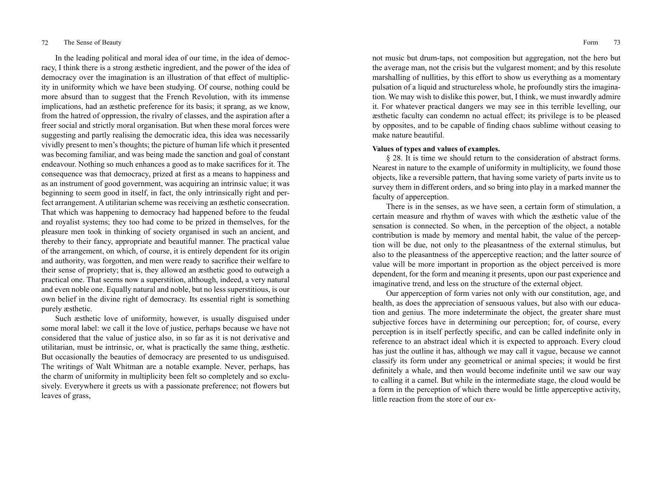In the leading political and moral idea of our time, in the idea of democracy, I think there is a strong æsthetic ingredient, and the power of the idea of democracy over the imagination is an illustration of that effect of multiplicity in uniformity which we have been studying. Of course, nothing could be more absurd than to suggest that the French Revolution, with its immense implications, had an æsthetic preference for its basis; it sprang, as we know, from the hatred of oppression, the rivalry of classes, and the aspiration after a freer social and strictly moral organisation. But when these moral forces were suggesting and partly realising the democratic idea, this idea was necessarily vividly present to men's thoughts; the picture of human life which it presented was becoming familiar, and was being made the sanction and goal of constant endeavour. Nothing so much enhances a good as to make sacrifices for it. The consequence was that democracy, prized at first as a means to happiness and as an instrument of good government, was acquiring an intrinsic value; it was beginning to seem good in itself, in fact, the only intrinsically right and perfect arrangement. A utilitarian scheme was receiving an æsthetic consecration. That which was happening to democracy had happened before to the feudal and royalist systems; they too had come to be prized in themselves, for the pleasure men took in thinking of society organised in such an ancient, and thereby to their fancy, appropriate and beautiful manner. The practical value of the arrangement, on which, of course, it is entirely dependent for its origin and authority, was forgotten, and men were ready to sacrifice their welfare to their sense of propriety; that is, they allowed an æsthetic good to outweigh a practical one. That seems now a superstition, although, indeed, a very natural and even noble one. Equally natural and noble, but no less superstitious, is our own belief in the divine right of democracy. Its essential right is something purely æsthetic.

Such æsthetic love of uniformity, however, is usually disguised under some moral label: we call it the love of justice, perhaps because we have not considered that the value of justice also, in so far as it is not derivative and utilitarian, must be intrinsic, or, what is practically the same thing, æsthetic. But occasionally the beauties of democracy are presented to us undisguised. The writings of Walt Whitman are a notable example. Never, perhaps, has the charm of uniformity in multiplicity been felt so completely and so exclusively. Everywhere it greets us with a passionate preference; not flowers but leaves of grass,

not music but drum-taps, not composition but aggregation, not the hero but the average man, not the crisis but the vulgarest moment; and by this resolute marshalling of nullities, by this effort to show us everything as a momentary pulsation of a liquid and structureless whole, he profoundly stirs the imagination. We may wish to dislike this power, but, I think, we must inwardly admire it. For whatever practical dangers we may see in this terrible levelling, our æsthetic faculty can condemn no actual effect; its privilege is to be pleased by opposites, and to be capable of finding chaos sublime without ceasing to make nature beautiful.

# **Values of types and values of examples.**

§ 28. It is time we should return to the consideration of abstract forms. Nearest in nature to the example of uniformity in multiplicity, we found those objects, like a reversible pattern, that having some variety of parts invite us to survey them in different orders, and so bring into play in a marked manner the faculty of apperception.

There is in the senses, as we have seen, a certain form of stimulation, a certain measure and rhythm of waves with which the æsthetic value of the sensation is connected. So when, in the perception of the object, a notable contribution is made by memory and mental habit, the value of the perception will be due, not only to the pleasantness of the external stimulus, but also to the pleasantness of the apperceptive reaction; and the latter source of value will be more important in proportion as the object perceived is more dependent, for the form and meaning it presents, upon our past experience and imaginative trend, and less on the structure of the external object.

Our apperception of form varies not only with our constitution, age, and health, as does the appreciation of sensuous values, but also with our education and genius. The more indeterminate the object, the greater share must subjective forces have in determining our perception; for, of course, every perception is in itself perfectly specific, and can be called indefinite only in reference to an abstract ideal which it is expected to approach. Every cloud has just the outline it has, although we may call it vague, because we cannot classify its form under any geometrical or animal species; it would be first definitely a whale, and then would become indefinite until we saw our way to calling it a camel. But while in the intermediate stage, the cloud would be a form in the perception of which there would be little apperceptive activity, little reaction from the store of our ex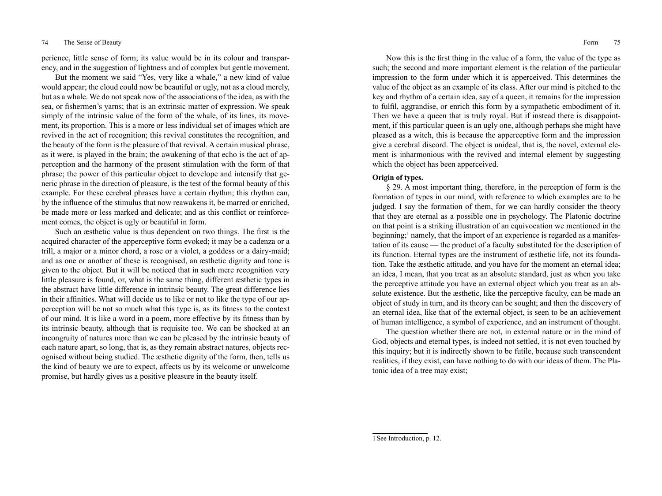perience, little sense of form; its value would be in its colour and transparency, and in the suggestion of lightness and of complex but gentle movement.

But the moment we said "Yes, very like a whale," a new kind of value would appear; the cloud could now be beautiful or ugly, not as a cloud merely, but as a whale. We do not speak now of the associations of the idea, as with the sea, or fishermen's yarns; that is an extrinsic matter of expression. We speak simply of the intrinsic value of the form of the whale, of its lines, its movement, its proportion. This is a more or less individual set of images which are revived in the act of recognition; this revival constitutes the recognition, and the beauty of the form is the pleasure of that revival. A certain musical phrase, as it were, is played in the brain; the awakening of that echo is the act of apperception and the harmony of the present stimulation with the form of that phrase; the power of this particular object to develope and intensify that generic phrase in the direction of pleasure, is the test of the formal beauty of this example. For these cerebral phrases have a certain rhythm; this rhythm can, by the influence of the stimulus that now reawakens it, be marred or enriched, be made more or less marked and delicate; and as this conflict or reinforcement comes, the object is ugly or beautiful in form.

Such an æsthetic value is thus dependent on two things. The first is the acquired character of the apperceptive form evoked; it may be a cadenza or a trill, a major or a minor chord, a rose or a violet, a goddess or a dairy-maid; and as one or another of these is recognised, an æsthetic dignity and tone is given to the object. But it will be noticed that in such mere recognition very little pleasure is found, or, what is the same thing, different æsthetic types in the abstract have little difference in intrinsic beauty. The great difference lies in their affinities. What will decide us to like or not to like the type of our apperception will be not so much what this type is, as its fitness to the context of our mind. It is like a word in a poem, more effective by its fitness than by its intrinsic beauty, although that is requisite too. We can be shocked at an incongruity of natures more than we can be pleased by the intrinsic beauty of each nature apart, so long, that is, as they remain abstract natures, objects recognised without being studied. The æsthetic dignity of the form, then, tells us the kind of beauty we are to expect, affects us by its welcome or unwelcome promise, but hardly gives us a positive pleasure in the beauty itself.

Now this is the first thing in the value of a form, the value of the type as such; the second and more important element is the relation of the particular impression to the form under which it is apperceived. This determines the value of the object as an example of its class. After our mind is pitched to the key and rhythm of a certain idea, say of a queen, it remains for the impression to fulfil, aggrandise, or enrich this form by a sympathetic embodiment of it. Then we have a queen that is truly royal. But if instead there is disappointment, if this particular queen is an ugly one, although perhaps she might have pleased as a witch, this is because the apperceptive form and the impression give a cerebral discord. The object is unideal, that is, the novel, external element is inharmonious with the revived and internal element by suggesting which the object has been apperceived.

# **Origin of types.**

§ 29. A most important thing, therefore, in the perception of form is the formation of types in our mind, with reference to which examples are to be judged. I say the formation of them, for we can hardly consider the theory that they are eternal as a possible one in psychology. The Platonic doctrine on that point is a striking illustration of an equivocation we mentioned in the beginning;<sup>1</sup> namely, that the import of an experience is regarded as a manifestation of its cause — the product of a faculty substituted for the description of its function. Eternal types are the instrument of æsthetic life, not its foundation. Take the æsthetic attitude, and you have for the moment an eternal idea; an idea, I mean, that you treat as an absolute standard, just as when you take the perceptive attitude you have an external object which you treat as an absolute existence. But the æsthetic, like the perceptive faculty, can be made an object of study in turn, and its theory can be sought; and then the discovery of an eternal idea, like that of the external object, is seen to be an achievement of human intelligence, a symbol of experience, and an instrument of thought.

The question whether there are not, in external nature or in the mind of God, objects and eternal types, is indeed not settled, it is not even touched by this inquiry; but it is indirectly shown to be futile, because such transcendent realities, if they exist, can have nothing to do with our ideas of them. The Platonic idea of a tree may exist;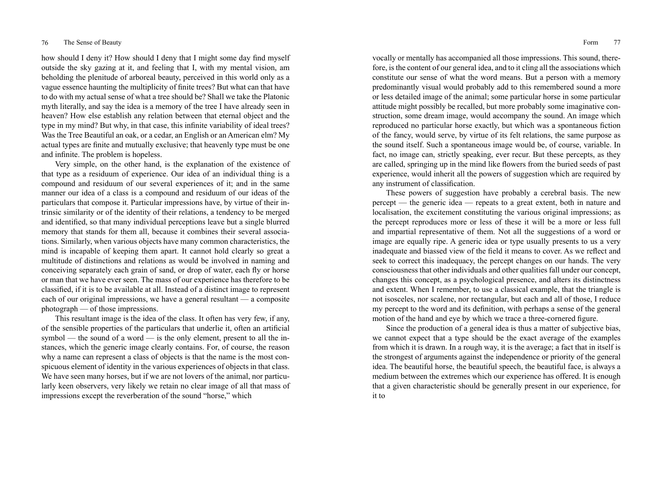how should I deny it? How should I deny that I might some day find myself outside the sky gazing at it, and feeling that I, with my mental vision, am beholding the plenitude of arboreal beauty, perceived in this world only as a vague essence haunting the multiplicity of finite trees? But what can that have to do with my actual sense of what a tree should be? Shall we take the Platonic myth literally, and say the idea is a memory of the tree I have already seen in heaven? How else establish any relation between that eternal object and the type in my mind? But why, in that case, this infinite variability of ideal trees? Was the Tree Beautiful an oak, or a cedar, an English or an American elm? My actual types are finite and mutually exclusive; that heavenly type must be one and infinite. The problem is hopeless.

Very simple, on the other hand, is the explanation of the existence of that type as a residuum of experience. Our idea of an individual thing is a compound and residuum of our several experiences of it; and in the same manner our idea of a class is a compound and residuum of our ideas of the particulars that compose it. Particular impressions have, by virtue of their intrinsic similarity or of the identity of their relations, a tendency to be merged and identified, so that many individual perceptions leave but a single blurred memory that stands for them all, because it combines their several associations. Similarly, when various objects have many common characteristics, the mind is incapable of keeping them apart. It cannot hold clearly so great a multitude of distinctions and relations as would be involved in naming and conceiving separately each grain of sand, or drop of water, each fly or horse or man that we have ever seen. The mass of our experience has therefore to be classified, if it is to be available at all. Instead of a distinct image to represent each of our original impressions, we have a general resultant — a composite photograph — of those impressions.

This resultant image is the idea of the class. It often has very few, if any, of the sensible properties of the particulars that underlie it, often an artificial symbol — the sound of a word — is the only element, present to all the instances, which the generic image clearly contains. For, of course, the reason why a name can represent a class of objects is that the name is the most conspicuous element of identity in the various experiences of objects in that class. We have seen many horses, but if we are not lovers of the animal, nor particularly keen observers, very likely we retain no clear image of all that mass of impressions except the reverberation of the sound "horse," which

vocally or mentally has accompanied all those impressions. This sound, therefore, is the content of our general idea, and to it cling all the associations which constitute our sense of what the word means. But a person with a memory predominantly visual would probably add to this remembered sound a more or less detailed image of the animal; some particular horse in some particular attitude might possibly be recalled, but more probably some imaginative construction, some dream image, would accompany the sound. An image which reproduced no particular horse exactly, but which was a spontaneous fiction of the fancy, would serve, by virtue of its felt relations, the same purpose as the sound itself. Such a spontaneous image would be, of course, variable. In fact, no image can, strictly speaking, ever recur. But these percepts, as they are called, springing up in the mind like flowers from the buried seeds of past experience, would inherit all the powers of suggestion which are required by any instrument of classification.

These powers of suggestion have probably a cerebral basis. The new percept — the generic idea — repeats to a great extent, both in nature and localisation, the excitement constituting the various original impressions; as the percept reproduces more or less of these it will be a more or less full and impartial representative of them. Not all the suggestions of a word or image are equally ripe. A generic idea or type usually presents to us a very inadequate and biassed view of the field it means to cover. As we reflect and seek to correct this inadequacy, the percept changes on our hands. The very consciousness that other individuals and other qualities fall under our concept, changes this concept, as a psychological presence, and alters its distinctness and extent. When I remember, to use a classical example, that the triangle is not isosceles, nor scalene, nor rectangular, but each and all of those, I reduce my percept to the word and its definition, with perhaps a sense of the general motion of the hand and eye by which we trace a three-cornered figure.

Since the production of a general idea is thus a matter of subjective bias, we cannot expect that a type should be the exact average of the examples from which it is drawn. In a rough way, it is the average; a fact that in itself is the strongest of arguments against the independence or priority of the general idea. The beautiful horse, the beautiful speech, the beautiful face, is always a medium between the extremes which our experience has offered. It is enough that a given characteristic should be generally present in our experience, for it to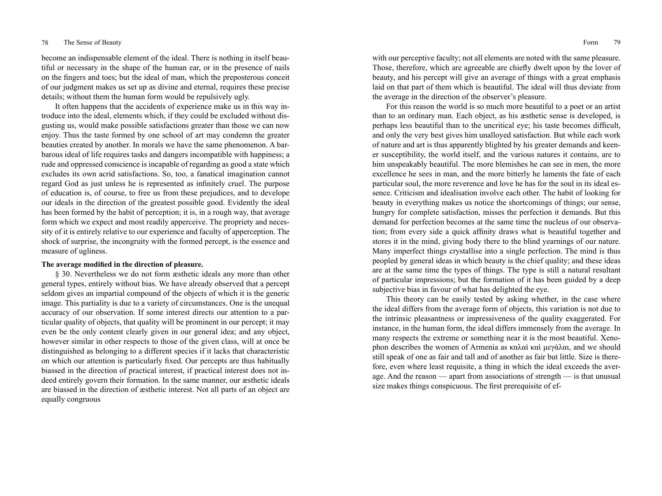become an indispensable element of the ideal. There is nothing in itself beautiful or necessary in the shape of the human ear, or in the presence of nails on the fingers and toes; but the ideal of man, which the preposterous conceit of our judgment makes us set up as divine and eternal, requires these precise details; without them the human form would be repulsively ugly.

It often happens that the accidents of experience make us in this way introduce into the ideal, elements which, if they could be excluded without disgusting us, would make possible satisfactions greater than those we can now enjoy. Thus the taste formed by one school of art may condemn the greater beauties created by another. In morals we have the same phenomenon. A barbarous ideal of life requires tasks and dangers incompatible with happiness; a rude and oppressed conscience is incapable of regarding as good a state which excludes its own acrid satisfactions. So, too, a fanatical imagination cannot regard God as just unless he is represented as infinitely cruel. The purpose of education is, of course, to free us from these prejudices, and to develope our ideals in the direction of the greatest possible good. Evidently the ideal has been formed by the habit of perception; it is, in a rough way, that average form which we expect and most readily apperceive. The propriety and necessity of it is entirely relative to our experience and faculty of apperception. The shock of surprise, the incongruity with the formed percept, is the essence and measure of ugliness.

# **The average modified in the direction of pleasure.**

§ 30. Nevertheless we do not form æsthetic ideals any more than other general types, entirely without bias. We have already observed that a percept seldom gives an impartial compound of the objects of which it is the generic image. This partiality is due to a variety of circumstances. One is the unequal accuracy of our observation. If some interest directs our attention to a particular quality of objects, that quality will be prominent in our percept; it may even be the only content clearly given in our general idea; and any object, however similar in other respects to those of the given class, will at once be distinguished as belonging to a different species if it lacks that characteristic on which our attention is particularly fixed. Our percepts are thus habitually biassed in the direction of practical interest, if practical interest does not indeed entirely govern their formation. In the same manner, our æsthetic ideals are biassed in the direction of æsthetic interest. Not all parts of an object are equally congruous

with our perceptive faculty; not all elements are noted with the same pleasure. Those, therefore, which are agreeable are chiefly dwelt upon by the lover of beauty, and his percept will give an average of things with a great emphasis laid on that part of them which is beautiful. The ideal will thus deviate from the average in the direction of the observer's pleasure.

For this reason the world is so much more beautiful to a poet or an artist than to an ordinary man. Each object, as his æsthetic sense is developed, is perhaps less beautiful than to the uncritical eye; his taste becomes difficult, and only the very best gives him unalloyed satisfaction. But while each work of nature and art is thus apparently blighted by his greater demands and keener susceptibility, the world itself, and the various natures it contains, are to him unspeakably beautiful. The more blemishes he can see in men, the more excellence he sees in man, and the more bitterly he laments the fate of each particular soul, the more reverence and love he has for the soul in its ideal essence. Criticism and idealisation involve each other. The habit of looking for beauty in everything makes us notice the shortcomings of things; our sense, hungry for complete satisfaction, misses the perfection it demands. But this demand for perfection becomes at the same time the nucleus of our observation; from every side a quick affinity draws what is beautiful together and stores it in the mind, giving body there to the blind yearnings of our nature. Many imperfect things crystallise into a single perfection. The mind is thus peopled by general ideas in which beauty is the chief quality; and these ideas are at the same time the types of things. The type is still a natural resultant of particular impressions; but the formation of it has been guided by a deep subjective bias in favour of what has delighted the eye.

This theory can be easily tested by asking whether, in the case where the ideal differs from the average form of objects, this variation is not due to the intrinsic pleasantness or impressiveness of the quality exaggerated. For instance, in the human form, the ideal differs immensely from the average. In many respects the extreme or something near it is the most beautiful. Xenophon describes the women of Armenia as καλαὶ καὶ μεγάλαι, and we should still speak of one as fair and tall and of another as fair but little. Size is therefore, even where least requisite, a thing in which the ideal exceeds the average. And the reason — apart from associations of strength — is that unusual size makes things conspicuous. The first prerequisite of ef-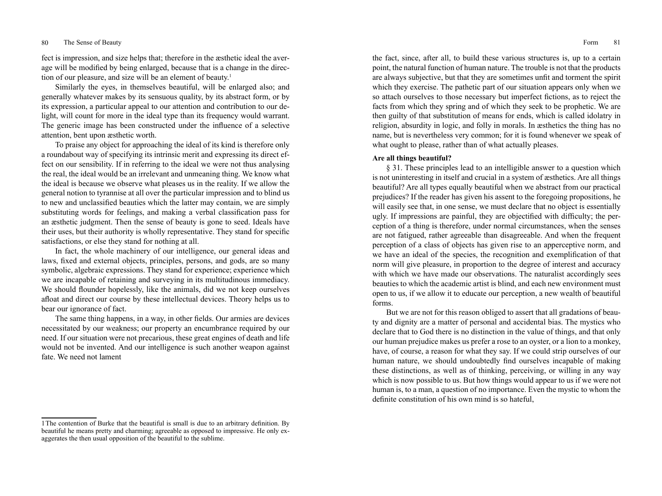fect is impression, and size helps that; therefore in the æsthetic ideal the average will be modified by being enlarged, because that is a change in the direction of our pleasure, and size will be an element of beauty.<sup>1</sup>

Similarly the eyes, in themselves beautiful, will be enlarged also; and generally whatever makes by its sensuous quality, by its abstract form, or by its expression, a particular appeal to our attention and contribution to our delight, will count for more in the ideal type than its frequency would warrant. The generic image has been constructed under the influence of a selective attention, bent upon æsthetic worth.

To praise any object for approaching the ideal of its kind is therefore only a roundabout way of specifying its intrinsic merit and expressing its direct effect on our sensibility. If in referring to the ideal we were not thus analysing the real, the ideal would be an irrelevant and unmeaning thing. We know what the ideal is because we observe what pleases us in the reality. If we allow the general notion to tyrannise at all over the particular impression and to blind us to new and unclassified beauties which the latter may contain, we are simply substituting words for feelings, and making a verbal classification pass for an æsthetic judgment. Then the sense of beauty is gone to seed. Ideals have their uses, but their authority is wholly representative. They stand for specific satisfactions, or else they stand for nothing at all.

In fact, the whole machinery of our intelligence, our general ideas and laws, fixed and external objects, principles, persons, and gods, are so many symbolic, algebraic expressions. They stand for experience; experience which we are incapable of retaining and surveying in its multitudinous immediacy. We should flounder hopelessly, like the animals, did we not keep ourselves afloat and direct our course by these intellectual devices. Theory helps us to bear our ignorance of fact.

The same thing happens, in a way, in other fields. Our armies are devices necessitated by our weakness; our property an encumbrance required by our need. If our situation were not precarious, these great engines of death and life would not be invented. And our intelligence is such another weapon against fate. We need not lament

the fact, since, after all, to build these various structures is, up to a certain point, the natural function of human nature. The trouble is not that the products are always subjective, but that they are sometimes unfit and torment the spirit which they exercise. The pathetic part of our situation appears only when we so attach ourselves to those necessary but imperfect fictions, as to reject the facts from which they spring and of which they seek to be prophetic. We are then guilty of that substitution of means for ends, which is called idolatry in religion, absurdity in logic, and folly in morals. In æsthetics the thing has no name, but is nevertheless very common; for it is found whenever we speak of what ought to please, rather than of what actually pleases.

# **Are all things beautiful?**

§ 31. These principles lead to an intelligible answer to a question which is not uninteresting in itself and crucial in a system of æsthetics. Are all things beautiful? Are all types equally beautiful when we abstract from our practical prejudices? If the reader has given his assent to the foregoing propositions, he will easily see that, in one sense, we must declare that no object is essentially ugly. If impressions are painful, they are objectified with difficulty; the perception of a thing is therefore, under normal circumstances, when the senses are not fatigued, rather agreeable than disagreeable. And when the frequent perception of a class of objects has given rise to an apperceptive norm, and we have an ideal of the species, the recognition and exemplification of that norm will give pleasure, in proportion to the degree of interest and accuracy with which we have made our observations. The naturalist accordingly sees beauties to which the academic artist is blind, and each new environment must open to us, if we allow it to educate our perception, a new wealth of beautiful forms.

But we are not for this reason obliged to assert that all gradations of beauty and dignity are a matter of personal and accidental bias. The mystics who declare that to God there is no distinction in the value of things, and that only our human prejudice makes us prefer a rose to an oyster, or a lion to a monkey, have, of course, a reason for what they say. If we could strip ourselves of our human nature, we should undoubtedly find ourselves incapable of making these distinctions, as well as of thinking, perceiving, or willing in any way which is now possible to us. But how things would appear to us if we were not human is, to a man, a question of no importance. Even the mystic to whom the definite constitution of his own mind is so hateful,

<sup>1</sup>The contention of Burke that the beautiful is small is due to an arbitrary definition. By beautiful he means pretty and charming; agreeable as opposed to impressive. He only exaggerates the then usual opposition of the beautiful to the sublime.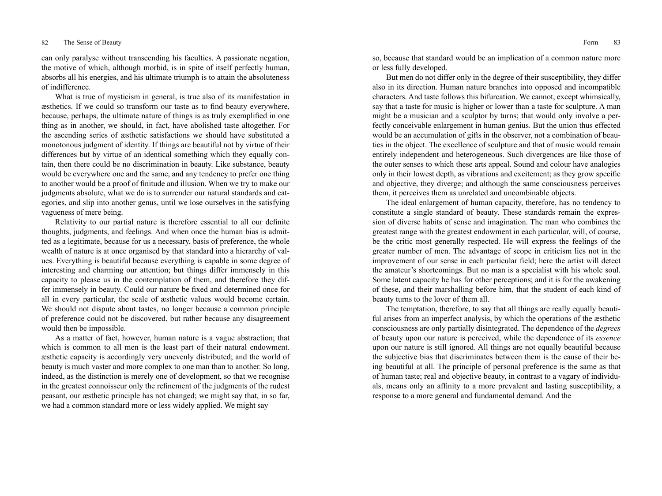can only paralyse without transcending his faculties. A passionate negation, the motive of which, although morbid, is in spite of itself perfectly human, absorbs all his energies, and his ultimate triumph is to attain the absoluteness of indifference.

What is true of mysticism in general, is true also of its manifestation in æsthetics. If we could so transform our taste as to find beauty everywhere, because, perhaps, the ultimate nature of things is as truly exemplified in one thing as in another, we should, in fact, have abolished taste altogether. For the ascending series of æsthetic satisfactions we should have substituted a monotonous judgment of identity. If things are beautiful not by virtue of their differences but by virtue of an identical something which they equally contain, then there could be no discrimination in beauty. Like substance, beauty would be everywhere one and the same, and any tendency to prefer one thing to another would be a proof of finitude and illusion. When we try to make our judgments absolute, what we do is to surrender our natural standards and categories, and slip into another genus, until we lose ourselves in the satisfying vagueness of mere being.

Relativity to our partial nature is therefore essential to all our definite thoughts, judgments, and feelings. And when once the human bias is admitted as a legitimate, because for us a necessary, basis of preference, the whole wealth of nature is at once organised by that standard into a hierarchy of values. Everything is beautiful because everything is capable in some degree of interesting and charming our attention; but things differ immensely in this capacity to please us in the contemplation of them, and therefore they differ immensely in beauty. Could our nature be fixed and determined once for all in every particular, the scale of æsthetic values would become certain. We should not dispute about tastes, no longer because a common principle of preference could not be discovered, but rather because any disagreement would then be impossible.

As a matter of fact, however, human nature is a vague abstraction; that which is common to all men is the least part of their natural endowment. æsthetic capacity is accordingly very unevenly distributed; and the world of beauty is much vaster and more complex to one man than to another. So long, indeed, as the distinction is merely one of development, so that we recognise in the greatest connoisseur only the refinement of the judgments of the rudest peasant, our æsthetic principle has not changed; we might say that, in so far, we had a common standard more or less widely applied. We might say

so, because that standard would be an implication of a common nature more or less fully developed.

But men do not differ only in the degree of their susceptibility, they differ also in its direction. Human nature branches into opposed and incompatible characters. And taste follows this bifurcation. We cannot, except whimsically, say that a taste for music is higher or lower than a taste for sculpture. A man might be a musician and a sculptor by turns; that would only involve a perfectly conceivable enlargement in human genius. But the union thus effected would be an accumulation of gifts in the observer, not a combination of beauties in the object. The excellence of sculpture and that of music would remain entirely independent and heterogeneous. Such divergences are like those of the outer senses to which these arts appeal. Sound and colour have analogies only in their lowest depth, as vibrations and excitement; as they grow specific and objective, they diverge; and although the same consciousness perceives them, it perceives them as unrelated and uncombinable objects.

The ideal enlargement of human capacity, therefore, has no tendency to constitute a single standard of beauty. These standards remain the expression of diverse habits of sense and imagination. The man who combines the greatest range with the greatest endowment in each particular, will, of course, be the critic most generally respected. He will express the feelings of the greater number of men. The advantage of scope in criticism lies not in the improvement of our sense in each particular field; here the artist will detect the amateur's shortcomings. But no man is a specialist with his whole soul. Some latent capacity he has for other perceptions; and it is for the awakening of these, and their marshalling before him, that the student of each kind of beauty turns to the lover of them all.

The temptation, therefore, to say that all things are really equally beautiful arises from an imperfect analysis, by which the operations of the æsthetic consciousness are only partially disintegrated. The dependence of the *degrees* of beauty upon our nature is perceived, while the dependence of its *essence* upon our nature is still ignored. All things are not equally beautiful because the subjective bias that discriminates between them is the cause of their being beautiful at all. The principle of personal preference is the same as that of human taste; real and objective beauty, in contrast to a vagary of individuals, means only an affinity to a more prevalent and lasting susceptibility, a response to a more general and fundamental demand. And the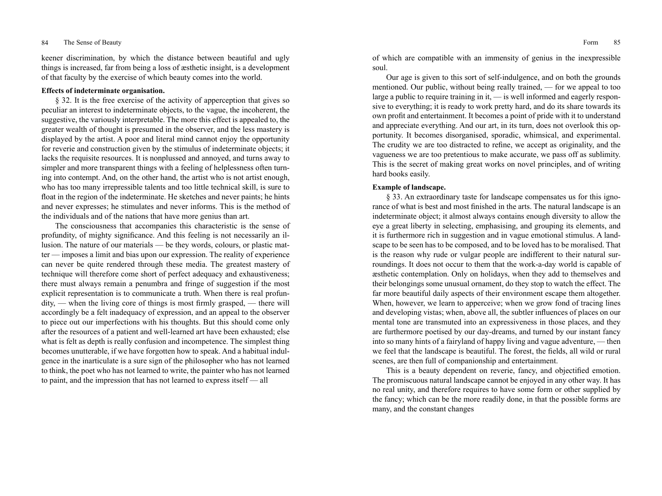keener discrimination, by which the distance between beautiful and ugly things is increased, far from being a loss of æsthetic insight, is a development of that faculty by the exercise of which beauty comes into the world.

# **Effects of indeterminate organisation.**

§ 32. It is the free exercise of the activity of apperception that gives so peculiar an interest to indeterminate objects, to the vague, the incoherent, the suggestive, the variously interpretable. The more this effect is appealed to, the greater wealth of thought is presumed in the observer, and the less mastery is displayed by the artist. A poor and literal mind cannot enjoy the opportunity for reverie and construction given by the stimulus of indeterminate objects; it lacks the requisite resources. It is nonplussed and annoyed, and turns away to simpler and more transparent things with a feeling of helplessness often turning into contempt. And, on the other hand, the artist who is not artist enough, who has too many irrepressible talents and too little technical skill, is sure to float in the region of the indeterminate. He sketches and never paints; he hints and never expresses; he stimulates and never informs. This is the method of the individuals and of the nations that have more genius than art.

The consciousness that accompanies this characteristic is the sense of profundity, of mighty significance. And this feeling is not necessarily an illusion. The nature of our materials — be they words, colours, or plastic matter — imposes a limit and bias upon our expression. The reality of experience can never be quite rendered through these media. The greatest mastery of technique will therefore come short of perfect adequacy and exhaustiveness; there must always remain a penumbra and fringe of suggestion if the most explicit representation is to communicate a truth. When there is real profundity, — when the living core of things is most firmly grasped, — there will accordingly be a felt inadequacy of expression, and an appeal to the observer to piece out our imperfections with his thoughts. But this should come only after the resources of a patient and well-learned art have been exhausted; else what is felt as depth is really confusion and incompetence. The simplest thing becomes unutterable, if we have forgotten how to speak. And a habitual indulgence in the inarticulate is a sure sign of the philosopher who has not learned to think, the poet who has not learned to write, the painter who has not learned to paint, and the impression that has not learned to express itself — all

of which are compatible with an immensity of genius in the inexpressible soul.

Our age is given to this sort of self-indulgence, and on both the grounds mentioned. Our public, without being really trained, — for we appeal to too large a public to require training in it, — is well informed and eagerly responsive to everything; it is ready to work pretty hard, and do its share towards its own profit and entertainment. It becomes a point of pride with it to understand and appreciate everything. And our art, in its turn, does not overlook this opportunity. It becomes disorganised, sporadic, whimsical, and experimental. The crudity we are too distracted to refine, we accept as originality, and the vagueness we are too pretentious to make accurate, we pass off as sublimity. This is the secret of making great works on novel principles, and of writing hard books easily.

## **Example of landscape.**

§ 33. An extraordinary taste for landscape compensates us for this ignorance of what is best and most finished in the arts. The natural landscape is an indeterminate object; it almost always contains enough diversity to allow the eye a great liberty in selecting, emphasising, and grouping its elements, and it is furthermore rich in suggestion and in vague emotional stimulus. A landscape to be seen has to be composed, and to be loved has to be moralised. That is the reason why rude or vulgar people are indifferent to their natural surroundings. It does not occur to them that the work-a-day world is capable of æsthetic contemplation. Only on holidays, when they add to themselves and their belongings some unusual ornament, do they stop to watch the effect. The far more beautiful daily aspects of their environment escape them altogether. When, however, we learn to apperceive; when we grow fond of tracing lines and developing vistas; when, above all, the subtler influences of places on our mental tone are transmuted into an expressiveness in those places, and they are furthermore poetised by our day-dreams, and turned by our instant fancy into so many hints of a fairyland of happy living and vague adventure, — then we feel that the landscape is beautiful. The forest, the fields, all wild or rural scenes, are then full of companionship and entertainment.

This is a beauty dependent on reverie, fancy, and objectified emotion. The promiscuous natural landscape cannot be enjoyed in any other way. It has no real unity, and therefore requires to have some form or other supplied by the fancy; which can be the more readily done, in that the possible forms are many, and the constant changes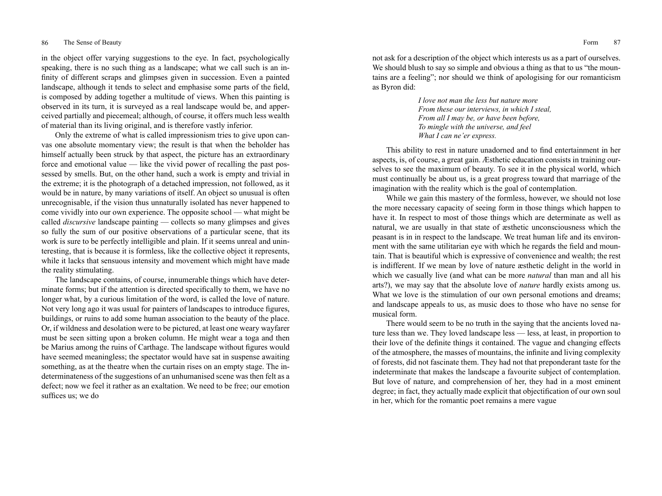in the object offer varying suggestions to the eye. In fact, psychologically speaking, there is no such thing as a landscape; what we call such is an infinity of different scraps and glimpses given in succession. Even a painted landscape, although it tends to select and emphasise some parts of the field, is composed by adding together a multitude of views. When this painting is observed in its turn, it is surveyed as a real landscape would be, and apperceived partially and piecemeal; although, of course, it offers much less wealth of material than its living original, and is therefore vastly inferior.

Only the extreme of what is called impressionism tries to give upon canvas one absolute momentary view; the result is that when the beholder has himself actually been struck by that aspect, the picture has an extraordinary force and emotional value — like the vivid power of recalling the past possessed by smells. But, on the other hand, such a work is empty and trivial in the extreme; it is the photograph of a detached impression, not followed, as it would be in nature, by many variations of itself. An object so unusual is often unrecognisable, if the vision thus unnaturally isolated has never happened to come vividly into our own experience. The opposite school — what might be called *discursive* landscape painting — collects so many glimpses and gives so fully the sum of our positive observations of a particular scene, that its work is sure to be perfectly intelligible and plain. If it seems unreal and uninteresting, that is because it is formless, like the collective object it represents, while it lacks that sensuous intensity and movement which might have made the reality stimulating.

The landscape contains, of course, innumerable things which have determinate forms; but if the attention is directed specifically to them, we have no longer what, by a curious limitation of the word, is called the love of nature. Not very long ago it was usual for painters of landscapes to introduce figures, buildings, or ruins to add some human association to the beauty of the place. Or, if wildness and desolation were to be pictured, at least one weary wayfarer must be seen sitting upon a broken column. He might wear a toga and then be Marius among the ruins of Carthage. The landscape without figures would have seemed meaningless; the spectator would have sat in suspense awaiting something, as at the theatre when the curtain rises on an empty stage. The indeterminateness of the suggestions of an unhumanised scene was then felt as a defect; now we feel it rather as an exaltation. We need to be free; our emotion suffices us; we do

not ask for a description of the object which interests us as a part of ourselves. We should blush to say so simple and obvious a thing as that to us "the mountains are a feeling"; nor should we think of apologising for our romanticism as Byron did:

> *I love not man the less but nature more From these our interviews, in which I steal, From all I may be, or have been before, To mingle with the universe, and feel What I can ne'er express.*

This ability to rest in nature unadorned and to find entertainment in her aspects, is, of course, a great gain. Æsthetic education consists in training ourselves to see the maximum of beauty. To see it in the physical world, which must continually be about us, is a great progress toward that marriage of the imagination with the reality which is the goal of contemplation.

While we gain this mastery of the formless, however, we should not lose the more necessary capacity of seeing form in those things which happen to have it. In respect to most of those things which are determinate as well as natural, we are usually in that state of æsthetic unconsciousness which the peasant is in in respect to the landscape. We treat human life and its environment with the same utilitarian eye with which he regards the field and mountain. That is beautiful which is expressive of convenience and wealth; the rest is indifferent. If we mean by love of nature æsthetic delight in the world in which we casually live (and what can be more *natural* than man and all his arts?), we may say that the absolute love of *nature* hardly exists among us. What we love is the stimulation of our own personal emotions and dreams; and landscape appeals to us, as music does to those who have no sense for musical form.

There would seem to be no truth in the saying that the ancients loved nature less than we. They loved landscape less — less, at least, in proportion to their love of the definite things it contained. The vague and changing effects of the atmosphere, the masses of mountains, the infinite and living complexity of forests, did not fascinate them. They had not that preponderant taste for the indeterminate that makes the landscape a favourite subject of contemplation. But love of nature, and comprehension of her, they had in a most eminent degree; in fact, they actually made explicit that objectification of our own soul in her, which for the romantic poet remains a mere vague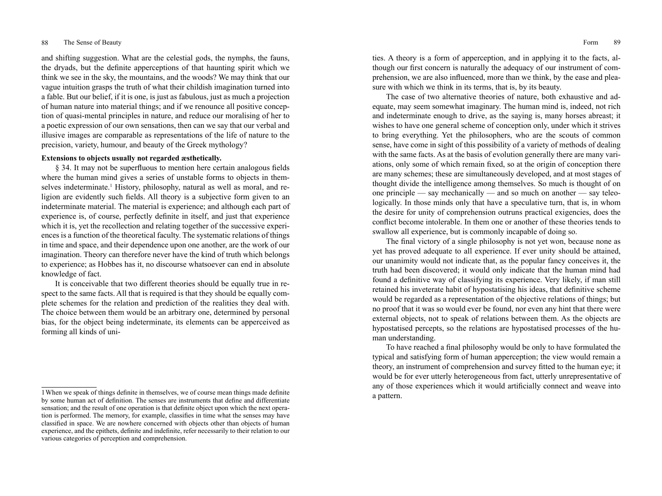and shifting suggestion. What are the celestial gods, the nymphs, the fauns, the dryads, but the definite apperceptions of that haunting spirit which we think we see in the sky, the mountains, and the woods? We may think that our vague intuition grasps the truth of what their childish imagination turned into a fable. But our belief, if it is one, is just as fabulous, just as much a projection of human nature into material things; and if we renounce all positive conception of quasi-mental principles in nature, and reduce our moralising of her to a poetic expression of our own sensations, then can we say that our verbal and illusive images are comparable as representations of the life of nature to the precision, variety, humour, and beauty of the Greek mythology?

# **Extensions to objects usually not regarded æsthetically.**

§ 34. It may not be superfluous to mention here certain analogous fields where the human mind gives a series of unstable forms to objects in themselves indeterminate.<sup>1</sup> History, philosophy, natural as well as moral, and religion are evidently such fields. All theory is a subjective form given to an indeterminate material. The material is experience; and although each part of experience is, of course, perfectly definite in itself, and just that experience which it is, yet the recollection and relating together of the successive experiences is a function of the theoretical faculty. The systematic relations of things in time and space, and their dependence upon one another, are the work of our imagination. Theory can therefore never have the kind of truth which belongs to experience; as Hobbes has it, no discourse whatsoever can end in absolute knowledge of fact.

It is conceivable that two different theories should be equally true in respect to the same facts. All that is required is that they should be equally complete schemes for the relation and prediction of the realities they deal with. The choice between them would be an arbitrary one, determined by personal bias, for the object being indeterminate, its elements can be apperceived as forming all kinds of unities. A theory is a form of apperception, and in applying it to the facts, although our first concern is naturally the adequacy of our instrument of comprehension, we are also influenced, more than we think, by the ease and pleasure with which we think in its terms, that is, by its beauty.

The case of two alternative theories of nature, both exhaustive and adequate, may seem somewhat imaginary. The human mind is, indeed, not rich and indeterminate enough to drive, as the saying is, many horses abreast; it wishes to have one general scheme of conception only, under which it strives to bring everything. Yet the philosophers, who are the scouts of common sense, have come in sight of this possibility of a variety of methods of dealing with the same facts. As at the basis of evolution generally there are many variations, only some of which remain fixed, so at the origin of conception there are many schemes; these are simultaneously developed, and at most stages of thought divide the intelligence among themselves. So much is thought of on one principle — say mechanically — and so much on another — say teleologically. In those minds only that have a speculative turn, that is, in whom the desire for unity of comprehension outruns practical exigencies, does the conflict become intolerable. In them one or another of these theories tends to swallow all experience, but is commonly incapable of doing so.

The final victory of a single philosophy is not yet won, because none as yet has proved adequate to all experience. If ever unity should be attained, our unanimity would not indicate that, as the popular fancy conceives it, the truth had been discovered; it would only indicate that the human mind had found a definitive way of classifying its experience. Very likely, if man still retained his inveterate habit of hypostatising his ideas, that definitive scheme would be regarded as a representation of the objective relations of things; but no proof that it was so would ever be found, nor even any hint that there were external objects, not to speak of relations between them. As the objects are hypostatised percepts, so the relations are hypostatised processes of the human understanding.

To have reached a final philosophy would be only to have formulated the typical and satisfying form of human apperception; the view would remain a theory, an instrument of comprehension and survey fitted to the human eye; it would be for ever utterly heterogeneous from fact, utterly unrepresentative of any of those experiences which it would artificially connect and weave into a pattern.

<sup>1</sup>When we speak of things definite in themselves, we of course mean things made definite by some human act of definition. The senses are instruments that define and differentiate sensation; and the result of one operation is that definite object upon which the next operation is performed. The memory, for example, classifies in time what the senses may have classified in space. We are nowhere concerned with objects other than objects of human experience, and the epithets, definite and indefinite, refer necessarily to their relation to our various categories of perception and comprehension.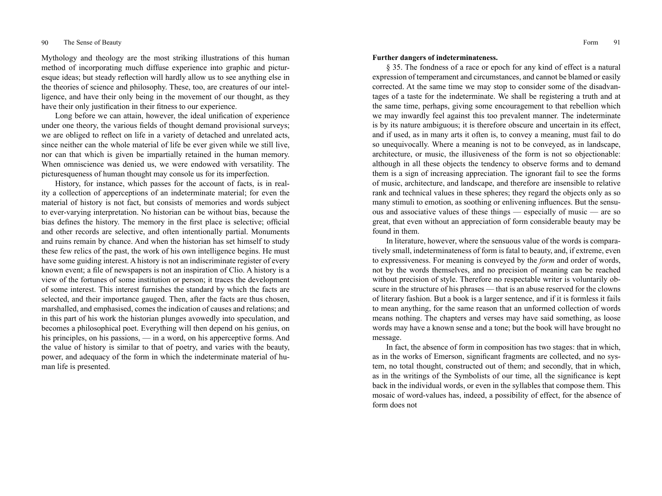Mythology and theology are the most striking illustrations of this human method of incorporating much diffuse experience into graphic and picturesque ideas; but steady reflection will hardly allow us to see anything else in the theories of science and philosophy. These, too, are creatures of our intelligence, and have their only being in the movement of our thought, as they have their only justification in their fitness to our experience.

Long before we can attain, however, the ideal unification of experience under one theory, the various fields of thought demand provisional surveys; we are obliged to reflect on life in a variety of detached and unrelated acts, since neither can the whole material of life be ever given while we still live, nor can that which is given be impartially retained in the human memory. When omniscience was denied us, we were endowed with versatility. The picturesqueness of human thought may console us for its imperfection.

History, for instance, which passes for the account of facts, is in reality a collection of apperceptions of an indeterminate material; for even the material of history is not fact, but consists of memories and words subject to ever-varying interpretation. No historian can be without bias, because the bias defines the history. The memory in the first place is selective; official and other records are selective, and often intentionally partial. Monuments and ruins remain by chance. And when the historian has set himself to study these few relics of the past, the work of his own intelligence begins. He must have some guiding interest. A history is not an indiscriminate register of every known event; a file of newspapers is not an inspiration of Clio. A history is a view of the fortunes of some institution or person; it traces the development of some interest. This interest furnishes the standard by which the facts are selected, and their importance gauged. Then, after the facts are thus chosen, marshalled, and emphasised, comes the indication of causes and relations; and in this part of his work the historian plunges avowedly into speculation, and becomes a philosophical poet. Everything will then depend on his genius, on his principles, on his passions, — in a word, on his apperceptive forms. And the value of history is similar to that of poetry, and varies with the beauty, power, and adequacy of the form in which the indeterminate material of human life is presented.

### **Further dangers of indeterminateness.**

§ 35. The fondness of a race or epoch for any kind of effect is a natural expression of temperament and circumstances, and cannot be blamed or easily corrected. At the same time we may stop to consider some of the disadvantages of a taste for the indeterminate. We shall be registering a truth and at the same time, perhaps, giving some encouragement to that rebellion which we may inwardly feel against this too prevalent manner. The indeterminate is by its nature ambiguous; it is therefore obscure and uncertain in its effect, and if used, as in many arts it often is, to convey a meaning, must fail to do so unequivocally. Where a meaning is not to be conveyed, as in landscape, architecture, or music, the illusiveness of the form is not so objectionable: although in all these objects the tendency to observe forms and to demand them is a sign of increasing appreciation. The ignorant fail to see the forms of music, architecture, and landscape, and therefore are insensible to relative rank and technical values in these spheres; they regard the objects only as so many stimuli to emotion, as soothing or enlivening influences. But the sensuous and associative values of these things — especially of music — are so great, that even without an appreciation of form considerable beauty may be found in them.

In literature, however, where the sensuous value of the words is comparatively small, indeterminateness of form is fatal to beauty, and, if extreme, even to expressiveness. For meaning is conveyed by the *form* and order of words, not by the words themselves, and no precision of meaning can be reached without precision of style. Therefore no respectable writer is voluntarily obscure in the structure of his phrases — that is an abuse reserved for the clowns of literary fashion. But a book is a larger sentence, and if it is formless it fails to mean anything, for the same reason that an unformed collection of words means nothing. The chapters and verses may have said something, as loose words may have a known sense and a tone; but the book will have brought no message.

In fact, the absence of form in composition has two stages: that in which, as in the works of Emerson, significant fragments are collected, and no system, no total thought, constructed out of them; and secondly, that in which, as in the writings of the Symbolists of our time, all the significance is kept back in the individual words, or even in the syllables that compose them. This mosaic of word-values has, indeed, a possibility of effect, for the absence of form does not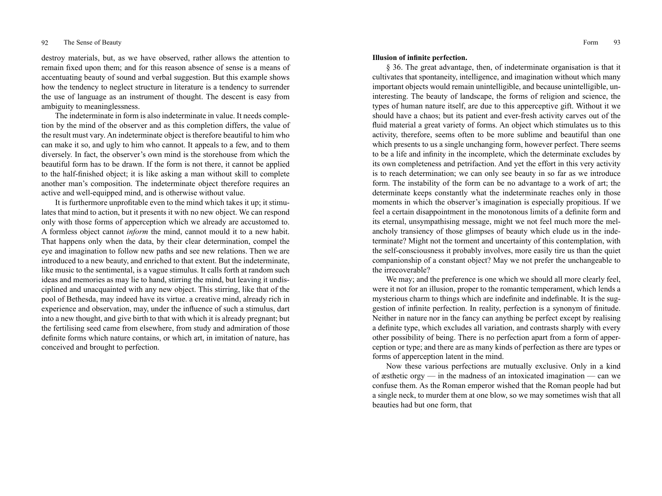destroy materials, but, as we have observed, rather allows the attention to remain fixed upon them; and for this reason absence of sense is a means of accentuating beauty of sound and verbal suggestion. But this example shows how the tendency to neglect structure in literature is a tendency to surrender the use of language as an instrument of thought. The descent is easy from ambiguity to meaninglessness.

The indeterminate in form is also indeterminate in value. It needs completion by the mind of the observer and as this completion differs, the value of the result must vary. An indeterminate object is therefore beautiful to him who can make it so, and ugly to him who cannot. It appeals to a few, and to them diversely. In fact, the observer's own mind is the storehouse from which the beautiful form has to be drawn. If the form is not there, it cannot be applied to the half-finished object; it is like asking a man without skill to complete another man's composition. The indeterminate object therefore requires an active and well-equipped mind, and is otherwise without value.

It is furthermore unprofitable even to the mind which takes it up; it stimulates that mind to action, but it presents it with no new object. We can respond only with those forms of apperception which we already are accustomed to. A formless object cannot *inform* the mind, cannot mould it to a new habit. That happens only when the data, by their clear determination, compel the eye and imagination to follow new paths and see new relations. Then we are introduced to a new beauty, and enriched to that extent. But the indeterminate, like music to the sentimental, is a vague stimulus. It calls forth at random such ideas and memories as may lie to hand, stirring the mind, but leaving it undisciplined and unacquainted with any new object. This stirring, like that of the pool of Bethesda, may indeed have its virtue. a creative mind, already rich in experience and observation, may, under the influence of such a stimulus, dart into a new thought, and give birth to that with which it is already pregnant; but the fertilising seed came from elsewhere, from study and admiration of those definite forms which nature contains, or which art, in imitation of nature, has conceived and brought to perfection.

### **Illusion of infinite perfection.**

§ 36. The great advantage, then, of indeterminate organisation is that it cultivates that spontaneity, intelligence, and imagination without which many important objects would remain unintelligible, and because unintelligible, uninteresting. The beauty of landscape, the forms of religion and science, the types of human nature itself, are due to this apperceptive gift. Without it we should have a chaos; but its patient and ever-fresh activity carves out of the fluid material a great variety of forms. An object which stimulates us to this activity, therefore, seems often to be more sublime and beautiful than one which presents to us a single unchanging form, however perfect. There seems to be a life and infinity in the incomplete, which the determinate excludes by its own completeness and petrifaction. And yet the effort in this very activity is to reach determination; we can only see beauty in so far as we introduce form. The instability of the form can be no advantage to a work of art; the determinate keeps constantly what the indeterminate reaches only in those moments in which the observer's imagination is especially propitious. If we feel a certain disappointment in the monotonous limits of a definite form and its eternal, unsympathising message, might we not feel much more the melancholy transiency of those glimpses of beauty which elude us in the indeterminate? Might not the torment and uncertainty of this contemplation, with the self-consciousness it probably involves, more easily tire us than the quiet companionship of a constant object? May we not prefer the unchangeable to the irrecoverable?

We may; and the preference is one which we should all more clearly feel, were it not for an illusion, proper to the romantic temperament, which lends a mysterious charm to things which are indefinite and indefinable. It is the suggestion of infinite perfection. In reality, perfection is a synonym of finitude. Neither in nature nor in the fancy can anything be perfect except by realising a definite type, which excludes all variation, and contrasts sharply with every other possibility of being. There is no perfection apart from a form of apperception or type; and there are as many kinds of perfection as there are types or forms of apperception latent in the mind.

Now these various perfections are mutually exclusive. Only in a kind of æsthetic orgy — in the madness of an intoxicated imagination — can we confuse them. As the Roman emperor wished that the Roman people had but a single neck, to murder them at one blow, so we may sometimes wish that all beauties had but one form, that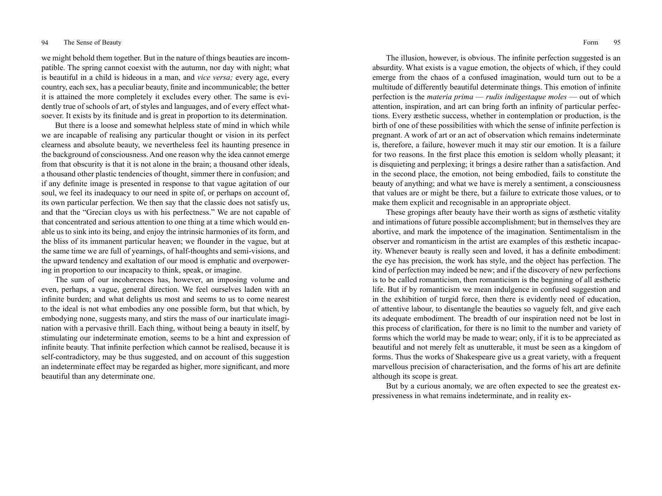we might behold them together. But in the nature of things beauties are incompatible. The spring cannot coexist with the autumn, nor day with night; what is beautiful in a child is hideous in a man, and *vice versa;* every age, every country, each sex, has a peculiar beauty, finite and incommunicable; the better it is attained the more completely it excludes every other. The same is evidently true of schools of art, of styles and languages, and of every effect whatsoever. It exists by its finitude and is great in proportion to its determination.

But there is a loose and somewhat helpless state of mind in which while we are incapable of realising any particular thought or vision in its perfect clearness and absolute beauty, we nevertheless feel its haunting presence in the background of consciousness. And one reason why the idea cannot emerge from that obscurity is that it is not alone in the brain; a thousand other ideals, a thousand other plastic tendencies of thought, simmer there in confusion; and if any definite image is presented in response to that vague agitation of our soul, we feel its inadequacy to our need in spite of, or perhaps on account of, its own particular perfection. We then say that the classic does not satisfy us, and that the "Grecian cloys us with his perfectness." We are not capable of that concentrated and serious attention to one thing at a time which would enable us to sink into its being, and enjoy the intrinsic harmonies of its form, and the bliss of its immanent particular heaven; we flounder in the vague, but at the same time we are full of yearnings, of half-thoughts and semi-visions, and the upward tendency and exaltation of our mood is emphatic and overpowering in proportion to our incapacity to think, speak, or imagine.

The sum of our incoherences has, however, an imposing volume and even, perhaps, a vague, general direction. We feel ourselves laden with an infinite burden; and what delights us most and seems to us to come nearest to the ideal is not what embodies any one possible form, but that which, by embodying none, suggests many, and stirs the mass of our inarticulate imagination with a pervasive thrill. Each thing, without being a beauty in itself, by stimulating our indeterminate emotion, seems to be a hint and expression of infinite beauty. That infinite perfection which cannot be realised, because it is self-contradictory, may be thus suggested, and on account of this suggestion an indeterminate effect may be regarded as higher, more significant, and more beautiful than any determinate one.

The illusion, however, is obvious. The infinite perfection suggested is an absurdity. What exists is a vague emotion, the objects of which, if they could emerge from the chaos of a confused imagination, would turn out to be a multitude of differently beautiful determinate things. This emotion of infinite perfection is the *materia prima* — *rudis indigestaque moles* — out of which attention, inspiration, and art can bring forth an infinity of particular perfections. Every æsthetic success, whether in contemplation or production, is the birth of one of these possibilities with which the sense of infinite perfection is pregnant. A work of art or an act of observation which remains indeterminate is, therefore, a failure, however much it may stir our emotion. It is a failure for two reasons. In the first place this emotion is seldom wholly pleasant; it is disquieting and perplexing; it brings a desire rather than a satisfaction. And in the second place, the emotion, not being embodied, fails to constitute the beauty of anything; and what we have is merely a sentiment, a consciousness that values are or might be there, but a failure to extricate those values, or to make them explicit and recognisable in an appropriate object.

These gropings after beauty have their worth as signs of æsthetic vitality and intimations of future possible accomplishment; but in themselves they are abortive, and mark the impotence of the imagination. Sentimentalism in the observer and romanticism in the artist are examples of this æsthetic incapacity. Whenever beauty is really seen and loved, it has a definite embodiment: the eye has precision, the work has style, and the object has perfection. The kind of perfection may indeed be new; and if the discovery of new perfections is to be called romanticism, then romanticism is the beginning of all æsthetic life. But if by romanticism we mean indulgence in confused suggestion and in the exhibition of turgid force, then there is evidently need of education, of attentive labour, to disentangle the beauties so vaguely felt, and give each its adequate embodiment. The breadth of our inspiration need not be lost in this process of clarification, for there is no limit to the number and variety of forms which the world may be made to wear; only, if it is to be appreciated as beautiful and not merely felt as unutterable, it must be seen as a kingdom of forms. Thus the works of Shakespeare give us a great variety, with a frequent marvellous precision of characterisation, and the forms of his art are definite although its scope is great.

But by a curious anomaly, we are often expected to see the greatest expressiveness in what remains indeterminate, and in reality ex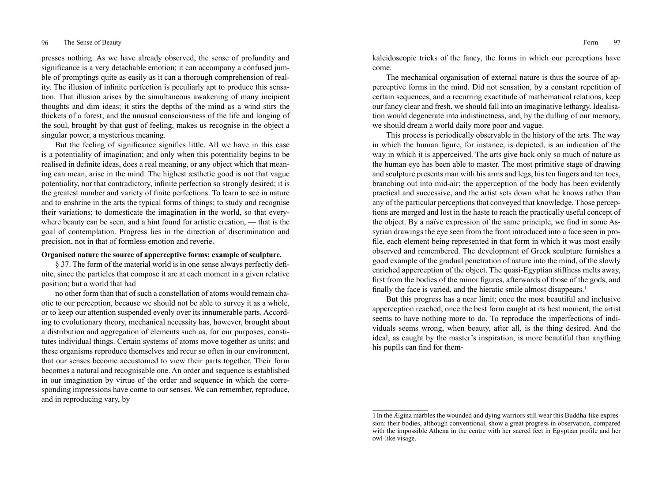presses nothing. As we have already observed, the sense of profundity and significance is a very detachable emotion; it can accompany a confused jumble of promptings quite as easily as it can a thorough comprehension of reality. The illusion of infinite perfection is peculiarly apt to produce this sensation. That illusion arises by the simultaneous awakening of many incipient thoughts and dim ideas; it stirs the depths of the mind as a wind stirs the thickets of a forest; and the unusual consciousness of the life and longing of the soul, brought by that gust of feeling, makes us recognise in the object a singular power, a mysterious meaning.

But the feeling of significance signifies little. All we have in this case is a potentiality of imagination; and only when this potentiality begins to be realised in definite ideas, does a real meaning, or any object which that meaning can mean, arise in the mind. The highest æsthetic good is not that vague potentiality, nor that contradictory, infinite perfection so strongly desired; it is the greatest number and variety of finite perfections. To learn to see in nature and to enshrine in the arts the typical forms of things; to study and recognise their variations; to domesticate the imagination in the world, so that everywhere beauty can be seen, and a hint found for artistic creation, — that is the goal of contemplation. Progress lies in the direction of discrimination and precision, not in that of formless emotion and reverie.

# **Organised nature the source of apperceptive forms; example of sculpture.**

§ 37. The form of the material world is in one sense always perfectly definite, since the particles that compose it are at each moment in a given relative position; but a world that had

no other form than that of such a constellation of atoms would remain chaotic to our perception, because we should not be able to survey it as a whole, or to keep our attention suspended evenly over its innumerable parts. According to evolutionary theory, mechanical necessity has, however, brought about a distribution and aggregation of elements such as, for our purposes, constitutes individual things. Certain systems of atoms move together as units; and these organisms reproduce themselves and recur so often in our environment, that our senses become accustomed to view their parts together. Their form becomes a natural and recognisable one. An order and sequence is established in our imagination by virtue of the order and sequence in which the corresponding impressions have come to our senses. We can remember, reproduce, and in reproducing vary, by

kaleidoscopic tricks of the fancy, the forms in which our perceptions have come.

The mechanical organisation of external nature is thus the source of apperceptive forms in the mind. Did not sensation, by a constant repetition of certain sequences, and a recurring exactitude of mathematical relations, keep our fancy clear and fresh, we should fall into an imaginative lethargy. Idealisation would degenerate into indistinctness, and, by the dulling of our memory, we should dream a world daily more poor and vague.

This process is periodically observable in the history of the arts. The way in which the human figure, for instance, is depicted, is an indication of the way in which it is apperceived. The arts give back only so much of nature as the human eye has been able to master. The most primitive stage of drawing and sculpture presents man with his arms and legs, his ten fingers and ten toes, branching out into mid-air; the apperception of the body has been evidently practical and successive, and the artist sets down what he knows rather than any of the particular perceptions that conveyed that knowledge. Those perceptions are merged and lost in the haste to reach the practically useful concept of the object. By a naïve expression of the same principle, we find in some Assyrian drawings the eye seen from the front introduced into a face seen in profile, each element being represented in that form in which it was most easily observed and remembered. The development of Greek sculpture furnishes a good example of the gradual penetration of nature into the mind, of the slowly enriched apperception of the object. The quasi-Egyptian stiffness melts away, first from the bodies of the minor figures, afterwards of those of the gods, and finally the face is varied, and the hieratic smile almost disappears.<sup>1</sup>

But this progress has a near limit; once the most beautiful and inclusive apperception reached, once the best form caught at its best moment, the artist seems to have nothing more to do. To reproduce the imperfections of individuals seems wrong, when beauty, after all, is the thing desired. And the ideal, as caught by the master's inspiration, is more beautiful than anything his pupils can find for them-

<sup>1</sup>In the Ægina marbles the wounded and dying warriors still wear this Buddha-like expression: their bodies, although conventional, show a great progress in observation, compared with the impossible Athena in the centre with her sacred feet in Egyptian profile and her owl-like visage.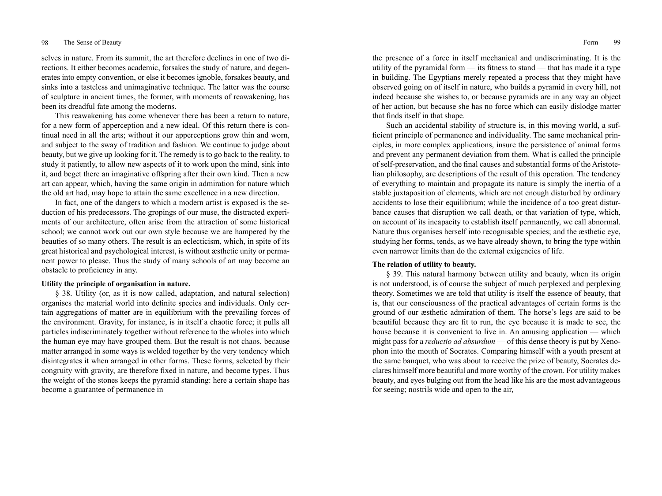selves in nature. From its summit, the art therefore declines in one of two directions. It either becomes academic, forsakes the study of nature, and degenerates into empty convention, or else it becomes ignoble, forsakes beauty, and sinks into a tasteless and unimaginative technique. The latter was the course of sculpture in ancient times, the former, with moments of reawakening, has been its dreadful fate among the moderns.

This reawakening has come whenever there has been a return to nature, for a new form of apperception and a new ideal. Of this return there is continual need in all the arts; without it our apperceptions grow thin and worn, and subject to the sway of tradition and fashion. We continue to judge about beauty, but we give up looking for it. The remedy is to go back to the reality, to study it patiently, to allow new aspects of it to work upon the mind, sink into it, and beget there an imaginative offspring after their own kind. Then a new art can appear, which, having the same origin in admiration for nature which the old art had, may hope to attain the same excellence in a new direction.

In fact, one of the dangers to which a modern artist is exposed is the seduction of his predecessors. The gropings of our muse, the distracted experiments of our architecture, often arise from the attraction of some historical school; we cannot work out our own style because we are hampered by the beauties of so many others. The result is an eclecticism, which, in spite of its great historical and psychological interest, is without æsthetic unity or permanent power to please. Thus the study of many schools of art may become an obstacle to proficiency in any.

# **Utility the principle of organisation in nature.**

§ 38. Utility (or, as it is now called, adaptation, and natural selection) organises the material world into definite species and individuals. Only certain aggregations of matter are in equilibrium with the prevailing forces of the environment. Gravity, for instance, is in itself a chaotic force; it pulls all particles indiscriminately together without reference to the wholes into which the human eye may have grouped them. But the result is not chaos, because matter arranged in some ways is welded together by the very tendency which disintegrates it when arranged in other forms. These forms, selected by their congruity with gravity, are therefore fixed in nature, and become types. Thus the weight of the stones keeps the pyramid standing: here a certain shape has become a guarantee of permanence in

the presence of a force in itself mechanical and undiscriminating. It is the utility of the pyramidal form  $\frac{1}{10}$  its fitness to stand  $\frac{1}{10}$  that has made it a type in building. The Egyptians merely repeated a process that they might have observed going on of itself in nature, who builds a pyramid in every hill, not indeed because she wishes to, or because pyramids are in any way an object of her action, but because she has no force which can easily dislodge matter that finds itself in that shape.

Such an accidental stability of structure is, in this moving world, a sufficient principle of permanence and individuality. The same mechanical principles, in more complex applications, insure the persistence of animal forms and prevent any permanent deviation from them. What is called the principle of self-preservation, and the final causes and substantial forms of the Aristotelian philosophy, are descriptions of the result of this operation. The tendency of everything to maintain and propagate its nature is simply the inertia of a stable juxtaposition of elements, which are not enough disturbed by ordinary accidents to lose their equilibrium; while the incidence of a too great disturbance causes that disruption we call death, or that variation of type, which, on account of its incapacity to establish itself permanently, we call abnormal. Nature thus organises herself into recognisable species; and the æsthetic eye, studying her forms, tends, as we have already shown, to bring the type within even narrower limits than do the external exigencies of life.

# **The relation of utility to beauty.**

§ 39. This natural harmony between utility and beauty, when its origin is not understood, is of course the subject of much perplexed and perplexing theory. Sometimes we are told that utility is itself the essence of beauty, that is, that our consciousness of the practical advantages of certain forms is the ground of our æsthetic admiration of them. The horse's legs are said to be beautiful because they are fit to run, the eye because it is made to see, the house because it is convenient to live in. An amusing application — which might pass for a *reductio ad absurdum* — of this dense theory is put by Xenophon into the mouth of Socrates. Comparing himself with a youth present at the same banquet, who was about to receive the prize of beauty, Socrates declares himself more beautiful and more worthy of the crown. For utility makes beauty, and eyes bulging out from the head like his are the most advantageous for seeing; nostrils wide and open to the air,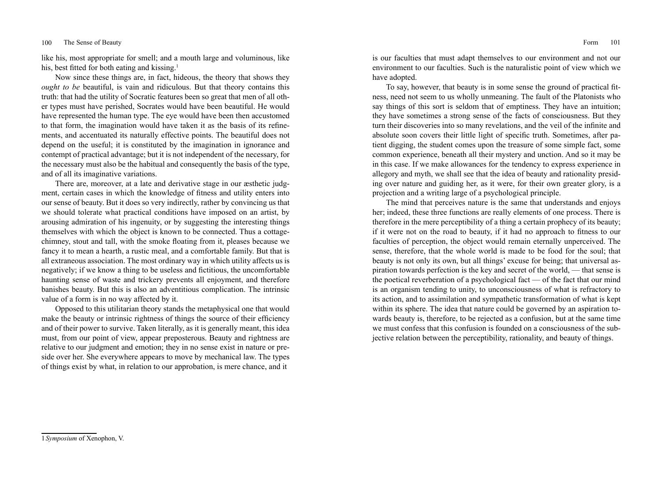like his, most appropriate for smell; and a mouth large and voluminous, like his, best fitted for both eating and kissing.<sup>1</sup>

Now since these things are, in fact, hideous, the theory that shows they *ought to be* beautiful, is vain and ridiculous. But that theory contains this truth: that had the utility of Socratic features been so great that men of all other types must have perished, Socrates would have been beautiful. He would have represented the human type. The eye would have been then accustomed to that form, the imagination would have taken it as the basis of its refinements, and accentuated its naturally effective points. The beautiful does not depend on the useful; it is constituted by the imagination in ignorance and contempt of practical advantage; but it is not independent of the necessary, for the necessary must also be the habitual and consequently the basis of the type, and of all its imaginative variations.

There are, moreover, at a late and derivative stage in our æsthetic judgment, certain cases in which the knowledge of fitness and utility enters into our sense of beauty. But it does so very indirectly, rather by convincing us that we should tolerate what practical conditions have imposed on an artist, by arousing admiration of his ingenuity, or by suggesting the interesting things themselves with which the object is known to be connected. Thus a cottagechimney, stout and tall, with the smoke floating from it, pleases because we fancy it to mean a hearth, a rustic meal, and a comfortable family. But that is all extraneous association. The most ordinary way in which utility affects us is negatively; if we know a thing to be useless and fictitious, the uncomfortable haunting sense of waste and trickery prevents all enjoyment, and therefore banishes beauty. But this is also an adventitious complication. The intrinsic value of a form is in no way affected by it.

Opposed to this utilitarian theory stands the metaphysical one that would make the beauty or intrinsic rightness of things the source of their efficiency and of their power to survive. Taken literally, as it is generally meant, this idea must, from our point of view, appear preposterous. Beauty and rightness are relative to our judgment and emotion; they in no sense exist in nature or preside over her. She everywhere appears to move by mechanical law. The types of things exist by what, in relation to our approbation, is mere chance, and it

is our faculties that must adapt themselves to our environment and not our environment to our faculties. Such is the naturalistic point of view which we have adopted.

To say, however, that beauty is in some sense the ground of practical fitness, need not seem to us wholly unmeaning. The fault of the Platonists who say things of this sort is seldom that of emptiness. They have an intuition; they have sometimes a strong sense of the facts of consciousness. But they turn their discoveries into so many revelations, and the veil of the infinite and absolute soon covers their little light of specific truth. Sometimes, after patient digging, the student comes upon the treasure of some simple fact, some common experience, beneath all their mystery and unction. And so it may be in this case. If we make allowances for the tendency to express experience in allegory and myth, we shall see that the idea of beauty and rationality presiding over nature and guiding her, as it were, for their own greater glory, is a projection and a writing large of a psychological principle.

The mind that perceives nature is the same that understands and enjoys her; indeed, these three functions are really elements of one process. There is therefore in the mere perceptibility of a thing a certain prophecy of its beauty; if it were not on the road to beauty, if it had no approach to fitness to our faculties of perception, the object would remain eternally unperceived. The sense, therefore, that the whole world is made to be food for the soul; that beauty is not only its own, but all things' excuse for being; that universal aspiration towards perfection is the key and secret of the world, — that sense is the poetical reverberation of a psychological fact — of the fact that our mind is an organism tending to unity, to unconsciousness of what is refractory to its action, and to assimilation and sympathetic transformation of what is kept within its sphere. The idea that nature could be governed by an aspiration towards beauty is, therefore, to be rejected as a confusion, but at the same time we must confess that this confusion is founded on a consciousness of the subjective relation between the perceptibility, rationality, and beauty of things.

<sup>1</sup>*Symposium* of Xenophon, V.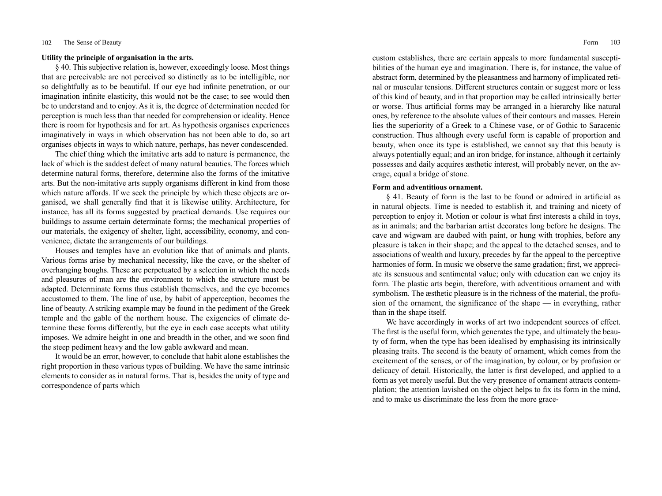### **Utility the principle of organisation in the arts.**

§ 40. This subjective relation is, however, exceedingly loose. Most things that are perceivable are not perceived so distinctly as to be intelligible, nor so delightfully as to be beautiful. If our eye had infinite penetration, or our imagination infinite elasticity, this would not be the case; to see would then be to understand and to enjoy. As it is, the degree of determination needed for perception is much less than that needed for comprehension or ideality. Hence there is room for hypothesis and for art. As hypothesis organises experiences imaginatively in ways in which observation has not been able to do, so art organises objects in ways to which nature, perhaps, has never condescended.

The chief thing which the imitative arts add to nature is permanence, the lack of which is the saddest defect of many natural beauties. The forces which determine natural forms, therefore, determine also the forms of the imitative arts. But the non-imitative arts supply organisms different in kind from those which nature affords. If we seek the principle by which these objects are organised, we shall generally find that it is likewise utility. Architecture, for instance, has all its forms suggested by practical demands. Use requires our buildings to assume certain determinate forms; the mechanical properties of our materials, the exigency of shelter, light, accessibility, economy, and convenience, dictate the arrangements of our buildings.

Houses and temples have an evolution like that of animals and plants. Various forms arise by mechanical necessity, like the cave, or the shelter of overhanging boughs. These are perpetuated by a selection in which the needs and pleasures of man are the environment to which the structure must be adapted. Determinate forms thus establish themselves, and the eye becomes accustomed to them. The line of use, by habit of apperception, becomes the line of beauty. A striking example may be found in the pediment of the Greek temple and the gable of the northern house. The exigencies of climate determine these forms differently, but the eye in each case accepts what utility imposes. We admire height in one and breadth in the other, and we soon find the steep pediment heavy and the low gable awkward and mean.

It would be an error, however, to conclude that habit alone establishes the right proportion in these various types of building. We have the same intrinsic elements to consider as in natural forms. That is, besides the unity of type and correspondence of parts which

custom establishes, there are certain appeals to more fundamental susceptibilities of the human eye and imagination. There is, for instance, the value of abstract form, determined by the pleasantness and harmony of implicated retinal or muscular tensions. Different structures contain or suggest more or less of this kind of beauty, and in that proportion may be called intrinsically better or worse. Thus artificial forms may be arranged in a hierarchy like natural ones, by reference to the absolute values of their contours and masses. Herein lies the superiority of a Greek to a Chinese vase, or of Gothic to Saracenic construction. Thus although every useful form is capable of proportion and beauty, when once its type is established, we cannot say that this beauty is always potentially equal; and an iron bridge, for instance, although it certainly possesses and daily acquires æsthetic interest, will probably never, on the average, equal a bridge of stone.

### **Form and adventitious ornament.**

§ 41. Beauty of form is the last to be found or admired in artificial as in natural objects. Time is needed to establish it, and training and nicety of perception to enjoy it. Motion or colour is what first interests a child in toys, as in animals; and the barbarian artist decorates long before he designs. The cave and wigwam are daubed with paint, or hung with trophies, before any pleasure is taken in their shape; and the appeal to the detached senses, and to associations of wealth and luxury, precedes by far the appeal to the perceptive harmonies of form. In music we observe the same gradation; first, we appreciate its sensuous and sentimental value; only with education can we enjoy its form. The plastic arts begin, therefore, with adventitious ornament and with symbolism. The æsthetic pleasure is in the richness of the material, the profusion of the ornament, the significance of the shape — in everything, rather than in the shape itself.

We have accordingly in works of art two independent sources of effect. The first is the useful form, which generates the type, and ultimately the beauty of form, when the type has been idealised by emphasising its intrinsically pleasing traits. The second is the beauty of ornament, which comes from the excitement of the senses, or of the imagination, by colour, or by profusion or delicacy of detail. Historically, the latter is first developed, and applied to a form as yet merely useful. But the very presence of ornament attracts contemplation; the attention lavished on the object helps to fix its form in the mind, and to make us discriminate the less from the more grace-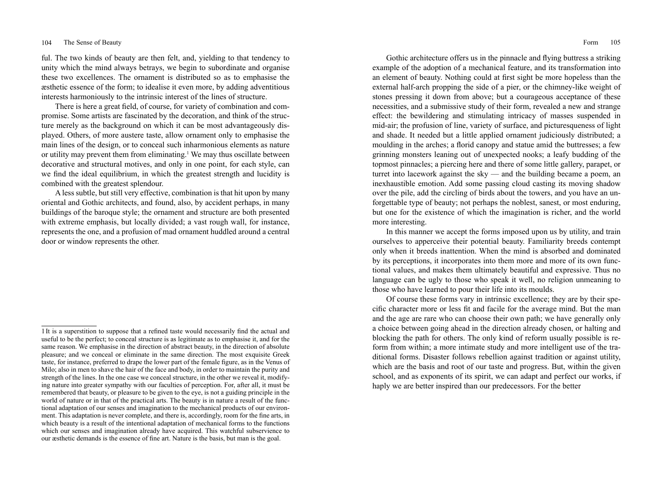ful. The two kinds of beauty are then felt, and, yielding to that tendency to unity which the mind always betrays, we begin to subordinate and organise these two excellences. The ornament is distributed so as to emphasise the æsthetic essence of the form; to idealise it even more, by adding adventitious interests harmoniously to the intrinsic interest of the lines of structure.

There is here a great field, of course, for variety of combination and compromise. Some artists are fascinated by the decoration, and think of the structure merely as the background on which it can be most advantageously displayed. Others, of more austere taste, allow ornament only to emphasise the main lines of the design, or to conceal such inharmonious elements as nature or utility may prevent them from eliminating.<sup>1</sup> We may thus oscillate between decorative and structural motives, and only in one point, for each style, can we find the ideal equilibrium, in which the greatest strength and lucidity is combined with the greatest splendour.

A less subtle, but still very effective, combination is that hit upon by many oriental and Gothic architects, and found, also, by accident perhaps, in many buildings of the baroque style; the ornament and structure are both presented with extreme emphasis, but locally divided; a vast rough wall, for instance, represents the one, and a profusion of mad ornament huddled around a central door or window represents the other.

Gothic architecture offers us in the pinnacle and flying buttress a striking example of the adoption of a mechanical feature, and its transformation into an element of beauty. Nothing could at first sight be more hopeless than the external half-arch propping the side of a pier, or the chimney-like weight of stones pressing it down from above; but a courageous acceptance of these necessities, and a submissive study of their form, revealed a new and strange effect: the bewildering and stimulating intricacy of masses suspended in mid-air; the profusion of line, variety of surface, and picturesqueness of light and shade. It needed but a little applied ornament judiciously distributed; a moulding in the arches; a florid canopy and statue amid the buttresses; a few grinning monsters leaning out of unexpected nooks; a leafy budding of the topmost pinnacles; a piercing here and there of some little gallery, parapet, or turret into lacework against the sky — and the building became a poem, an inexhaustible emotion. Add some passing cloud casting its moving shadow over the pile, add the circling of birds about the towers, and you have an unforgettable type of beauty; not perhaps the noblest, sanest, or most enduring, but one for the existence of which the imagination is richer, and the world more interesting.

In this manner we accept the forms imposed upon us by utility, and train ourselves to apperceive their potential beauty. Familiarity breeds contempt only when it breeds inattention. When the mind is absorbed and dominated by its perceptions, it incorporates into them more and more of its own functional values, and makes them ultimately beautiful and expressive. Thus no language can be ugly to those who speak it well, no religion unmeaning to those who have learned to pour their life into its moulds.

Of course these forms vary in intrinsic excellence; they are by their specific character more or less fit and facile for the average mind. But the man and the age are rare who can choose their own path; we have generally only a choice between going ahead in the direction already chosen, or halting and blocking the path for others. The only kind of reform usually possible is reform from within; a more intimate study and more intelligent use of the traditional forms. Disaster follows rebellion against tradition or against utility, which are the basis and root of our taste and progress. But, within the given school, and as exponents of its spirit, we can adapt and perfect our works, if haply we are better inspired than our predecessors. For the better

<sup>1</sup>It is a superstition to suppose that a refined taste would necessarily find the actual and useful to be the perfect; to conceal structure is as legitimate as to emphasise it, and for the same reason. We emphasise in the direction of abstract beauty, in the direction of absolute pleasure; and we conceal or eliminate in the same direction. The most exquisite Greek taste, for instance, preferred to drape the lower part of the female figure, as in the Venus of Milo; also in men to shave the hair of the face and body, in order to maintain the purity and strength of the lines. In the one case we conceal structure, in the other we reveal it, modifying nature into greater sympathy with our faculties of perception. For, after all, it must be remembered that beauty, or pleasure to be given to the eye, is not a guiding principle in the world of nature or in that of the practical arts. The beauty is in nature a result of the functional adaptation of our senses and imagination to the mechanical products of our environment. This adaptation is never complete, and there is, accordingly, room for the fine arts, in which beauty is a result of the intentional adaptation of mechanical forms to the functions which our senses and imagination already have acquired. This watchful subservience to our æsthetic demands is the essence of fine art. Nature is the basis, but man is the goal.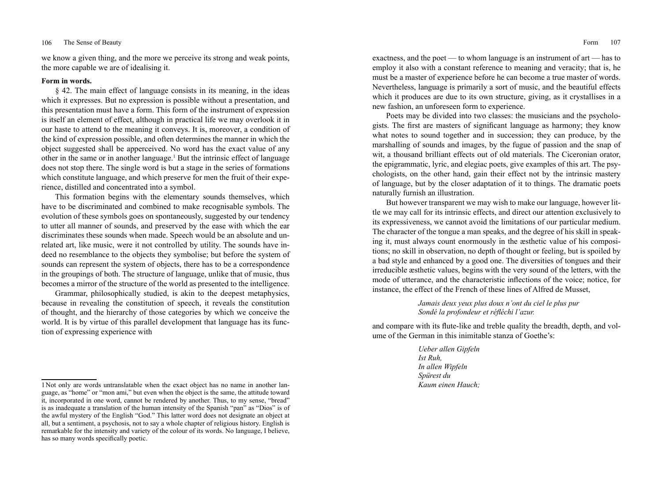we know a given thing, and the more we perceive its strong and weak points, the more capable we are of idealising it.

# **Form in words.**

§ 42. The main effect of language consists in its meaning, in the ideas which it expresses. But no expression is possible without a presentation, and this presentation must have a form. This form of the instrument of expression is itself an element of effect, although in practical life we may overlook it in our haste to attend to the meaning it conveys. It is, moreover, a condition of the kind of expression possible, and often determines the manner in which the object suggested shall be apperceived. No word has the exact value of any other in the same or in another language.<sup>1</sup> But the intrinsic effect of language does not stop there. The single word is but a stage in the series of formations which constitute language, and which preserve for men the fruit of their experience, distilled and concentrated into a symbol.

This formation begins with the elementary sounds themselves, which have to be discriminated and combined to make recognisable symbols. The evolution of these symbols goes on spontaneously, suggested by our tendency to utter all manner of sounds, and preserved by the ease with which the ear discriminates these sounds when made. Speech would be an absolute and unrelated art, like music, were it not controlled by utility. The sounds have indeed no resemblance to the objects they symbolise; but before the system of sounds can represent the system of objects, there has to be a correspondence in the groupings of both. The structure of language, unlike that of music, thus becomes a mirror of the structure of the world as presented to the intelligence.

Grammar, philosophically studied, is akin to the deepest metaphysics, because in revealing the constitution of speech, it reveals the constitution of thought, and the hierarchy of those categories by which we conceive the world. It is by virtue of this parallel development that language has its function of expressing experience with

exactness, and the poet — to whom language is an instrument of art — has to employ it also with a constant reference to meaning and veracity; that is, he must be a master of experience before he can become a true master of words. Nevertheless, language is primarily a sort of music, and the beautiful effects which it produces are due to its own structure, giving, as it crystallises in a new fashion, an unforeseen form to experience.

Poets may be divided into two classes: the musicians and the psychologists. The first are masters of significant language as harmony; they know what notes to sound together and in succession; they can produce, by the marshalling of sounds and images, by the fugue of passion and the snap of wit, a thousand brilliant effects out of old materials. The Ciceronian orator, the epigrammatic, lyric, and elegiac poets, give examples of this art. The psychologists, on the other hand, gain their effect not by the intrinsic mastery of language, but by the closer adaptation of it to things. The dramatic poets naturally furnish an illustration.

But however transparent we may wish to make our language, however little we may call for its intrinsic effects, and direct our attention exclusively to its expressiveness, we cannot avoid the limitations of our particular medium. The character of the tongue a man speaks, and the degree of his skill in speaking it, must always count enormously in the æsthetic value of his compositions; no skill in observation, no depth of thought or feeling, but is spoiled by a bad style and enhanced by a good one. The diversities of tongues and their irreducible æsthetic values, begins with the very sound of the letters, with the mode of utterance, and the characteristic inflections of the voice; notice, for instance, the effect of the French of these lines of Alfred de Musset,

> *Jamais deux yeux plus doux n'ont du ciel le plus pur Sondé la profondeur et réfléchi l'azur.*

and compare with its flute-like and treble quality the breadth, depth, and volume of the German in this inimitable stanza of Goethe's:

> *Ueber allen Gipfeln Ist Ruh, In allen Wipfeln Spürest du Kaum einen Hauch;*

<sup>1</sup>Not only are words untranslatable when the exact object has no name in another language, as "home" or "mon ami," but even when the object is the same, the attitude toward it, incorporated in one word, cannot be rendered by another. Thus, to my sense, "bread" is as inadequate a translation of the human intensity of the Spanish "pan" as "Dios" is of the awful mystery of the English "God." This latter word does not designate an object at all, but a sentiment, a psychosis, not to say a whole chapter of religious history. English is remarkable for the intensity and variety of the colour of its words. No language, I believe, has so many words specifically poetic.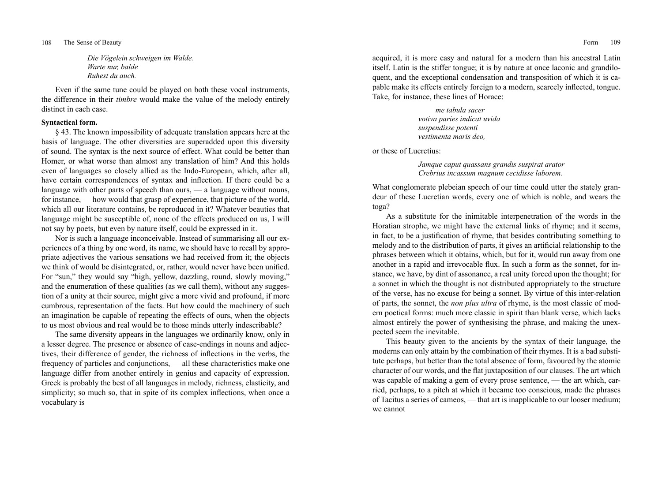*Die Vögelein schweigen im Walde. Warte nur, balde Ruhest du auch.*

Even if the same tune could be played on both these vocal instruments, the difference in their *timbre* would make the value of the melody entirely distinct in each case.

# **Syntactical form.**

§ 43. The known impossibility of adequate translation appears here at the basis of language. The other diversities are superadded upon this diversity of sound. The syntax is the next source of effect. What could be better than Homer, or what worse than almost any translation of him? And this holds even of languages so closely allied as the Indo-European, which, after all, have certain correspondences of syntax and inflection. If there could be a language with other parts of speech than ours, — a language without nouns, for instance, — how would that grasp of experience, that picture of the world, which all our literature contains, be reproduced in it? Whatever beauties that language might be susceptible of, none of the effects produced on us, I will not say by poets, but even by nature itself, could be expressed in it.

Nor is such a language inconceivable. Instead of summarising all our experiences of a thing by one word, its name, we should have to recall by appropriate adjectives the various sensations we had received from it; the objects we think of would be disintegrated, or, rather, would never have been unified. For "sun," they would say "high, yellow, dazzling, round, slowly moving," and the enumeration of these qualities (as we call them), without any suggestion of a unity at their source, might give a more vivid and profound, if more cumbrous, representation of the facts. But how could the machinery of such an imagination be capable of repeating the effects of ours, when the objects to us most obvious and real would be to those minds utterly indescribable?

The same diversity appears in the languages we ordinarily know, only in a lesser degree. The presence or absence of case-endings in nouns and adjectives, their difference of gender, the richness of inflections in the verbs, the frequency of particles and conjunctions, — all these characteristics make one language differ from another entirely in genius and capacity of expression. Greek is probably the best of all languages in melody, richness, elasticity, and simplicity; so much so, that in spite of its complex inflections, when once a vocabulary is

acquired, it is more easy and natural for a modern than his ancestral Latin itself. Latin is the stiffer tongue; it is by nature at once laconic and grandiloquent, and the exceptional condensation and transposition of which it is capable make its effects entirely foreign to a modern, scarcely inflected, tongue. Take, for instance, these lines of Horace:

> *me tabula sacer votiva paries indicat uvida suspendisse potenti vestimenta maris deo,*

or these of Lucretius:

*Jamque caput quassans grandis suspirat arator Crebrius incassum magnum cecidisse laborem.*

What conglomerate plebeian speech of our time could utter the stately grandeur of these Lucretian words, every one of which is noble, and wears the toga?

As a substitute for the inimitable interpenetration of the words in the Horatian strophe, we might have the external links of rhyme; and it seems, in fact, to be a justification of rhyme, that besides contributing something to melody and to the distribution of parts, it gives an artificial relationship to the phrases between which it obtains, which, but for it, would run away from one another in a rapid and irrevocable flux. In such a form as the sonnet, for instance, we have, by dint of assonance, a real unity forced upon the thought; for a sonnet in which the thought is not distributed appropriately to the structure of the verse, has no excuse for being a sonnet. By virtue of this inter-relation of parts, the sonnet, the *non plus ultra* of rhyme, is the most classic of modern poetical forms: much more classic in spirit than blank verse, which lacks almost entirely the power of synthesising the phrase, and making the unexpected seem the inevitable.

This beauty given to the ancients by the syntax of their language, the moderns can only attain by the combination of their rhymes. It is a bad substitute perhaps, but better than the total absence of form, favoured by the atomic character of our words, and the flat juxtaposition of our clauses. The art which was capable of making a gem of every prose sentence, — the art which, carried, perhaps, to a pitch at which it became too conscious, made the phrases of Tacitus a series of cameos, — that art is inapplicable to our looser medium; we cannot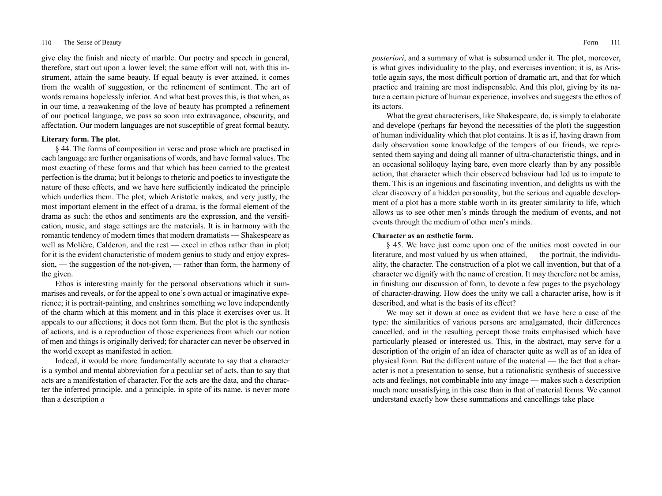give clay the finish and nicety of marble. Our poetry and speech in general, therefore, start out upon a lower level; the same effort will not, with this instrument, attain the same beauty. If equal beauty is ever attained, it comes from the wealth of suggestion, or the refinement of sentiment. The art of words remains hopelessly inferior. And what best proves this, is that when, as in our time, a reawakening of the love of beauty has prompted a refinement of our poetical language, we pass so soon into extravagance, obscurity, and affectation. Our modern languages are not susceptible of great formal beauty.

# **Literary form. The plot.**

§ 44. The forms of composition in verse and prose which are practised in each language are further organisations of words, and have formal values. The most exacting of these forms and that which has been carried to the greatest perfection is the drama; but it belongs to rhetoric and poetics to investigate the nature of these effects, and we have here sufficiently indicated the principle which underlies them. The plot, which Aristotle makes, and very justly, the most important element in the effect of a drama, is the formal element of the drama as such: the ethos and sentiments are the expression, and the versification, music, and stage settings are the materials. It is in harmony with the romantic tendency of modern times that modern dramatists — Shakespeare as well as Molière, Calderon, and the rest — excel in ethos rather than in plot; for it is the evident characteristic of modern genius to study and enjoy expression, — the suggestion of the not-given, — rather than form, the harmony of the given.

Ethos is interesting mainly for the personal observations which it summarises and reveals, or for the appeal to one's own actual or imaginative experience; it is portrait-painting, and enshrines something we love independently of the charm which at this moment and in this place it exercises over us. It appeals to our affections; it does not form them. But the plot is the synthesis of actions, and is a reproduction of those experiences from which our notion of men and things is originally derived; for character can never be observed in the world except as manifested in action.

Indeed, it would be more fundamentally accurate to say that a character is a symbol and mental abbreviation for a peculiar set of acts, than to say that acts are a manifestation of character. For the acts are the data, and the character the inferred principle, and a principle, in spite of its name, is never more than a description *a* 

*posteriori*, and a summary of what is subsumed under it. The plot, moreover, is what gives individuality to the play, and exercises invention; it is, as Aristotle again says, the most difficult portion of dramatic art, and that for which practice and training are most indispensable. And this plot, giving by its nature a certain picture of human experience, involves and suggests the ethos of its actors.

What the great characterisers, like Shakespeare, do, is simply to elaborate and develope (perhaps far beyond the necessities of the plot) the suggestion of human individuality which that plot contains. It is as if, having drawn from daily observation some knowledge of the tempers of our friends, we represented them saying and doing all manner of ultra-characteristic things, and in an occasional soliloquy laying bare, even more clearly than by any possible action, that character which their observed behaviour had led us to impute to them. This is an ingenious and fascinating invention, and delights us with the clear discovery of a hidden personality; but the serious and equable development of a plot has a more stable worth in its greater similarity to life, which allows us to see other men's minds through the medium of events, and not events through the medium of other men's minds.

# **Character as an æsthetic form.**

§ 45. We have just come upon one of the unities most coveted in our literature, and most valued by us when attained, — the portrait, the individuality, the character. The construction of a plot we call invention, but that of a character we dignify with the name of creation. It may therefore not be amiss, in finishing our discussion of form, to devote a few pages to the psychology of character-drawing. How does the unity we call a character arise, how is it described, and what is the basis of its effect?

We may set it down at once as evident that we have here a case of the type: the similarities of various persons are amalgamated, their differences cancelled, and in the resulting percept those traits emphasised which have particularly pleased or interested us. This, in the abstract, may serve for a description of the origin of an idea of character quite as well as of an idea of physical form. But the different nature of the material — the fact that a character is not a presentation to sense, but a rationalistic synthesis of successive acts and feelings, not combinable into any image — makes such a description much more unsatisfying in this case than in that of material forms. We cannot understand exactly how these summations and cancellings take place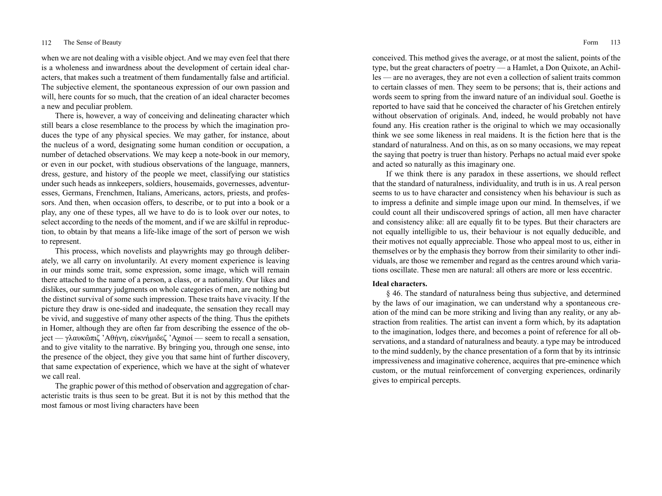when we are not dealing with a visible object. And we may even feel that there is a wholeness and inwardness about the development of certain ideal characters, that makes such a treatment of them fundamentally false and artificial. The subjective element, the spontaneous expression of our own passion and will, here counts for so much, that the creation of an ideal character becomes a new and peculiar problem.

There is, however, a way of conceiving and delineating character which still bears a close resemblance to the process by which the imagination produces the type of any physical species. We may gather, for instance, about the nucleus of a word, designating some human condition or occupation, a number of detached observations. We may keep a note-book in our memory, or even in our pocket, with studious observations of the language, manners, dress, gesture, and history of the people we meet, classifying our statistics under such heads as innkeepers, soldiers, housemaids, governesses, adventuresses, Germans, Frenchmen, Italians, Americans, actors, priests, and professors. And then, when occasion offers, to describe, or to put into a book or a play, any one of these types, all we have to do is to look over our notes, to select according to the needs of the moment, and if we are skilful in reproduction, to obtain by that means a life-like image of the sort of person we wish to represent.

This process, which novelists and playwrights may go through deliberately, we all carry on involuntarily. At every moment experience is leaving in our minds some trait, some expression, some image, which will remain there attached to the name of a person, a class, or a nationality. Our likes and dislikes, our summary judgments on whole categories of men, are nothing but the distinct survival of some such impression. These traits have vivacity. If the picture they draw is one-sided and inadequate, the sensation they recall may be vivid, and suggestive of many other aspects of the thing. Thus the epithets in Homer, although they are often far from describing the essence of the object — γλαυκῶπιζ 'Αθήνη, εὐκνήμιδεζ 'Αχαιοί — seem to recall a sensation, and to give vitality to the narrative. By bringing you, through one sense, into the presence of the object, they give you that same hint of further discovery, that same expectation of experience, which we have at the sight of whatever we call real.

The graphic power of this method of observation and aggregation of characteristic traits is thus seen to be great. But it is not by this method that the most famous or most living characters have been

conceived. This method gives the average, or at most the salient, points of the type, but the great characters of poetry — a Hamlet, a Don Quixote, an Achilles — are no averages, they are not even a collection of salient traits common to certain classes of men. They seem to be persons; that is, their actions and words seem to spring from the inward nature of an individual soul. Goethe is reported to have said that he conceived the character of his Gretchen entirely without observation of originals. And, indeed, he would probably not have found any. His creation rather is the original to which we may occasionally think we see some likeness in real maidens. It is the fiction here that is the standard of naturalness. And on this, as on so many occasions, we may repeat the saying that poetry is truer than history. Perhaps no actual maid ever spoke and acted so naturally as this imaginary one.

If we think there is any paradox in these assertions, we should reflect that the standard of naturalness, individuality, and truth is in us. A real person seems to us to have character and consistency when his behaviour is such as to impress a definite and simple image upon our mind. In themselves, if we could count all their undiscovered springs of action, all men have character and consistency alike: all are equally fit to be types. But their characters are not equally intelligible to us, their behaviour is not equally deducible, and their motives not equally appreciable. Those who appeal most to us, either in themselves or by the emphasis they borrow from their similarity to other individuals, are those we remember and regard as the centres around which variations oscillate. These men are natural: all others are more or less eccentric.

# **Ideal characters.**

§ 46. The standard of naturalness being thus subjective, and determined by the laws of our imagination, we can understand why a spontaneous creation of the mind can be more striking and living than any reality, or any abstraction from realities. The artist can invent a form which, by its adaptation to the imagination, lodges there, and becomes a point of reference for all observations, and a standard of naturalness and beauty. a type may be introduced to the mind suddenly, by the chance presentation of a form that by its intrinsic impressiveness and imaginative coherence, acquires that pre-eminence which custom, or the mutual reinforcement of converging experiences, ordinarily gives to empirical percepts.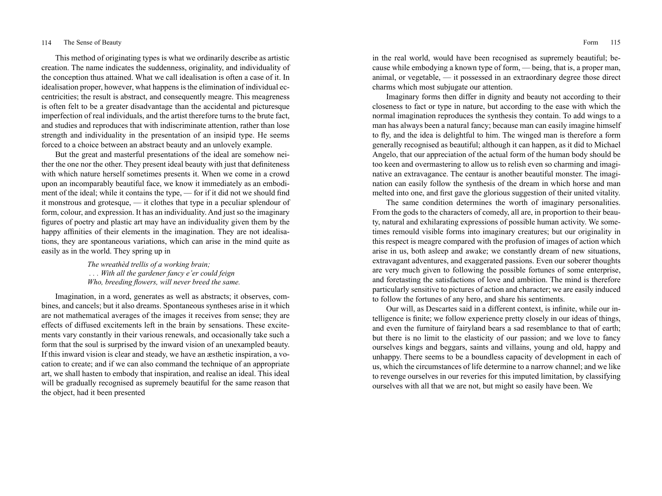This method of originating types is what we ordinarily describe as artistic creation. The name indicates the suddenness, originality, and individuality of the conception thus attained. What we call idealisation is often a case of it. In idealisation proper, however, what happens is the elimination of individual eccentricities; the result is abstract, and consequently meagre. This meagreness is often felt to be a greater disadvantage than the accidental and picturesque imperfection of real individuals, and the artist therefore turns to the brute fact, and studies and reproduces that with indiscriminate attention, rather than lose strength and individuality in the presentation of an insipid type. He seems forced to a choice between an abstract beauty and an unlovely example.

But the great and masterful presentations of the ideal are somehow neither the one nor the other. They present ideal beauty with just that definiteness with which nature herself sometimes presents it. When we come in a crowd upon an incomparably beautiful face, we know it immediately as an embodiment of the ideal; while it contains the type, — for if it did not we should find it monstrous and grotesque, — it clothes that type in a peculiar splendour of form, colour, and expression. It has an individuality. And just so the imaginary figures of poetry and plastic art may have an individuality given them by the happy affinities of their elements in the imagination. They are not idealisations, they are spontaneous variations, which can arise in the mind quite as easily as in the world. They spring up in

> *The wreathèd trellis of a working brain; . . . With all the gardener fancy e'er could feign Who, breeding flowers, will never breed the same.*

Imagination, in a word, generates as well as abstracts; it observes, combines, and cancels; but it also dreams. Spontaneous syntheses arise in it which are not mathematical averages of the images it receives from sense; they are effects of diffused excitements left in the brain by sensations. These excitements vary constantly in their various renewals, and occasionally take such a form that the soul is surprised by the inward vision of an unexampled beauty. If this inward vision is clear and steady, we have an æsthetic inspiration, a vocation to create; and if we can also command the technique of an appropriate art, we shall hasten to embody that inspiration, and realise an ideal. This ideal will be gradually recognised as supremely beautiful for the same reason that the object, had it been presented

in the real world, would have been recognised as supremely beautiful; because while embodying a known type of form, — being, that is, a proper man, animal, or vegetable, — it possessed in an extraordinary degree those direct charms which most subjugate our attention.

Imaginary forms then differ in dignity and beauty not according to their closeness to fact or type in nature, but according to the ease with which the normal imagination reproduces the synthesis they contain. To add wings to a man has always been a natural fancy; because man can easily imagine himself to fly, and the idea is delightful to him. The winged man is therefore a form generally recognised as beautiful; although it can happen, as it did to Michael Angelo, that our appreciation of the actual form of the human body should be too keen and overmastering to allow us to relish even so charming and imaginative an extravagance. The centaur is another beautiful monster. The imagination can easily follow the synthesis of the dream in which horse and man melted into one, and first gave the glorious suggestion of their united vitality.

The same condition determines the worth of imaginary personalities. From the gods to the characters of comedy, all are, in proportion to their beauty, natural and exhilarating expressions of possible human activity. We sometimes remould visible forms into imaginary creatures; but our originality in this respect is meagre compared with the profusion of images of action which arise in us, both asleep and awake; we constantly dream of new situations, extravagant adventures, and exaggerated passions. Even our soberer thoughts are very much given to following the possible fortunes of some enterprise, and foretasting the satisfactions of love and ambition. The mind is therefore particularly sensitive to pictures of action and character; we are easily induced to follow the fortunes of any hero, and share his sentiments.

Our will, as Descartes said in a different context, is infinite, while our intelligence is finite; we follow experience pretty closely in our ideas of things, and even the furniture of fairyland bears a sad resemblance to that of earth; but there is no limit to the elasticity of our passion; and we love to fancy ourselves kings and beggars, saints and villains, young and old, happy and unhappy. There seems to be a boundless capacity of development in each of us, which the circumstances of life determine to a narrow channel; and we like to revenge ourselves in our reveries for this imputed limitation, by classifying ourselves with all that we are not, but might so easily have been. We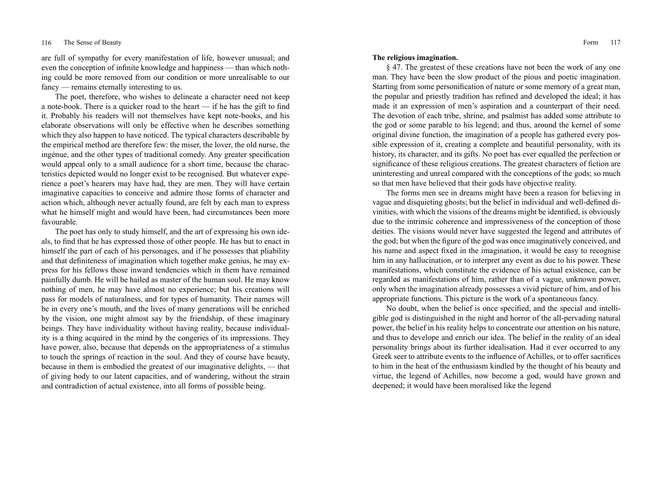are full of sympathy for every manifestation of life, however unusual; and even the conception of infinite knowledge and happiness — than which nothing could be more removed from our condition or more unrealisable to our fancy — remains eternally interesting to us.

The poet, therefore, who wishes to delineate a character need not keep a note-book. There is a quicker road to the heart — if he has the gift to find it. Probably his readers will not themselves have kept note-books, and his elaborate observations will only be effective when he describes something which they also happen to have noticed. The typical characters describable by the empirical method are therefore few: the miser, the lover, the old nurse, the ingénue, and the other types of traditional comedy. Any greater specification would appeal only to a small audience for a short time, because the characteristics depicted would no longer exist to be recognised. But whatever experience a poet's hearers may have had, they are men. They will have certain imaginative capacities to conceive and admire those forms of character and action which, although never actually found, are felt by each man to express what he himself might and would have been, had circumstances been more favourable.

The poet has only to study himself, and the art of expressing his own ideals, to find that he has expressed those of other people. He has but to enact in himself the part of each of his personages, and if he possesses that pliability and that definiteness of imagination which together make genius, he may express for his fellows those inward tendencies which in them have remained painfully dumb. He will be hailed as master of the human soul. He may know nothing of men, he may have almost no experience; but his creations will pass for models of naturalness, and for types of humanity. Their names will be in every one's mouth, and the lives of many generations will be enriched by the vision, one might almost say by the friendship, of these imaginary beings. They have individuality without having reality, because individuality is a thing acquired in the mind by the congeries of its impressions. They have power, also, because that depends on the appropriateness of a stimulus to touch the springs of reaction in the soul. And they of course have beauty, because in them is embodied the greatest of our imaginative delights, — that of giving body to our latent capacities, and of wandering, without the strain and contradiction of actual existence, into all forms of possible being.

#### **The religious imagination.**

§ 47. The greatest of these creations have not been the work of any one man. They have been the slow product of the pious and poetic imagination. Starting from some personification of nature or some memory of a great man, the popular and priestly tradition has refined and developed the ideal; it has made it an expression of men's aspiration and a counterpart of their need. The devotion of each tribe, shrine, and psalmist has added some attribute to the god or some parable to his legend; and thus, around the kernel of some original divine function, the imagination of a people has gathered every possible expression of it, creating a complete and beautiful personality, with its history, its character, and its gifts. No poet has ever equalled the perfection or significance of these religious creations. The greatest characters of fiction are uninteresting and unreal compared with the conceptions of the gods; so much so that men have believed that their gods have objective reality.

The forms men see in dreams might have been a reason for believing in vague and disquieting ghosts; but the belief in individual and well-defined divinities, with which the visions of the dreams might be identified, is obviously due to the intrinsic coherence and impressiveness of the conception of those deities. The visions would never have suggested the legend and attributes of the god; but when the figure of the god was once imaginatively conceived, and his name and aspect fixed in the imagination, it would be easy to recognise him in any hallucination, or to interpret any event as due to his power. These manifestations, which constitute the evidence of his actual existence, can be regarded as manifestations of him, rather than of a vague, unknown power, only when the imagination already possesses a vivid picture of him, and of his appropriate functions. This picture is the work of a spontaneous fancy.

No doubt, when the belief is once specified, and the special and intelligible god is distinguished in the night and horror of the all-pervading natural power, the belief in his reality helps to concentrate our attention on his nature, and thus to develope and enrich our idea. The belief in the reality of an ideal personality brings about its further idealisation. Had it ever occurred to any Greek seer to attribute events to the influence of Achilles, or to offer sacrifices to him in the heat of the enthusiasm kindled by the thought of his beauty and virtue, the legend of Achilles, now become a god, would have grown and deepened; it would have been moralised like the legend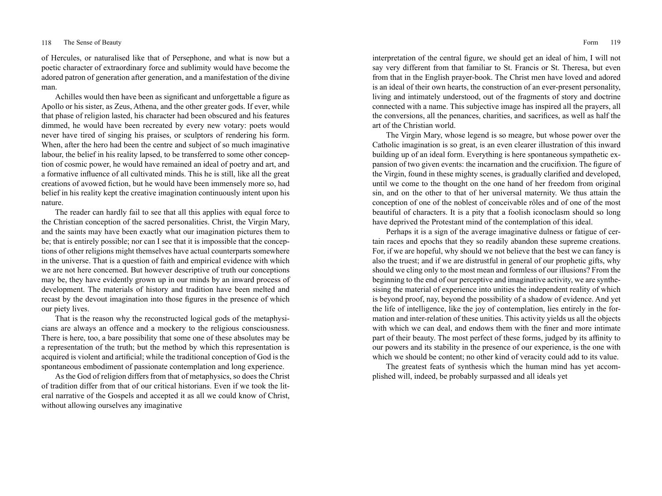of Hercules, or naturalised like that of Persephone, and what is now but a poetic character of extraordinary force and sublimity would have become the adored patron of generation after generation, and a manifestation of the divine man.

Achilles would then have been as significant and unforgettable a figure as Apollo or his sister, as Zeus, Athena, and the other greater gods. If ever, while that phase of religion lasted, his character had been obscured and his features dimmed, he would have been recreated by every new votary: poets would never have tired of singing his praises, or sculptors of rendering his form. When, after the hero had been the centre and subject of so much imaginative labour, the belief in his reality lapsed, to be transferred to some other conception of cosmic power, he would have remained an ideal of poetry and art, and a formative influence of all cultivated minds. This he is still, like all the great creations of avowed fiction, but he would have been immensely more so, had belief in his reality kept the creative imagination continuously intent upon his nature.

The reader can hardly fail to see that all this applies with equal force to the Christian conception of the sacred personalities. Christ, the Virgin Mary, and the saints may have been exactly what our imagination pictures them to be; that is entirely possible; nor can I see that it is impossible that the conceptions of other religions might themselves have actual counterparts somewhere in the universe. That is a question of faith and empirical evidence with which we are not here concerned. But however descriptive of truth our conceptions may be, they have evidently grown up in our minds by an inward process of development. The materials of history and tradition have been melted and recast by the devout imagination into those figures in the presence of which our piety lives.

That is the reason why the reconstructed logical gods of the metaphysicians are always an offence and a mockery to the religious consciousness. There is here, too, a bare possibility that some one of these absolutes may be a representation of the truth; but the method by which this representation is acquired is violent and artificial; while the traditional conception of God is the spontaneous embodiment of passionate contemplation and long experience.

As the God of religion differs from that of metaphysics, so does the Christ of tradition differ from that of our critical historians. Even if we took the literal narrative of the Gospels and accepted it as all we could know of Christ, without allowing ourselves any imaginative

interpretation of the central figure, we should get an ideal of him, I will not say very different from that familiar to St. Francis or St. Theresa, but even from that in the English prayer-book. The Christ men have loved and adored is an ideal of their own hearts, the construction of an ever-present personality, living and intimately understood, out of the fragments of story and doctrine connected with a name. This subjective image has inspired all the prayers, all the conversions, all the penances, charities, and sacrifices, as well as half the art of the Christian world.

The Virgin Mary, whose legend is so meagre, but whose power over the Catholic imagination is so great, is an even clearer illustration of this inward building up of an ideal form. Everything is here spontaneous sympathetic expansion of two given events: the incarnation and the crucifixion. The figure of the Virgin, found in these mighty scenes, is gradually clarified and developed, until we come to the thought on the one hand of her freedom from original sin, and on the other to that of her universal maternity. We thus attain the conception of one of the noblest of conceivable rôles and of one of the most beautiful of characters. It is a pity that a foolish iconoclasm should so long have deprived the Protestant mind of the contemplation of this ideal.

Perhaps it is a sign of the average imaginative dulness or fatigue of certain races and epochs that they so readily abandon these supreme creations. For, if we are hopeful, why should we not believe that the best we can fancy is also the truest; and if we are distrustful in general of our prophetic gifts, why should we cling only to the most mean and formless of our illusions? From the beginning to the end of our perceptive and imaginative activity, we are synthesising the material of experience into unities the independent reality of which is beyond proof, nay, beyond the possibility of a shadow of evidence. And yet the life of intelligence, like the joy of contemplation, lies entirely in the formation and inter-relation of these unities. This activity yields us all the objects with which we can deal, and endows them with the finer and more intimate part of their beauty. The most perfect of these forms, judged by its affinity to our powers and its stability in the presence of our experience, is the one with which we should be content; no other kind of veracity could add to its value.

The greatest feats of synthesis which the human mind has yet accomplished will, indeed, be probably surpassed and all ideals yet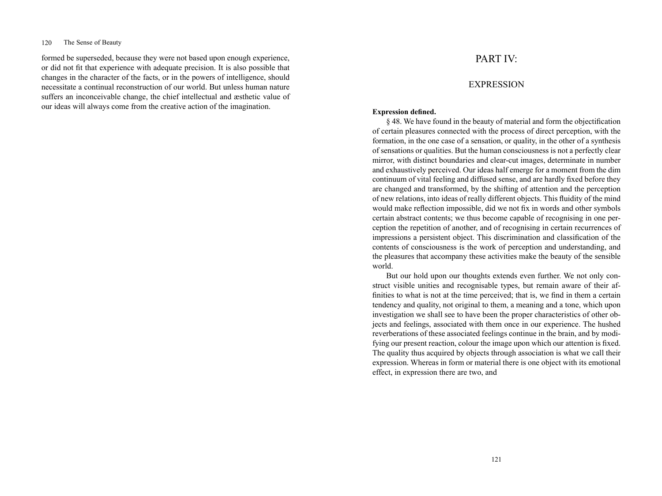# 120 The Sense of Beauty

formed be superseded, because they were not based upon enough experience, or did not fit that experience with adequate precision. It is also possible that changes in the character of the facts, or in the powers of intelligence, should necessitate a continual reconstruction of our world. But unless human nature suffers an inconceivable change, the chief intellectual and æsthetic value of our ideas will always come from the creative action of the imagination.

# PART IV:

# **EXPRESSION**

# **Expression defined.**

§ 48. We have found in the beauty of material and form the objectification of certain pleasures connected with the process of direct perception, with the formation, in the one case of a sensation, or quality, in the other of a synthesis of sensations or qualities. But the human consciousness is not a perfectly clear mirror, with distinct boundaries and clear-cut images, determinate in number and exhaustively perceived. Our ideas half emerge for a moment from the dim continuum of vital feeling and diffused sense, and are hardly fixed before they are changed and transformed, by the shifting of attention and the perception of new relations, into ideas of really different objects. This fluidity of the mind would make reflection impossible, did we not fix in words and other symbols certain abstract contents; we thus become capable of recognising in one perception the repetition of another, and of recognising in certain recurrences of impressions a persistent object. This discrimination and classification of the contents of consciousness is the work of perception and understanding, and the pleasures that accompany these activities make the beauty of the sensible world.

But our hold upon our thoughts extends even further. We not only construct visible unities and recognisable types, but remain aware of their affinities to what is not at the time perceived; that is, we find in them a certain tendency and quality, not original to them, a meaning and a tone, which upon investigation we shall see to have been the proper characteristics of other objects and feelings, associated with them once in our experience. The hushed reverberations of these associated feelings continue in the brain, and by modifying our present reaction, colour the image upon which our attention is fixed. The quality thus acquired by objects through association is what we call their expression. Whereas in form or material there is one object with its emotional effect, in expression there are two, and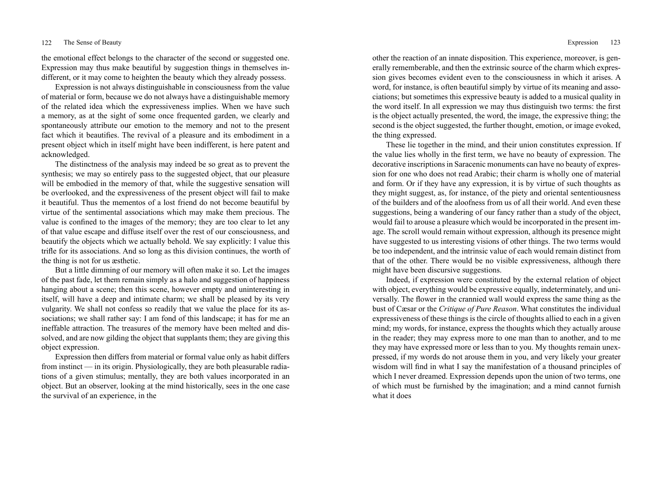the emotional effect belongs to the character of the second or suggested one. Expression may thus make beautiful by suggestion things in themselves indifferent, or it may come to heighten the beauty which they already possess.

Expression is not always distinguishable in consciousness from the value of material or form, because we do not always have a distinguishable memory of the related idea which the expressiveness implies. When we have such a memory, as at the sight of some once frequented garden, we clearly and spontaneously attribute our emotion to the memory and not to the present fact which it beautifies. The revival of a pleasure and its embodiment in a present object which in itself might have been indifferent, is here patent and acknowledged.

The distinctness of the analysis may indeed be so great as to prevent the synthesis; we may so entirely pass to the suggested object, that our pleasure will be embodied in the memory of that, while the suggestive sensation will be overlooked, and the expressiveness of the present object will fail to make it beautiful. Thus the mementos of a lost friend do not become beautiful by virtue of the sentimental associations which may make them precious. The value is confined to the images of the memory; they are too clear to let any of that value escape and diffuse itself over the rest of our consciousness, and beautify the objects which we actually behold. We say explicitly: I value this trifle for its associations. And so long as this division continues, the worth of the thing is not for us æsthetic.

But a little dimming of our memory will often make it so. Let the images of the past fade, let them remain simply as a halo and suggestion of happiness hanging about a scene; then this scene, however empty and uninteresting in itself, will have a deep and intimate charm; we shall be pleased by its very vulgarity. We shall not confess so readily that we value the place for its associations; we shall rather say: I am fond of this landscape; it has for me an ineffable attraction. The treasures of the memory have been melted and dissolved, and are now gilding the object that supplants them; they are giving this object expression.

Expression then differs from material or formal value only as habit differs from instinct — in its origin. Physiologically, they are both pleasurable radiations of a given stimulus; mentally, they are both values incorporated in an object. But an observer, looking at the mind historically, sees in the one case the survival of an experience, in the

other the reaction of an innate disposition. This experience, moreover, is generally rememberable, and then the extrinsic source of the charm which expression gives becomes evident even to the consciousness in which it arises. A word, for instance, is often beautiful simply by virtue of its meaning and associations; but sometimes this expressive beauty is added to a musical quality in the word itself. In all expression we may thus distinguish two terms: the first is the object actually presented, the word, the image, the expressive thing; the second is the object suggested, the further thought, emotion, or image evoked, the thing expressed.

These lie together in the mind, and their union constitutes expression. If the value lies wholly in the first term, we have no beauty of expression. The decorative inscriptions in Saracenic monuments can have no beauty of expression for one who does not read Arabic; their charm is wholly one of material and form. Or if they have any expression, it is by virtue of such thoughts as they might suggest, as, for instance, of the piety and oriental sententiousness of the builders and of the aloofness from us of all their world. And even these suggestions, being a wandering of our fancy rather than a study of the object, would fail to arouse a pleasure which would be incorporated in the present image. The scroll would remain without expression, although its presence might have suggested to us interesting visions of other things. The two terms would be too independent, and the intrinsic value of each would remain distinct from that of the other. There would be no visible expressiveness, although there might have been discursive suggestions.

Indeed, if expression were constituted by the external relation of object with object, everything would be expressive equally, indeterminately, and universally. The flower in the crannied wall would express the same thing as the bust of Cæsar or the *Critique of Pure Reason*. What constitutes the individual expressiveness of these things is the circle of thoughts allied to each in a given mind; my words, for instance, express the thoughts which they actually arouse in the reader; they may express more to one man than to another, and to me they may have expressed more or less than to you. My thoughts remain unexpressed, if my words do not arouse them in you, and very likely your greater wisdom will find in what I say the manifestation of a thousand principles of which I never dreamed. Expression depends upon the union of two terms, one of which must be furnished by the imagination; and a mind cannot furnish what it does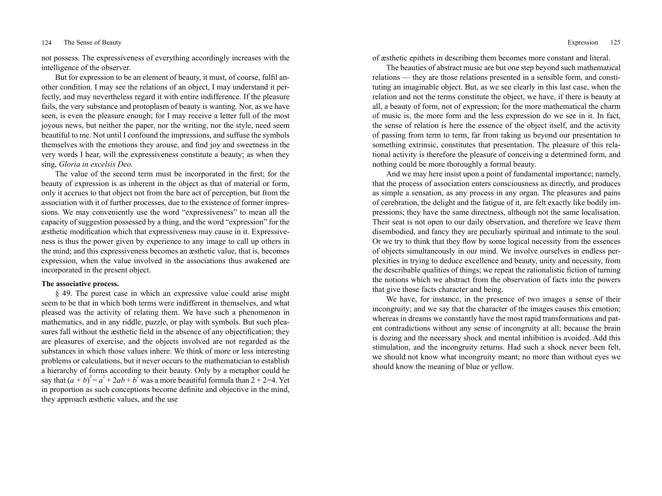not possess. The expressiveness of everything accordingly increases with the intelligence of the observer.

But for expression to be an element of beauty, it must, of course, fulfil another condition. I may see the relations of an object, I may understand it perfectly, and may nevertheless regard it with entire indifference. If the pleasure fails, the very substance and protoplasm of beauty is wanting. Nor, as we have seen, is even the pleasure enough; for I may receive a letter full of the most joyous news, but neither the paper, nor the writing, nor the style, need seem beautiful to me. Not until I confound the impressions, and suffuse the symbols themselves with the emotions they arouse, and find joy and sweetness in the very words I hear, will the expressiveness constitute a beauty; as when they sing, *Gloria in excelsis Deo*.

The value of the second term must be incorporated in the first; for the beauty of expression is as inherent in the object as that of material or form, only it accrues to that object not from the bare act of perception, but from the association with it of further processes, due to the existence of former impressions. We may conveniently use the word "expressiveness" to mean all the capacity of suggestion possessed by a thing, and the word "expression" for the æsthetic modification which that expressiveness may cause in it. Expressiveness is thus the power given by experience to any image to call up others in the mind; and this expressiveness becomes an æsthetic value, that is, becomes expression, when the value involved in the associations thus awakened are incorporated in the present object.

# **The associative process.**

§ 49. The purest case in which an expressive value could arise might seem to be that in which both terms were indifferent in themselves, and what pleased was the activity of relating them. We have such a phenomenon in mathematics, and in any riddle, puzzle, or play with symbols. But such pleasures fall without the æsthetic field in the absence of any objectification; they are pleasures of exercise, and the objects involved are not regarded as the substances in which those values inhere. We think of more or less interesting problems or calculations, but it never occurs to the mathematician to establish a hierarchy of forms according to their beauty. Only by a metaphor could he say that  $(a + b)^2 = a^2 + 2ab + b^2$  was a more beautiful formula than  $2 + 2 = 4$ . Yet in proportion as such conceptions become definite and objective in the mind, they approach æsthetic values, and the use

of æsthetic epithets in describing them becomes more constant and literal.

The beauties of abstract music are but one step beyond such mathematical relations — they are those relations presented in a sensible form, and constituting an imaginable object. But, as we see clearly in this last case, when the relation and not the terms constitute the object, we have, if there is beauty at all, a beauty of form, not of expression; for the more mathematical the charm of music is, the more form and the less expression do we see in it. In fact, the sense of relation is here the essence of the object itself, and the activity of passing from term to term, far from taking us beyond our presentation to something extrinsic, constitutes that presentation. The pleasure of this relational activity is therefore the pleasure of conceiving a determined form, and nothing could be more thoroughly a formal beauty.

And we may here insist upon a point of fundamental importance; namely, that the process of association enters consciousness as directly, and produces as simple a sensation, as any process in any organ. The pleasures and pains of cerebration, the delight and the fatigue of it, are felt exactly like bodily impressions; they have the same directness, although not the same localisation. Their seat is not open to our daily observation, and therefore we leave them disembodied, and fancy they are peculiarly spiritual and intimate to the soul. Or we try to think that they flow by some logical necessity from the essences of objects simultaneously in our mind. We involve ourselves in endless perplexities in trying to deduce excellence and beauty, unity and necessity, from the describable qualities of things; we repeat the rationalistic fiction of turning the notions which we abstract from the observation of facts into the powers that give those facts character and being.

We have, for instance, in the presence of two images a sense of their incongruity; and we say that the character of the images causes this emotion; whereas in dreams we constantly have the most rapid transformations and patent contradictions without any sense of incongruity at all; because the brain is dozing and the necessary shock and mental inhibition is avoided. Add this stimulation, and the incongruity returns. Had such a shock never been felt, we should not know what incongruity meant; no more than without eyes we should know the meaning of blue or yellow.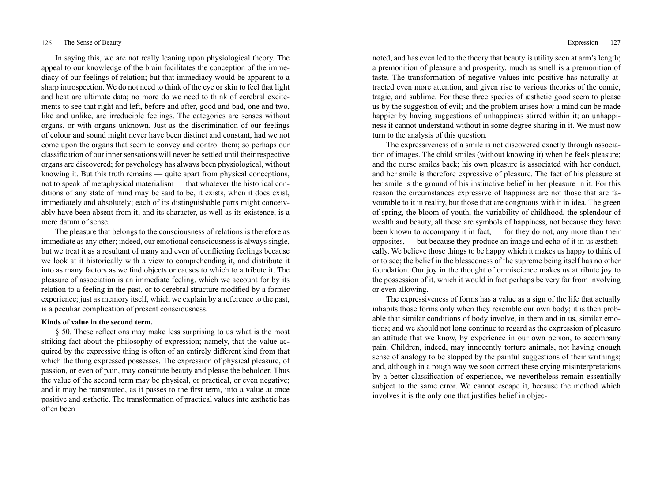In saying this, we are not really leaning upon physiological theory. The appeal to our knowledge of the brain facilitates the conception of the immediacy of our feelings of relation; but that immediacy would be apparent to a sharp introspection. We do not need to think of the eye or skin to feel that light and heat are ultimate data; no more do we need to think of cerebral excitements to see that right and left, before and after, good and bad, one and two, like and unlike, are irreducible feelings. The categories are senses without organs, or with organs unknown. Just as the discrimination of our feelings of colour and sound might never have been distinct and constant, had we not come upon the organs that seem to convey and control them; so perhaps our classification of our inner sensations will never be settled until their respective organs are discovered; for psychology has always been physiological, without knowing it. But this truth remains — quite apart from physical conceptions, not to speak of metaphysical materialism — that whatever the historical conditions of any state of mind may be said to be, it exists, when it does exist, immediately and absolutely; each of its distinguishable parts might conceivably have been absent from it; and its character, as well as its existence, is a mere datum of sense.

The pleasure that belongs to the consciousness of relations is therefore as immediate as any other; indeed, our emotional consciousness is always single, but we treat it as a resultant of many and even of conflicting feelings because we look at it historically with a view to comprehending it, and distribute it into as many factors as we find objects or causes to which to attribute it. The pleasure of association is an immediate feeling, which we account for by its relation to a feeling in the past, or to cerebral structure modified by a former experience; just as memory itself, which we explain by a reference to the past, is a peculiar complication of present consciousness.

# **Kinds of value in the second term.**

§ 50. These reflections may make less surprising to us what is the most striking fact about the philosophy of expression; namely, that the value acquired by the expressive thing is often of an entirely different kind from that which the thing expressed possesses. The expression of physical pleasure, of passion, or even of pain, may constitute beauty and please the beholder. Thus the value of the second term may be physical, or practical, or even negative; and it may be transmuted, as it passes to the first term, into a value at once positive and æsthetic. The transformation of practical values into æsthetic has often been

noted, and has even led to the theory that beauty is utility seen at arm's length; a premonition of pleasure and prosperity, much as smell is a premonition of taste. The transformation of negative values into positive has naturally attracted even more attention, and given rise to various theories of the comic, tragic, and sublime. For these three species of æsthetic good seem to please us by the suggestion of evil; and the problem arises how a mind can be made happier by having suggestions of unhappiness stirred within it; an unhappiness it cannot understand without in some degree sharing in it. We must now turn to the analysis of this question.

The expressiveness of a smile is not discovered exactly through association of images. The child smiles (without knowing it) when he feels pleasure; and the nurse smiles back; his own pleasure is associated with her conduct, and her smile is therefore expressive of pleasure. The fact of his pleasure at her smile is the ground of his instinctive belief in her pleasure in it. For this reason the circumstances expressive of happiness are not those that are favourable to it in reality, but those that are congruous with it in idea. The green of spring, the bloom of youth, the variability of childhood, the splendour of wealth and beauty, all these are symbols of happiness, not because they have been known to accompany it in fact, — for they do not, any more than their opposites, — but because they produce an image and echo of it in us æsthetically. We believe those things to be happy which it makes us happy to think of or to see; the belief in the blessedness of the supreme being itself has no other foundation. Our joy in the thought of omniscience makes us attribute joy to the possession of it, which it would in fact perhaps be very far from involving or even allowing.

The expressiveness of forms has a value as a sign of the life that actually inhabits those forms only when they resemble our own body; it is then probable that similar conditions of body involve, in them and in us, similar emotions; and we should not long continue to regard as the expression of pleasure an attitude that we know, by experience in our own person, to accompany pain. Children, indeed, may innocently torture animals, not having enough sense of analogy to be stopped by the painful suggestions of their writhings; and, although in a rough way we soon correct these crying misinterpretations by a better classification of experience, we nevertheless remain essentially subject to the same error. We cannot escape it, because the method which involves it is the only one that justifies belief in objec-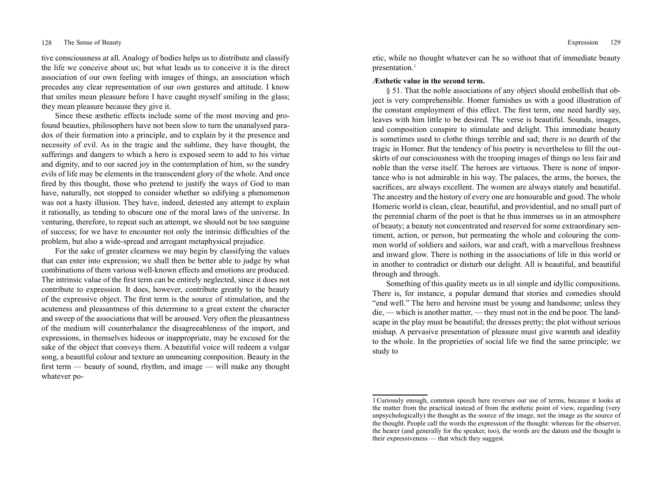tive consciousness at all. Analogy of bodies helps us to distribute and classify the life we conceive about us; but what leads us to conceive it is the direct association of our own feeling with images of things, an association which precedes any clear representation of our own gestures and attitude. I know that smiles mean pleasure before I have caught myself smiling in the glass; they mean pleasure because they give it.

Since these æsthetic effects include some of the most moving and profound beauties, philosophers have not been slow to turn the unanalysed paradox of their formation into a principle, and to explain by it the presence and necessity of evil. As in the tragic and the sublime, they have thought, the sufferings and dangers to which a hero is exposed seem to add to his virtue and dignity, and to our sacred joy in the contemplation of him, so the sundry evils of life may be elements in the transcendent glory of the whole. And once fired by this thought, those who pretend to justify the ways of God to man have, naturally, not stopped to consider whether so edifying a phenomenon was not a hasty illusion. They have, indeed, detested any attempt to explain it rationally, as tending to obscure one of the moral laws of the universe. In venturing, therefore, to repeat such an attempt, we should not be too sanguine of success; for we have to encounter not only the intrinsic difficulties of the problem, but also a wide-spread and arrogant metaphysical prejudice.

For the sake of greater clearness we may begin by classifying the values that can enter into expression; we shall then be better able to judge by what combinations of them various well-known effects and emotions are produced. The intrinsic value of the first term can be entirely neglected, since it does not contribute to expression. It does, however, contribute greatly to the beauty of the expressive object. The first term is the source of stimulation, and the acuteness and pleasantness of this determine to a great extent the character and sweep of the associations that will be aroused. Very often the pleasantness of the medium will counterbalance the disagreeableness of the import, and expressions, in themselves hideous or inappropriate, may be excused for the sake of the object that conveys them. A beautiful voice will redeem a vulgar song, a beautiful colour and texture an unmeaning composition. Beauty in the first term — beauty of sound, rhythm, and image — will make any thought whatever poetic, while no thought whatever can be so without that of immediate beauty presentation.<sup>1</sup>

## **Æsthetic value in the second term.**

§ 51. That the noble associations of any object should embellish that object is very comprehensible. Homer furnishes us with a good illustration of the constant employment of this effect. The first term, one need hardly say, leaves with him little to be desired. The verse is beautiful. Sounds, images, and composition conspire to stimulate and delight. This immediate beauty is sometimes used to clothe things terrible and sad; there is no dearth of the tragic in Homer. But the tendency of his poetry is nevertheless to fill the outskirts of our consciousness with the trooping images of things no less fair and noble than the verse itself. The heroes are virtuous. There is none of importance who is not admirable in his way. The palaces, the arms, the horses, the sacrifices, are always excellent. The women are always stately and beautiful. The ancestry and the history of every one are honourable and good. The whole Homeric world is clean, clear, beautiful, and providential, and no small part of the perennial charm of the poet is that he thus immerses us in an atmosphere of beauty; a beauty not concentrated and reserved for some extraordinary sentiment, action, or person, but permeating the whole and colouring the common world of soldiers and sailors, war and craft, with a marvellous freshness and inward glow. There is nothing in the associations of life in this world or in another to contradict or disturb our delight. All is beautiful, and beautiful through and through.

Something of this quality meets us in all simple and idyllic compositions. There is, for instance, a popular demand that stories and comedies should "end well." The hero and heroine must be young and handsome; unless they die, — which is another matter, — they must not in the end be poor. The landscape in the play must be beautiful; the dresses pretty; the plot without serious mishap. A pervasive presentation of pleasure must give warmth and ideality to the whole. In the proprieties of social life we find the same principle; we study to

<sup>1</sup>Curiously enough, common speech here reverses our use of terms, because it looks at the matter from the practical instead of from the æsthetic point of view, regarding (very unpsychologically) the thought as the source of the image, not the image as the source of the thought. People call the words the expression of the thought: whereas for the observer, the hearer (and generally for the speaker, too), the words are the datum and the thought is their expressiveness — that which they suggest.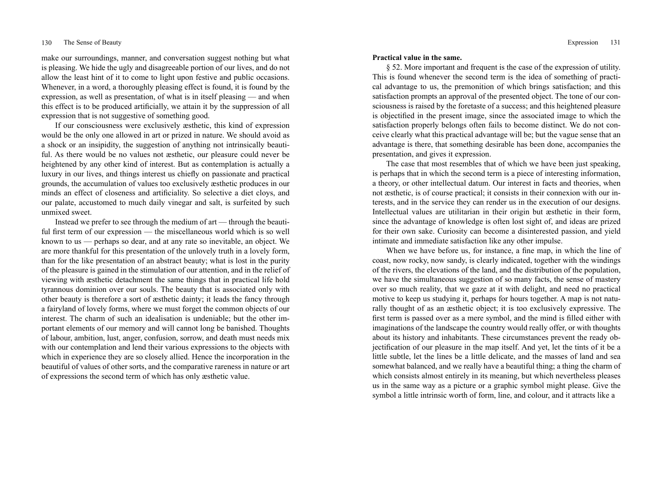make our surroundings, manner, and conversation suggest nothing but what is pleasing. We hide the ugly and disagreeable portion of our lives, and do not allow the least hint of it to come to light upon festive and public occasions. Whenever, in a word, a thoroughly pleasing effect is found, it is found by the expression, as well as presentation, of what is in itself pleasing — and when this effect is to be produced artificially, we attain it by the suppression of all expression that is not suggestive of something good.

If our consciousness were exclusively æsthetic, this kind of expression would be the only one allowed in art or prized in nature. We should avoid as a shock or an insipidity, the suggestion of anything not intrinsically beautiful. As there would be no values not æsthetic, our pleasure could never be heightened by any other kind of interest. But as contemplation is actually a luxury in our lives, and things interest us chiefly on passionate and practical grounds, the accumulation of values too exclusively æsthetic produces in our minds an effect of closeness and artificiality. So selective a diet cloys, and our palate, accustomed to much daily vinegar and salt, is surfeited by such unmixed sweet.

Instead we prefer to see through the medium of art — through the beautiful first term of our expression — the miscellaneous world which is so well known to us — perhaps so dear, and at any rate so inevitable, an object. We are more thankful for this presentation of the unlovely truth in a lovely form, than for the like presentation of an abstract beauty; what is lost in the purity of the pleasure is gained in the stimulation of our attention, and in the relief of viewing with æsthetic detachment the same things that in practical life hold tyrannous dominion over our souls. The beauty that is associated only with other beauty is therefore a sort of æsthetic dainty; it leads the fancy through a fairyland of lovely forms, where we must forget the common objects of our interest. The charm of such an idealisation is undeniable; but the other important elements of our memory and will cannot long be banished. Thoughts of labour, ambition, lust, anger, confusion, sorrow, and death must needs mix with our contemplation and lend their various expressions to the objects with which in experience they are so closely allied. Hence the incorporation in the beautiful of values of other sorts, and the comparative rareness in nature or art of expressions the second term of which has only æsthetic value.

#### **Practical value in the same.**

§ 52. More important and frequent is the case of the expression of utility. This is found whenever the second term is the idea of something of practical advantage to us, the premonition of which brings satisfaction; and this satisfaction prompts an approval of the presented object. The tone of our consciousness is raised by the foretaste of a success; and this heightened pleasure is objectified in the present image, since the associated image to which the satisfaction properly belongs often fails to become distinct. We do not conceive clearly what this practical advantage will be; but the vague sense that an advantage is there, that something desirable has been done, accompanies the presentation, and gives it expression.

The case that most resembles that of which we have been just speaking, is perhaps that in which the second term is a piece of interesting information, a theory, or other intellectual datum. Our interest in facts and theories, when not æsthetic, is of course practical; it consists in their connexion with our interests, and in the service they can render us in the execution of our designs. Intellectual values are utilitarian in their origin but æsthetic in their form, since the advantage of knowledge is often lost sight of, and ideas are prized for their own sake. Curiosity can become a disinterested passion, and yield intimate and immediate satisfaction like any other impulse.

When we have before us, for instance, a fine map, in which the line of coast, now rocky, now sandy, is clearly indicated, together with the windings of the rivers, the elevations of the land, and the distribution of the population, we have the simultaneous suggestion of so many facts, the sense of mastery over so much reality, that we gaze at it with delight, and need no practical motive to keep us studying it, perhaps for hours together. A map is not naturally thought of as an æsthetic object; it is too exclusively expressive. The first term is passed over as a mere symbol, and the mind is filled either with imaginations of the landscape the country would really offer, or with thoughts about its history and inhabitants. These circumstances prevent the ready objectification of our pleasure in the map itself. And yet, let the tints of it be a little subtle, let the lines be a little delicate, and the masses of land and sea somewhat balanced, and we really have a beautiful thing; a thing the charm of which consists almost entirely in its meaning, but which nevertheless pleases us in the same way as a picture or a graphic symbol might please. Give the symbol a little intrinsic worth of form, line, and colour, and it attracts like a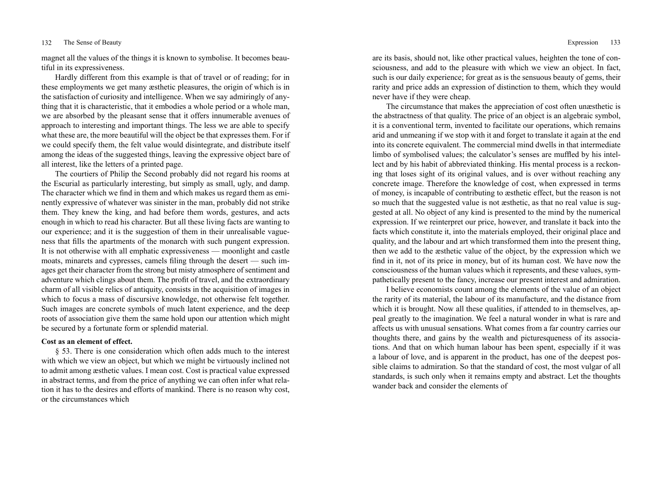magnet all the values of the things it is known to symbolise. It becomes beautiful in its expressiveness.

Hardly different from this example is that of travel or of reading; for in these employments we get many æsthetic pleasures, the origin of which is in the satisfaction of curiosity and intelligence. When we say admiringly of anything that it is characteristic, that it embodies a whole period or a whole man, we are absorbed by the pleasant sense that it offers innumerable avenues of approach to interesting and important things. The less we are able to specify what these are, the more beautiful will the object be that expresses them. For if we could specify them, the felt value would disintegrate, and distribute itself among the ideas of the suggested things, leaving the expressive object bare of all interest, like the letters of a printed page.

The courtiers of Philip the Second probably did not regard his rooms at the Escurial as particularly interesting, but simply as small, ugly, and damp. The character which we find in them and which makes us regard them as eminently expressive of whatever was sinister in the man, probably did not strike them. They knew the king, and had before them words, gestures, and acts enough in which to read his character. But all these living facts are wanting to our experience; and it is the suggestion of them in their unrealisable vagueness that fills the apartments of the monarch with such pungent expression. It is not otherwise with all emphatic expressiveness — moonlight and castle moats, minarets and cypresses, camels filing through the desert — such images get their character from the strong but misty atmosphere of sentiment and adventure which clings about them. The profit of travel, and the extraordinary charm of all visible relics of antiquity, consists in the acquisition of images in which to focus a mass of discursive knowledge, not otherwise felt together. Such images are concrete symbols of much latent experience, and the deep roots of association give them the same hold upon our attention which might be secured by a fortunate form or splendid material.

# **Cost as an element of effect.**

§ 53. There is one consideration which often adds much to the interest with which we view an object, but which we might be virtuously inclined not to admit among æsthetic values. I mean cost. Cost is practical value expressed in abstract terms, and from the price of anything we can often infer what relation it has to the desires and efforts of mankind. There is no reason why cost, or the circumstances which

are its basis, should not, like other practical values, heighten the tone of consciousness, and add to the pleasure with which we view an object. In fact, such is our daily experience; for great as is the sensuous beauty of gems, their rarity and price adds an expression of distinction to them, which they would never have if they were cheap.

The circumstance that makes the appreciation of cost often unæsthetic is the abstractness of that quality. The price of an object is an algebraic symbol, it is a conventional term, invented to facilitate our operations, which remains arid and unmeaning if we stop with it and forget to translate it again at the end into its concrete equivalent. The commercial mind dwells in that intermediate limbo of symbolised values; the calculator's senses are muffled by his intellect and by his habit of abbreviated thinking. His mental process is a reckoning that loses sight of its original values, and is over without reaching any concrete image. Therefore the knowledge of cost, when expressed in terms of money, is incapable of contributing to æsthetic effect, but the reason is not so much that the suggested value is not æsthetic, as that no real value is suggested at all. No object of any kind is presented to the mind by the numerical expression. If we reinterpret our price, however, and translate it back into the facts which constitute it, into the materials employed, their original place and quality, and the labour and art which transformed them into the present thing, then we add to the æsthetic value of the object, by the expression which we find in it, not of its price in money, but of its human cost. We have now the consciousness of the human values which it represents, and these values, sympathetically present to the fancy, increase our present interest and admiration.

I believe economists count among the elements of the value of an object the rarity of its material, the labour of its manufacture, and the distance from which it is brought. Now all these qualities, if attended to in themselves, appeal greatly to the imagination. We feel a natural wonder in what is rare and affects us with unusual sensations. What comes from a far country carries our thoughts there, and gains by the wealth and picturesqueness of its associations. And that on which human labour has been spent, especially if it was a labour of love, and is apparent in the product, has one of the deepest possible claims to admiration. So that the standard of cost, the most vulgar of all standards, is such only when it remains empty and abstract. Let the thoughts wander back and consider the elements of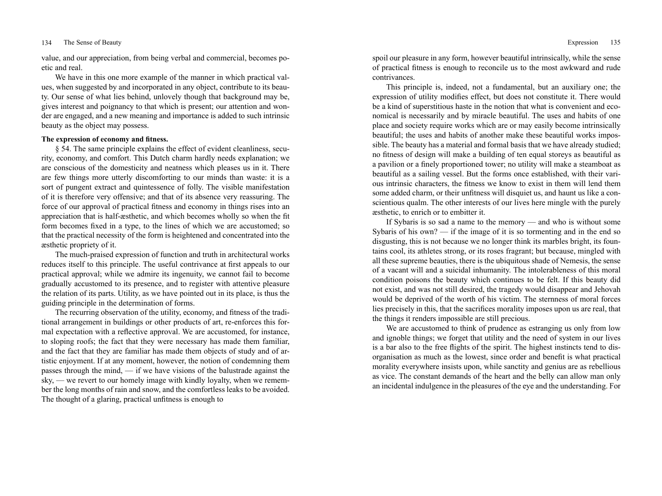value, and our appreciation, from being verbal and commercial, becomes poetic and real.

We have in this one more example of the manner in which practical values, when suggested by and incorporated in any object, contribute to its beauty. Our sense of what lies behind, unlovely though that background may be, gives interest and poignancy to that which is present; our attention and wonder are engaged, and a new meaning and importance is added to such intrinsic beauty as the object may possess.

# **The expression of economy and fitness.**

§ 54. The same principle explains the effect of evident cleanliness, security, economy, and comfort. This Dutch charm hardly needs explanation; we are conscious of the domesticity and neatness which pleases us in it. There are few things more utterly discomforting to our minds than waste: it is a sort of pungent extract and quintessence of folly. The visible manifestation of it is therefore very offensive; and that of its absence very reassuring. The force of our approval of practical fitness and economy in things rises into an appreciation that is half-æsthetic, and which becomes wholly so when the fit form becomes fixed in a type, to the lines of which we are accustomed; so that the practical necessity of the form is heightened and concentrated into the æsthetic propriety of it.

The much-praised expression of function and truth in architectural works reduces itself to this principle. The useful contrivance at first appeals to our practical approval; while we admire its ingenuity, we cannot fail to become gradually accustomed to its presence, and to register with attentive pleasure the relation of its parts. Utility, as we have pointed out in its place, is thus the guiding principle in the determination of forms.

The recurring observation of the utility, economy, and fitness of the traditional arrangement in buildings or other products of art, re-enforces this formal expectation with a reflective approval. We are accustomed, for instance, to sloping roofs; the fact that they were necessary has made them familiar, and the fact that they are familiar has made them objects of study and of artistic enjoyment. If at any moment, however, the notion of condemning them passes through the mind, — if we have visions of the balustrade against the sky, — we revert to our homely image with kindly loyalty, when we remember the long months of rain and snow, and the comfortless leaks to be avoided. The thought of a glaring, practical unfitness is enough to

spoil our pleasure in any form, however beautiful intrinsically, while the sense of practical fitness is enough to reconcile us to the most awkward and rude contrivances.

This principle is, indeed, not a fundamental, but an auxiliary one; the expression of utility modifies effect, but does not constitute it. There would be a kind of superstitious haste in the notion that what is convenient and economical is necessarily and by miracle beautiful. The uses and habits of one place and society require works which are or may easily become intrinsically beautiful; the uses and habits of another make these beautiful works impossible. The beauty has a material and formal basis that we have already studied; no fitness of design will make a building of ten equal storeys as beautiful as a pavilion or a finely proportioned tower; no utility will make a steamboat as beautiful as a sailing vessel. But the forms once established, with their various intrinsic characters, the fitness we know to exist in them will lend them some added charm, or their unfitness will disquiet us, and haunt us like a conscientious qualm. The other interests of our lives here mingle with the purely æsthetic, to enrich or to embitter it.

If Sybaris is so sad a name to the memory — and who is without some Sybaris of his own? — if the image of it is so tormenting and in the end so disgusting, this is not because we no longer think its marbles bright, its fountains cool, its athletes strong, or its roses fragrant; but because, mingled with all these supreme beauties, there is the ubiquitous shade of Nemesis, the sense of a vacant will and a suicidal inhumanity. The intolerableness of this moral condition poisons the beauty which continues to be felt. If this beauty did not exist, and was not still desired, the tragedy would disappear and Jehovah would be deprived of the worth of his victim. The sternness of moral forces lies precisely in this, that the sacrifices morality imposes upon us are real, that the things it renders impossible are still precious.

We are accustomed to think of prudence as estranging us only from low and ignoble things; we forget that utility and the need of system in our lives is a bar also to the free flights of the spirit. The highest instincts tend to disorganisation as much as the lowest, since order and benefit is what practical morality everywhere insists upon, while sanctity and genius are as rebellious as vice. The constant demands of the heart and the belly can allow man only an incidental indulgence in the pleasures of the eye and the understanding. For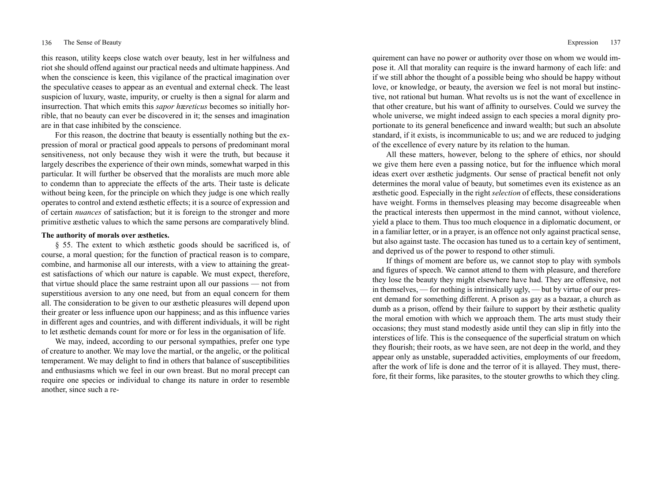this reason, utility keeps close watch over beauty, lest in her wilfulness and riot she should offend against our practical needs and ultimate happiness. And when the conscience is keen, this vigilance of the practical imagination over the speculative ceases to appear as an eventual and external check. The least suspicion of luxury, waste, impurity, or cruelty is then a signal for alarm and insurrection. That which emits this *sapor h*æ*reticus* becomes so initially horrible, that no beauty can ever be discovered in it; the senses and imagination are in that case inhibited by the conscience.

For this reason, the doctrine that beauty is essentially nothing but the expression of moral or practical good appeals to persons of predominant moral sensitiveness, not only because they wish it were the truth, but because it largely describes the experience of their own minds, somewhat warped in this particular. It will further be observed that the moralists are much more able to condemn than to appreciate the effects of the arts. Their taste is delicate without being keen, for the principle on which they judge is one which really operates to control and extend æsthetic effects; it is a source of expression and of certain *nuances* of satisfaction; but it is foreign to the stronger and more primitive æsthetic values to which the same persons are comparatively blind.

# **The authority of morals over æsthetics.**

§ 55. The extent to which æsthetic goods should be sacrificed is, of course, a moral question; for the function of practical reason is to compare, combine, and harmonise all our interests, with a view to attaining the greatest satisfactions of which our nature is capable. We must expect, therefore, that virtue should place the same restraint upon all our passions — not from superstitious aversion to any one need, but from an equal concern for them all. The consideration to be given to our æsthetic pleasures will depend upon their greater or less influence upon our happiness; and as this influence varies in different ages and countries, and with different individuals, it will be right to let æsthetic demands count for more or for less in the organisation of life.

We may, indeed, according to our personal sympathies, prefer one type of creature to another. We may love the martial, or the angelic, or the political temperament. We may delight to find in others that balance of susceptibilities and enthusiasms which we feel in our own breast. But no moral precept can require one species or individual to change its nature in order to resemble another, since such a re-

quirement can have no power or authority over those on whom we would impose it. All that morality can require is the inward harmony of each life: and if we still abhor the thought of a possible being who should be happy without love, or knowledge, or beauty, the aversion we feel is not moral but instinctive, not rational but human. What revolts us is not the want of excellence in that other creature, but his want of affinity to ourselves. Could we survey the whole universe, we might indeed assign to each species a moral dignity proportionate to its general beneficence and inward wealth; but such an absolute standard, if it exists, is incommunicable to us; and we are reduced to judging of the excellence of every nature by its relation to the human.

All these matters, however, belong to the sphere of ethics, nor should we give them here even a passing notice, but for the influence which moral ideas exert over æsthetic judgments. Our sense of practical benefit not only determines the moral value of beauty, but sometimes even its existence as an æsthetic good. Especially in the right *selection* of effects, these considerations have weight. Forms in themselves pleasing may become disagreeable when the practical interests then uppermost in the mind cannot, without violence, yield a place to them. Thus too much eloquence in a diplomatic document, or in a familiar letter, or in a prayer, is an offence not only against practical sense, but also against taste. The occasion has tuned us to a certain key of sentiment, and deprived us of the power to respond to other stimuli.

If things of moment are before us, we cannot stop to play with symbols and figures of speech. We cannot attend to them with pleasure, and therefore they lose the beauty they might elsewhere have had. They are offensive, not in themselves, — for nothing is intrinsically ugly, — but by virtue of our present demand for something different. A prison as gay as a bazaar, a church as dumb as a prison, offend by their failure to support by their æsthetic quality the moral emotion with which we approach them. The arts must study their occasions; they must stand modestly aside until they can slip in fitly into the interstices of life. This is the consequence of the superficial stratum on which they flourish; their roots, as we have seen, are not deep in the world, and they appear only as unstable, superadded activities, employments of our freedom, after the work of life is done and the terror of it is allayed. They must, therefore, fit their forms, like parasites, to the stouter growths to which they cling.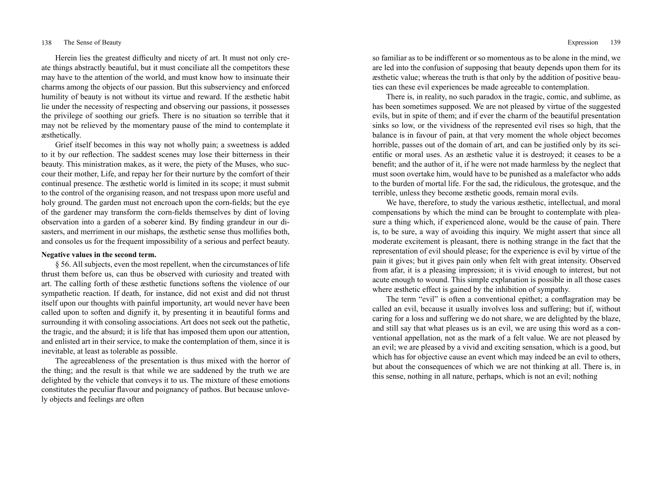Herein lies the greatest difficulty and nicety of art. It must not only create things abstractly beautiful, but it must conciliate all the competitors these may have to the attention of the world, and must know how to insinuate their charms among the objects of our passion. But this subserviency and enforced humility of beauty is not without its virtue and reward. If the æsthetic habit lie under the necessity of respecting and observing our passions, it possesses the privilege of soothing our griefs. There is no situation so terrible that it may not be relieved by the momentary pause of the mind to contemplate it æsthetically.

Grief itself becomes in this way not wholly pain; a sweetness is added to it by our reflection. The saddest scenes may lose their bitterness in their beauty. This ministration makes, as it were, the piety of the Muses, who succour their mother, Life, and repay her for their nurture by the comfort of their continual presence. The æsthetic world is limited in its scope; it must submit to the control of the organising reason, and not trespass upon more useful and holy ground. The garden must not encroach upon the corn-fields; but the eye of the gardener may transform the corn-fields themselves by dint of loving observation into a garden of a soberer kind. By finding grandeur in our disasters, and merriment in our mishaps, the æsthetic sense thus mollifies both, and consoles us for the frequent impossibility of a serious and perfect beauty.

# **Negative values in the second term.**

§ 56. All subjects, even the most repellent, when the circumstances of life thrust them before us, can thus be observed with curiosity and treated with art. The calling forth of these æsthetic functions softens the violence of our sympathetic reaction. If death, for instance, did not exist and did not thrust itself upon our thoughts with painful importunity, art would never have been called upon to soften and dignify it, by presenting it in beautiful forms and surrounding it with consoling associations. Art does not seek out the pathetic, the tragic, and the absurd; it is life that has imposed them upon our attention, and enlisted art in their service, to make the contemplation of them, since it is inevitable, at least as tolerable as possible.

The agreeableness of the presentation is thus mixed with the horror of the thing; and the result is that while we are saddened by the truth we are delighted by the vehicle that conveys it to us. The mixture of these emotions constitutes the peculiar flavour and poignancy of pathos. But because unlovely objects and feelings are often

so familiar as to be indifferent or so momentous as to be alone in the mind, we are led into the confusion of supposing that beauty depends upon them for its æsthetic value; whereas the truth is that only by the addition of positive beauties can these evil experiences be made agreeable to contemplation.

There is, in reality, no such paradox in the tragic, comic, and sublime, as has been sometimes supposed. We are not pleased by virtue of the suggested evils, but in spite of them; and if ever the charm of the beautiful presentation sinks so low, or the vividness of the represented evil rises so high, that the balance is in favour of pain, at that very moment the whole object becomes horrible, passes out of the domain of art, and can be justified only by its scientific or moral uses. As an æsthetic value it is destroyed; it ceases to be a benefit; and the author of it, if he were not made harmless by the neglect that must soon overtake him, would have to be punished as a malefactor who adds to the burden of mortal life. For the sad, the ridiculous, the grotesque, and the terrible, unless they become æsthetic goods, remain moral evils.

We have, therefore, to study the various æsthetic, intellectual, and moral compensations by which the mind can be brought to contemplate with pleasure a thing which, if experienced alone, would be the cause of pain. There is, to be sure, a way of avoiding this inquiry. We might assert that since all moderate excitement is pleasant, there is nothing strange in the fact that the representation of evil should please; for the experience is evil by virtue of the pain it gives; but it gives pain only when felt with great intensity. Observed from afar, it is a pleasing impression; it is vivid enough to interest, but not acute enough to wound. This simple explanation is possible in all those cases where æsthetic effect is gained by the inhibition of sympathy.

The term "evil" is often a conventional epithet; a conflagration may be called an evil, because it usually involves loss and suffering; but if, without caring for a loss and suffering we do not share, we are delighted by the blaze, and still say that what pleases us is an evil, we are using this word as a conventional appellation, not as the mark of a felt value. We are not pleased by an evil; we are pleased by a vivid and exciting sensation, which is a good, but which has for objective cause an event which may indeed be an evil to others, but about the consequences of which we are not thinking at all. There is, in this sense, nothing in all nature, perhaps, which is not an evil; nothing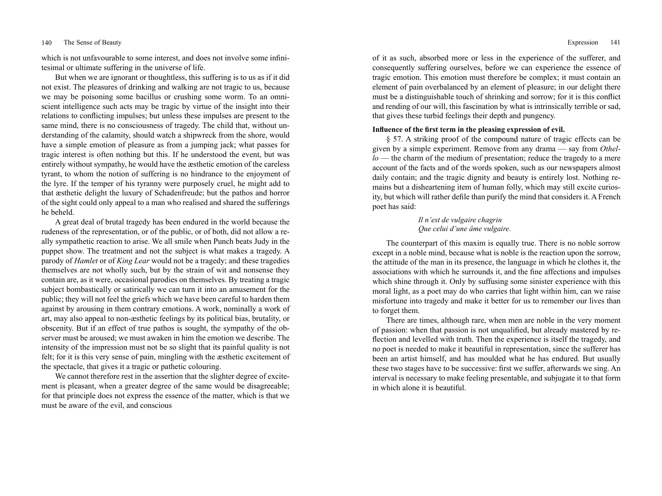which is not unfavourable to some interest, and does not involve some infinitesimal or ultimate suffering in the universe of life.

But when we are ignorant or thoughtless, this suffering is to us as if it did not exist. The pleasures of drinking and walking are not tragic to us, because we may be poisoning some bacillus or crushing some worm. To an omniscient intelligence such acts may be tragic by virtue of the insight into their relations to conflicting impulses; but unless these impulses are present to the same mind, there is no consciousness of tragedy. The child that, without understanding of the calamity, should watch a shipwreck from the shore, would have a simple emotion of pleasure as from a jumping jack; what passes for tragic interest is often nothing but this. If he understood the event, but was entirely without sympathy, he would have the æsthetic emotion of the careless tyrant, to whom the notion of suffering is no hindrance to the enjoyment of the lyre. If the temper of his tyranny were purposely cruel, he might add to that æsthetic delight the luxury of Schadenfreude; but the pathos and horror of the sight could only appeal to a man who realised and shared the sufferings he beheld.

A great deal of brutal tragedy has been endured in the world because the rudeness of the representation, or of the public, or of both, did not allow a really sympathetic reaction to arise. We all smile when Punch beats Judy in the puppet show. The treatment and not the subject is what makes a tragedy. A parody of *Hamlet* or of *King Lear* would not be a tragedy; and these tragedies themselves are not wholly such, but by the strain of wit and nonsense they contain are, as it were, occasional parodies on themselves. By treating a tragic subject bombastically or satirically we can turn it into an amusement for the public; they will not feel the griefs which we have been careful to harden them against by arousing in them contrary emotions. A work, nominally a work of art, may also appeal to non-æsthetic feelings by its political bias, brutality, or obscenity. But if an effect of true pathos is sought, the sympathy of the observer must be aroused; we must awaken in him the emotion we describe. The intensity of the impression must not be so slight that its painful quality is not felt; for it is this very sense of pain, mingling with the æsthetic excitement of the spectacle, that gives it a tragic or pathetic colouring.

We cannot therefore rest in the assertion that the slighter degree of excitement is pleasant, when a greater degree of the same would be disagreeable; for that principle does not express the essence of the matter, which is that we must be aware of the evil, and conscious

of it as such, absorbed more or less in the experience of the sufferer, and consequently suffering ourselves, before we can experience the essence of tragic emotion. This emotion must therefore be complex; it must contain an element of pain overbalanced by an element of pleasure; in our delight there must be a distinguishable touch of shrinking and sorrow; for it is this conflict and rending of our will, this fascination by what is intrinsically terrible or sad, that gives these turbid feelings their depth and pungency.

# **Influence of the first term in the pleasing expression of evil.**

§ 57. A striking proof of the compound nature of tragic effects can be given by a simple experiment. Remove from any drama — say from *Othello* — the charm of the medium of presentation; reduce the tragedy to a mere account of the facts and of the words spoken, such as our newspapers almost daily contain; and the tragic dignity and beauty is entirely lost. Nothing remains but a disheartening item of human folly, which may still excite curiosity, but which will rather defile than purify the mind that considers it. A French poet has said:

> *Il n'est de vulgaire chagrin Que celui d'une âme vulgaire.*

The counterpart of this maxim is equally true. There is no noble sorrow except in a noble mind, because what is noble is the reaction upon the sorrow, the attitude of the man in its presence, the language in which he clothes it, the associations with which he surrounds it, and the fine affections and impulses which shine through it. Only by suffusing some sinister experience with this moral light, as a poet may do who carries that light within him, can we raise misfortune into tragedy and make it better for us to remember our lives than to forget them.

There are times, although rare, when men are noble in the very moment of passion: when that passion is not unqualified, but already mastered by reflection and levelled with truth. Then the experience is itself the tragedy, and no poet is needed to make it beautiful in representation, since the sufferer has been an artist himself, and has moulded what he has endured. But usually these two stages have to be successive: first we suffer, afterwards we sing. An interval is necessary to make feeling presentable, and subjugate it to that form in which alone it is beautiful.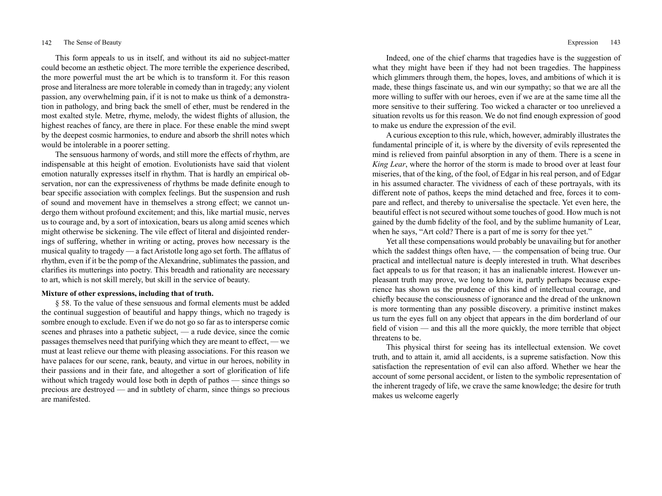This form appeals to us in itself, and without its aid no subject-matter could become an æsthetic object. The more terrible the experience described, the more powerful must the art be which is to transform it. For this reason prose and literalness are more tolerable in comedy than in tragedy; any violent passion, any overwhelming pain, if it is not to make us think of a demonstration in pathology, and bring back the smell of ether, must be rendered in the most exalted style. Metre, rhyme, melody, the widest flights of allusion, the highest reaches of fancy, are there in place. For these enable the mind swept by the deepest cosmic harmonies, to endure and absorb the shrill notes which would be intolerable in a poorer setting.

The sensuous harmony of words, and still more the effects of rhythm, are indispensable at this height of emotion. Evolutionists have said that violent emotion naturally expresses itself in rhythm. That is hardly an empirical observation, nor can the expressiveness of rhythms be made definite enough to bear specific association with complex feelings. But the suspension and rush of sound and movement have in themselves a strong effect; we cannot undergo them without profound excitement; and this, like martial music, nerves us to courage and, by a sort of intoxication, bears us along amid scenes which might otherwise be sickening. The vile effect of literal and disjointed renderings of suffering, whether in writing or acting, proves how necessary is the musical quality to tragedy — a fact Aristotle long ago set forth. The afflatus of rhythm, even if it be the pomp of the Alexandrine, sublimates the passion, and clarifies its mutterings into poetry. This breadth and rationality are necessary to art, which is not skill merely, but skill in the service of beauty.

# **Mixture of other expressions, including that of truth.**

§ 58. To the value of these sensuous and formal elements must be added the continual suggestion of beautiful and happy things, which no tragedy is sombre enough to exclude. Even if we do not go so far as to intersperse comic scenes and phrases into a pathetic subject, — a rude device, since the comic passages themselves need that purifying which they are meant to effect, — we must at least relieve our theme with pleasing associations. For this reason we have palaces for our scene, rank, beauty, and virtue in our heroes, nobility in their passions and in their fate, and altogether a sort of glorification of life without which tragedy would lose both in depth of pathos — since things so precious are destroyed — and in subtlety of charm, since things so precious are manifested.

Indeed, one of the chief charms that tragedies have is the suggestion of what they might have been if they had not been tragedies. The happiness which glimmers through them, the hopes, loves, and ambitions of which it is made, these things fascinate us, and win our sympathy; so that we are all the more willing to suffer with our heroes, even if we are at the same time all the more sensitive to their suffering. Too wicked a character or too unrelieved a situation revolts us for this reason. We do not find enough expression of good to make us endure the expression of the evil.

A curious exception to this rule, which, however, admirably illustrates the fundamental principle of it, is where by the diversity of evils represented the mind is relieved from painful absorption in any of them. There is a scene in *King Lear*, where the horror of the storm is made to brood over at least four miseries, that of the king, of the fool, of Edgar in his real person, and of Edgar in his assumed character. The vividness of each of these portrayals, with its different note of pathos, keeps the mind detached and free, forces it to compare and reflect, and thereby to universalise the spectacle. Yet even here, the beautiful effect is not secured without some touches of good. How much is not gained by the dumb fidelity of the fool, and by the sublime humanity of Lear, when he says, "Art cold? There is a part of me is sorry for thee yet."

Yet all these compensations would probably be unavailing but for another which the saddest things often have, — the compensation of being true. Our practical and intellectual nature is deeply interested in truth. What describes fact appeals to us for that reason; it has an inalienable interest. However unpleasant truth may prove, we long to know it, partly perhaps because experience has shown us the prudence of this kind of intellectual courage, and chiefly because the consciousness of ignorance and the dread of the unknown is more tormenting than any possible discovery. a primitive instinct makes us turn the eyes full on any object that appears in the dim borderland of our field of vision — and this all the more quickly, the more terrible that object threatens to be.

This physical thirst for seeing has its intellectual extension. We covet truth, and to attain it, amid all accidents, is a supreme satisfaction. Now this satisfaction the representation of evil can also afford. Whether we hear the account of some personal accident, or listen to the symbolic representation of the inherent tragedy of life, we crave the same knowledge; the desire for truth makes us welcome eagerly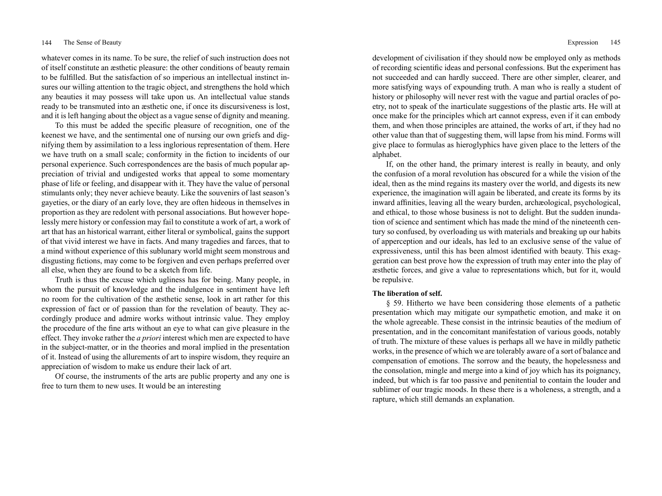whatever comes in its name. To be sure, the relief of such instruction does not of itself constitute an æsthetic pleasure: the other conditions of beauty remain to be fulfilled. But the satisfaction of so imperious an intellectual instinct insures our willing attention to the tragic object, and strengthens the hold which any beauties it may possess will take upon us. An intellectual value stands ready to be transmuted into an æsthetic one, if once its discursiveness is lost, and it is left hanging about the object as a vague sense of dignity and meaning.

To this must be added the specific pleasure of recognition, one of the keenest we have, and the sentimental one of nursing our own griefs and dignifying them by assimilation to a less inglorious representation of them. Here we have truth on a small scale; conformity in the fiction to incidents of our personal experience. Such correspondences are the basis of much popular appreciation of trivial and undigested works that appeal to some momentary phase of life or feeling, and disappear with it. They have the value of personal stimulants only; they never achieve beauty. Like the souvenirs of last season's gayeties, or the diary of an early love, they are often hideous in themselves in proportion as they are redolent with personal associations. But however hopelessly mere history or confession may fail to constitute a work of art, a work of art that has an historical warrant, either literal or symbolical, gains the support of that vivid interest we have in facts. And many tragedies and farces, that to a mind without experience of this sublunary world might seem monstrous and disgusting fictions, may come to be forgiven and even perhaps preferred over all else, when they are found to be a sketch from life.

Truth is thus the excuse which ugliness has for being. Many people, in whom the pursuit of knowledge and the indulgence in sentiment have left no room for the cultivation of the æsthetic sense, look in art rather for this expression of fact or of passion than for the revelation of beauty. They accordingly produce and admire works without intrinsic value. They employ the procedure of the fine arts without an eye to what can give pleasure in the effect. They invoke rather the *a priori* interest which men are expected to have in the subject-matter, or in the theories and moral implied in the presentation of it. Instead of using the allurements of art to inspire wisdom, they require an appreciation of wisdom to make us endure their lack of art.

Of course, the instruments of the arts are public property and any one is free to turn them to new uses. It would be an interesting

development of civilisation if they should now be employed only as methods of recording scientific ideas and personal confessions. But the experiment has not succeeded and can hardly succeed. There are other simpler, clearer, and more satisfying ways of expounding truth. A man who is really a student of history or philosophy will never rest with the vague and partial oracles of poetry, not to speak of the inarticulate suggestions of the plastic arts. He will at once make for the principles which art cannot express, even if it can embody them, and when those principles are attained, the works of art, if they had no other value than that of suggesting them, will lapse from his mind. Forms will give place to formulas as hieroglyphics have given place to the letters of the alphabet.

If, on the other hand, the primary interest is really in beauty, and only the confusion of a moral revolution has obscured for a while the vision of the ideal, then as the mind regains its mastery over the world, and digests its new experience, the imagination will again be liberated, and create its forms by its inward affinities, leaving all the weary burden, archæological, psychological, and ethical, to those whose business is not to delight. But the sudden inundation of science and sentiment which has made the mind of the nineteenth century so confused, by overloading us with materials and breaking up our habits of apperception and our ideals, has led to an exclusive sense of the value of expressiveness, until this has been almost identified with beauty. This exaggeration can best prove how the expression of truth may enter into the play of æsthetic forces, and give a value to representations which, but for it, would be repulsive.

# **The liberation of self.**

§ 59. Hitherto we have been considering those elements of a pathetic presentation which may mitigate our sympathetic emotion, and make it on the whole agreeable. These consist in the intrinsic beauties of the medium of presentation, and in the concomitant manifestation of various goods, notably of truth. The mixture of these values is perhaps all we have in mildly pathetic works, in the presence of which we are tolerably aware of a sort of balance and compensation of emotions. The sorrow and the beauty, the hopelessness and the consolation, mingle and merge into a kind of joy which has its poignancy, indeed, but which is far too passive and penitential to contain the louder and sublimer of our tragic moods. In these there is a wholeness, a strength, and a rapture, which still demands an explanation.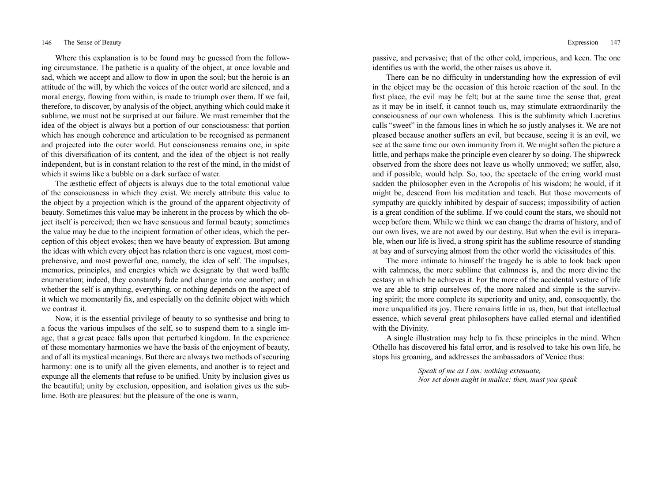Where this explanation is to be found may be guessed from the following circumstance. The pathetic is a quality of the object, at once lovable and sad, which we accept and allow to flow in upon the soul; but the heroic is an attitude of the will, by which the voices of the outer world are silenced, and a moral energy, flowing from within, is made to triumph over them. If we fail, therefore, to discover, by analysis of the object, anything which could make it sublime, we must not be surprised at our failure. We must remember that the idea of the object is always but a portion of our consciousness: that portion which has enough coherence and articulation to be recognised as permanent and projected into the outer world. But consciousness remains one, in spite of this diversification of its content, and the idea of the object is not really independent, but is in constant relation to the rest of the mind, in the midst of which it swims like a bubble on a dark surface of water.

The æsthetic effect of objects is always due to the total emotional value of the consciousness in which they exist. We merely attribute this value to the object by a projection which is the ground of the apparent objectivity of beauty. Sometimes this value may be inherent in the process by which the object itself is perceived; then we have sensuous and formal beauty; sometimes the value may be due to the incipient formation of other ideas, which the perception of this object evokes; then we have beauty of expression. But among the ideas with which every object has relation there is one vaguest, most comprehensive, and most powerful one, namely, the idea of self. The impulses, memories, principles, and energies which we designate by that word baffle enumeration; indeed, they constantly fade and change into one another; and whether the self is anything, everything, or nothing depends on the aspect of it which we momentarily fix, and especially on the definite object with which we contrast it.

Now, it is the essential privilege of beauty to so synthesise and bring to a focus the various impulses of the self, so to suspend them to a single image, that a great peace falls upon that perturbed kingdom. In the experience of these momentary harmonies we have the basis of the enjoyment of beauty, and of all its mystical meanings. But there are always two methods of securing harmony: one is to unify all the given elements, and another is to reject and expunge all the elements that refuse to be unified. Unity by inclusion gives us the beautiful; unity by exclusion, opposition, and isolation gives us the sublime. Both are pleasures: but the pleasure of the one is warm,

passive, and pervasive; that of the other cold, imperious, and keen. The one identifies us with the world, the other raises us above it.

There can be no difficulty in understanding how the expression of evil in the object may be the occasion of this heroic reaction of the soul. In the first place, the evil may be felt; but at the same time the sense that, great as it may be in itself, it cannot touch us, may stimulate extraordinarily the consciousness of our own wholeness. This is the sublimity which Lucretius calls "sweet" in the famous lines in which he so justly analyses it. We are not pleased because another suffers an evil, but because, seeing it is an evil, we see at the same time our own immunity from it. We might soften the picture a little, and perhaps make the principle even clearer by so doing. The shipwreck observed from the shore does not leave us wholly unmoved; we suffer, also, and if possible, would help. So, too, the spectacle of the erring world must sadden the philosopher even in the Acropolis of his wisdom; he would, if it might be, descend from his meditation and teach. But those movements of sympathy are quickly inhibited by despair of success; impossibility of action is a great condition of the sublime. If we could count the stars, we should not weep before them. While we think we can change the drama of history, and of our own lives, we are not awed by our destiny. But when the evil is irreparable, when our life is lived, a strong spirit has the sublime resource of standing at bay and of surveying almost from the other world the vicissitudes of this.

The more intimate to himself the tragedy he is able to look back upon with calmness, the more sublime that calmness is, and the more divine the ecstasy in which he achieves it. For the more of the accidental vesture of life we are able to strip ourselves of, the more naked and simple is the surviving spirit; the more complete its superiority and unity, and, consequently, the more unqualified its joy. There remains little in us, then, but that intellectual essence, which several great philosophers have called eternal and identified with the Divinity.

A single illustration may help to fix these principles in the mind. When Othello has discovered his fatal error, and is resolved to take his own life, he stops his groaning, and addresses the ambassadors of Venice thus:

> *Speak of me as I am: nothing extenuate, Nor set down aught in malice: then, must you speak*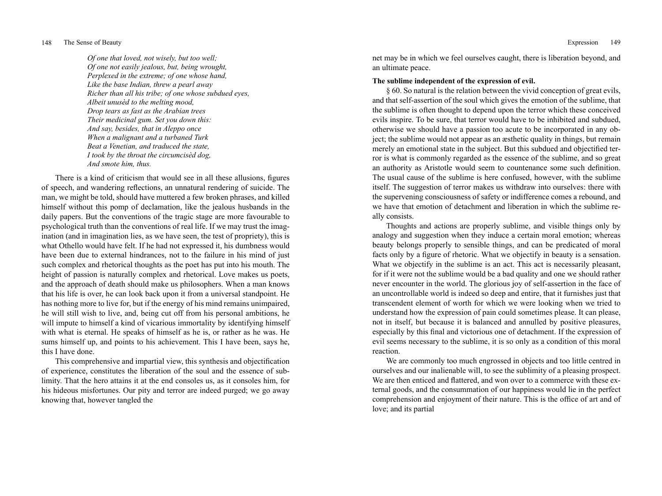*Of one that loved, not wisely, but too well; Of one not easily jealous, but, being wrought, Perplexed in the extreme; of one whose hand, Like the base Indian, threw a pearl away Richer than all his tribe; of one whose subdued eyes, Albeit unusèd to the melting mood, Drop tears as fast as the Arabian trees Their medicinal gum. Set you down this: And say, besides, that in Aleppo once When a malignant and a turbaned Turk Beat a Venetian, and traduced the state, I took by the throat the circumcisèd dog, And smote him, thus.*

There is a kind of criticism that would see in all these allusions, figures of speech, and wandering reflections, an unnatural rendering of suicide. The man, we might be told, should have muttered a few broken phrases, and killed himself without this pomp of declamation, like the jealous husbands in the daily papers. But the conventions of the tragic stage are more favourable to psychological truth than the conventions of real life. If we may trust the imagination (and in imagination lies, as we have seen, the test of propriety), this is what Othello would have felt. If he had not expressed it, his dumbness would have been due to external hindrances, not to the failure in his mind of just such complex and rhetorical thoughts as the poet has put into his mouth. The height of passion is naturally complex and rhetorical. Love makes us poets, and the approach of death should make us philosophers. When a man knows that his life is over, he can look back upon it from a universal standpoint. He has nothing more to live for, but if the energy of his mind remains unimpaired, he will still wish to live, and, being cut off from his personal ambitions, he will impute to himself a kind of vicarious immortality by identifying himself with what is eternal. He speaks of himself as he is, or rather as he was. He sums himself up, and points to his achievement. This I have been, says he, this I have done.

This comprehensive and impartial view, this synthesis and objectification of experience, constitutes the liberation of the soul and the essence of sublimity. That the hero attains it at the end consoles us, as it consoles him, for his hideous misfortunes. Our pity and terror are indeed purged; we go away knowing that, however tangled the

net may be in which we feel ourselves caught, there is liberation beyond, and an ultimate peace.

## **The sublime independent of the expression of evil.**

§ 60. So natural is the relation between the vivid conception of great evils, and that self-assertion of the soul which gives the emotion of the sublime, that the sublime is often thought to depend upon the terror which these conceived evils inspire. To be sure, that terror would have to be inhibited and subdued, otherwise we should have a passion too acute to be incorporated in any object; the sublime would not appear as an æsthetic quality in things, but remain merely an emotional state in the subject. But this subdued and objectified terror is what is commonly regarded as the essence of the sublime, and so great an authority as Aristotle would seem to countenance some such definition. The usual cause of the sublime is here confused, however, with the sublime itself. The suggestion of terror makes us withdraw into ourselves: there with the supervening consciousness of safety or indifference comes a rebound, and we have that emotion of detachment and liberation in which the sublime really consists.

Thoughts and actions are properly sublime, and visible things only by analogy and suggestion when they induce a certain moral emotion; whereas beauty belongs properly to sensible things, and can be predicated of moral facts only by a figure of rhetoric. What we objectify in beauty is a sensation. What we objectify in the sublime is an act. This act is necessarily pleasant, for if it were not the sublime would be a bad quality and one we should rather never encounter in the world. The glorious joy of self-assertion in the face of an uncontrollable world is indeed so deep and entire, that it furnishes just that transcendent element of worth for which we were looking when we tried to understand how the expression of pain could sometimes please. It can please, not in itself, but because it is balanced and annulled by positive pleasures, especially by this final and victorious one of detachment. If the expression of evil seems necessary to the sublime, it is so only as a condition of this moral reaction.

We are commonly too much engrossed in objects and too little centred in ourselves and our inalienable will, to see the sublimity of a pleasing prospect. We are then enticed and flattered, and won over to a commerce with these external goods, and the consummation of our happiness would lie in the perfect comprehension and enjoyment of their nature. This is the office of art and of love; and its partial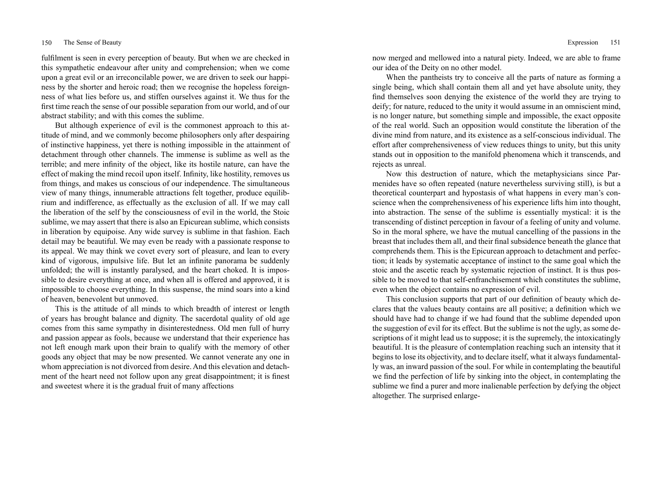fulfilment is seen in every perception of beauty. But when we are checked in this sympathetic endeavour after unity and comprehension; when we come upon a great evil or an irreconcilable power, we are driven to seek our happiness by the shorter and heroic road; then we recognise the hopeless foreignness of what lies before us, and stiffen ourselves against it. We thus for the first time reach the sense of our possible separation from our world, and of our abstract stability; and with this comes the sublime.

But although experience of evil is the commonest approach to this attitude of mind, and we commonly become philosophers only after despairing of instinctive happiness, yet there is nothing impossible in the attainment of detachment through other channels. The immense is sublime as well as the terrible; and mere infinity of the object, like its hostile nature, can have the effect of making the mind recoil upon itself. Infinity, like hostility, removes us from things, and makes us conscious of our independence. The simultaneous view of many things, innumerable attractions felt together, produce equilibrium and indifference, as effectually as the exclusion of all. If we may call the liberation of the self by the consciousness of evil in the world, the Stoic sublime, we may assert that there is also an Epicurean sublime, which consists in liberation by equipoise. Any wide survey is sublime in that fashion. Each detail may be beautiful. We may even be ready with a passionate response to its appeal. We may think we covet every sort of pleasure, and lean to every kind of vigorous, impulsive life. But let an infinite panorama be suddenly unfolded; the will is instantly paralysed, and the heart choked. It is impossible to desire everything at once, and when all is offered and approved, it is impossible to choose everything. In this suspense, the mind soars into a kind of heaven, benevolent but unmoved.

This is the attitude of all minds to which breadth of interest or length of years has brought balance and dignity. The sacerdotal quality of old age comes from this same sympathy in disinterestedness. Old men full of hurry and passion appear as fools, because we understand that their experience has not left enough mark upon their brain to qualify with the memory of other goods any object that may be now presented. We cannot venerate any one in whom appreciation is not divorced from desire. And this elevation and detachment of the heart need not follow upon any great disappointment; it is finest and sweetest where it is the gradual fruit of many affections

now merged and mellowed into a natural piety. Indeed, we are able to frame our idea of the Deity on no other model.

When the pantheists try to conceive all the parts of nature as forming a single being, which shall contain them all and yet have absolute unity, they find themselves soon denying the existence of the world they are trying to deify; for nature, reduced to the unity it would assume in an omniscient mind, is no longer nature, but something simple and impossible, the exact opposite of the real world. Such an opposition would constitute the liberation of the divine mind from nature, and its existence as a self-conscious individual. The effort after comprehensiveness of view reduces things to unity, but this unity stands out in opposition to the manifold phenomena which it transcends, and rejects as unreal.

Now this destruction of nature, which the metaphysicians since Parmenides have so often repeated (nature nevertheless surviving still), is but a theoretical counterpart and hypostasis of what happens in every man's conscience when the comprehensiveness of his experience lifts him into thought, into abstraction. The sense of the sublime is essentially mystical: it is the transcending of distinct perception in favour of a feeling of unity and volume. So in the moral sphere, we have the mutual cancelling of the passions in the breast that includes them all, and their final subsidence beneath the glance that comprehends them. This is the Epicurean approach to detachment and perfection; it leads by systematic acceptance of instinct to the same goal which the stoic and the ascetic reach by systematic rejection of instinct. It is thus possible to be moved to that self-enfranchisement which constitutes the sublime, even when the object contains no expression of evil.

This conclusion supports that part of our definition of beauty which declares that the values beauty contains are all positive; a definition which we should have had to change if we had found that the sublime depended upon the suggestion of evil for its effect. But the sublime is not the ugly, as some descriptions of it might lead us to suppose; it is the supremely, the intoxicatingly beautiful. It is the pleasure of contemplation reaching such an intensity that it begins to lose its objectivity, and to declare itself, what it always fundamentally was, an inward passion of the soul. For while in contemplating the beautiful we find the perfection of life by sinking into the object, in contemplating the sublime we find a purer and more inalienable perfection by defying the object altogether. The surprised enlarge-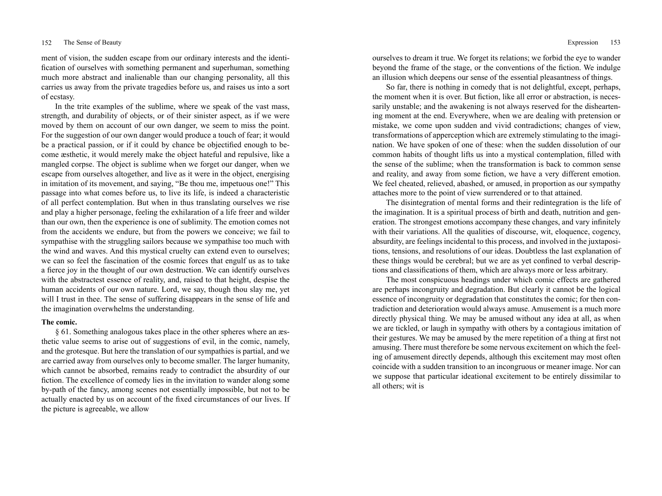ment of vision, the sudden escape from our ordinary interests and the identification of ourselves with something permanent and superhuman, something much more abstract and inalienable than our changing personality, all this carries us away from the private tragedies before us, and raises us into a sort of ecstasy.

In the trite examples of the sublime, where we speak of the vast mass, strength, and durability of objects, or of their sinister aspect, as if we were moved by them on account of our own danger, we seem to miss the point. For the suggestion of our own danger would produce a touch of fear; it would be a practical passion, or if it could by chance be objectified enough to become æsthetic, it would merely make the object hateful and repulsive, like a mangled corpse. The object is sublime when we forget our danger, when we escape from ourselves altogether, and live as it were in the object, energising in imitation of its movement, and saying, "Be thou me, impetuous one!" This passage into what comes before us, to live its life, is indeed a characteristic of all perfect contemplation. But when in thus translating ourselves we rise and play a higher personage, feeling the exhilaration of a life freer and wilder than our own, then the experience is one of sublimity. The emotion comes not from the accidents we endure, but from the powers we conceive; we fail to sympathise with the struggling sailors because we sympathise too much with the wind and waves. And this mystical cruelty can extend even to ourselves; we can so feel the fascination of the cosmic forces that engulf us as to take a fierce joy in the thought of our own destruction. We can identify ourselves with the abstractest essence of reality, and, raised to that height, despise the human accidents of our own nature. Lord, we say, though thou slay me, yet will I trust in thee. The sense of suffering disappears in the sense of life and the imagination overwhelms the understanding.

# **The comic.**

§ 61. Something analogous takes place in the other spheres where an æsthetic value seems to arise out of suggestions of evil, in the comic, namely, and the grotesque. But here the translation of our sympathies is partial, and we are carried away from ourselves only to become smaller. The larger humanity, which cannot be absorbed, remains ready to contradict the absurdity of our fiction. The excellence of comedy lies in the invitation to wander along some by-path of the fancy, among scenes not essentially impossible, but not to be actually enacted by us on account of the fixed circumstances of our lives. If the picture is agreeable, we allow

ourselves to dream it true. We forget its relations; we forbid the eye to wander beyond the frame of the stage, or the conventions of the fiction. We indulge an illusion which deepens our sense of the essential pleasantness of things.

So far, there is nothing in comedy that is not delightful, except, perhaps, the moment when it is over. But fiction, like all error or abstraction, is necessarily unstable; and the awakening is not always reserved for the disheartening moment at the end. Everywhere, when we are dealing with pretension or mistake, we come upon sudden and vivid contradictions; changes of view, transformations of apperception which are extremely stimulating to the imagination. We have spoken of one of these: when the sudden dissolution of our common habits of thought lifts us into a mystical contemplation, filled with the sense of the sublime; when the transformation is back to common sense and reality, and away from some fiction, we have a very different emotion. We feel cheated, relieved, abashed, or amused, in proportion as our sympathy attaches more to the point of view surrendered or to that attained.

The disintegration of mental forms and their redintegration is the life of the imagination. It is a spiritual process of birth and death, nutrition and generation. The strongest emotions accompany these changes, and vary infinitely with their variations. All the qualities of discourse, wit, eloquence, cogency, absurdity, are feelings incidental to this process, and involved in the juxtapositions, tensions, and resolutions of our ideas. Doubtless the last explanation of these things would be cerebral; but we are as yet confined to verbal descriptions and classifications of them, which are always more or less arbitrary.

The most conspicuous headings under which comic effects are gathered are perhaps incongruity and degradation. But clearly it cannot be the logical essence of incongruity or degradation that constitutes the comic; for then contradiction and deterioration would always amuse. Amusement is a much more directly physical thing. We may be amused without any idea at all, as when we are tickled, or laugh in sympathy with others by a contagious imitation of their gestures. We may be amused by the mere repetition of a thing at first not amusing. There must therefore be some nervous excitement on which the feeling of amusement directly depends, although this excitement may most often coincide with a sudden transition to an incongruous or meaner image. Nor can we suppose that particular ideational excitement to be entirely dissimilar to all others; wit is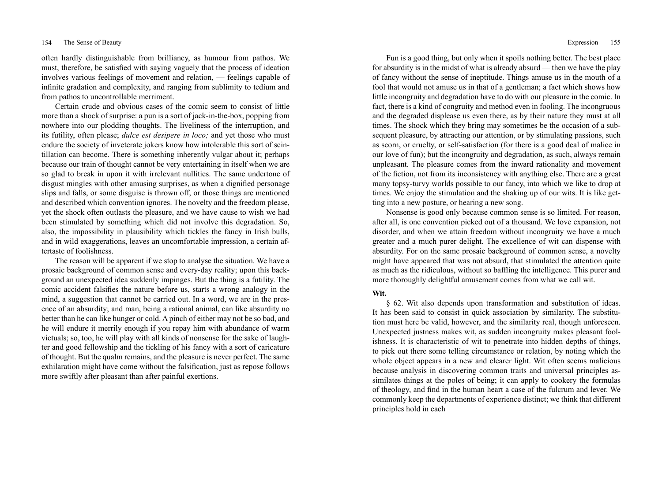often hardly distinguishable from brilliancy, as humour from pathos. We must, therefore, be satisfied with saying vaguely that the process of ideation involves various feelings of movement and relation, — feelings capable of infinite gradation and complexity, and ranging from sublimity to tedium and from pathos to uncontrollable merriment.

Certain crude and obvious cases of the comic seem to consist of little more than a shock of surprise: a pun is a sort of jack-in-the-box, popping from nowhere into our plodding thoughts. The liveliness of the interruption, and its futility, often please; *dulce est desipere in loco;* and yet those who must endure the society of inveterate jokers know how intolerable this sort of scintillation can become. There is something inherently vulgar about it; perhaps because our train of thought cannot be very entertaining in itself when we are so glad to break in upon it with irrelevant nullities. The same undertone of disgust mingles with other amusing surprises, as when a dignified personage slips and falls, or some disguise is thrown off, or those things are mentioned and described which convention ignores. The novelty and the freedom please, yet the shock often outlasts the pleasure, and we have cause to wish we had been stimulated by something which did not involve this degradation. So, also, the impossibility in plausibility which tickles the fancy in Irish bulls, and in wild exaggerations, leaves an uncomfortable impression, a certain aftertaste of foolishness.

The reason will be apparent if we stop to analyse the situation. We have a prosaic background of common sense and every-day reality; upon this background an unexpected idea suddenly impinges. But the thing is a futility. The comic accident falsifies the nature before us, starts a wrong analogy in the mind, a suggestion that cannot be carried out. In a word, we are in the presence of an absurdity; and man, being a rational animal, can like absurdity no better than he can like hunger or cold. A pinch of either may not be so bad, and he will endure it merrily enough if you repay him with abundance of warm victuals; so, too, he will play with all kinds of nonsense for the sake of laughter and good fellowship and the tickling of his fancy with a sort of caricature of thought. But the qualm remains, and the pleasure is never perfect. The same exhilaration might have come without the falsification, just as repose follows more swiftly after pleasant than after painful exertions.

Fun is a good thing, but only when it spoils nothing better. The best place for absurdity is in the midst of what is already absurd — then we have the play of fancy without the sense of ineptitude. Things amuse us in the mouth of a fool that would not amuse us in that of a gentleman; a fact which shows how little incongruity and degradation have to do with our pleasure in the comic. In fact, there is a kind of congruity and method even in fooling. The incongruous and the degraded displease us even there, as by their nature they must at all times. The shock which they bring may sometimes be the occasion of a subsequent pleasure, by attracting our attention, or by stimulating passions, such as scorn, or cruelty, or self-satisfaction (for there is a good deal of malice in our love of fun); but the incongruity and degradation, as such, always remain unpleasant. The pleasure comes from the inward rationality and movement of the fiction, not from its inconsistency with anything else. There are a great many topsy-turvy worlds possible to our fancy, into which we like to drop at times. We enjoy the stimulation and the shaking up of our wits. It is like getting into a new posture, or hearing a new song.

Nonsense is good only because common sense is so limited. For reason, after all, is one convention picked out of a thousand. We love expansion, not disorder, and when we attain freedom without incongruity we have a much greater and a much purer delight. The excellence of wit can dispense with absurdity. For on the same prosaic background of common sense, a novelty might have appeared that was not absurd, that stimulated the attention quite as much as the ridiculous, without so baffling the intelligence. This purer and more thoroughly delightful amusement comes from what we call wit.

# **Wit.**

§ 62. Wit also depends upon transformation and substitution of ideas. It has been said to consist in quick association by similarity. The substitution must here be valid, however, and the similarity real, though unforeseen. Unexpected justness makes wit, as sudden incongruity makes pleasant foolishness. It is characteristic of wit to penetrate into hidden depths of things, to pick out there some telling circumstance or relation, by noting which the whole object appears in a new and clearer light. Wit often seems malicious because analysis in discovering common traits and universal principles assimilates things at the poles of being; it can apply to cookery the formulas of theology, and find in the human heart a case of the fulcrum and lever. We commonly keep the departments of experience distinct; we think that different principles hold in each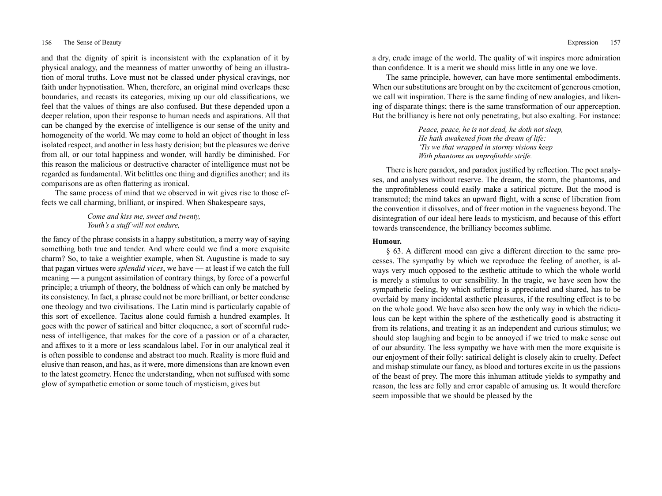and that the dignity of spirit is inconsistent with the explanation of it by physical analogy, and the meanness of matter unworthy of being an illustration of moral truths. Love must not be classed under physical cravings, nor faith under hypnotisation. When, therefore, an original mind overleaps these boundaries, and recasts its categories, mixing up our old classifications, we feel that the values of things are also confused. But these depended upon a deeper relation, upon their response to human needs and aspirations. All that can be changed by the exercise of intelligence is our sense of the unity and homogeneity of the world. We may come to hold an object of thought in less isolated respect, and another in less hasty derision; but the pleasures we derive from all, or our total happiness and wonder, will hardly be diminished. For this reason the malicious or destructive character of intelligence must not be regarded as fundamental. Wit belittles one thing and dignifies another; and its comparisons are as often flattering as ironical.

The same process of mind that we observed in wit gives rise to those effects we call charming, brilliant, or inspired. When Shakespeare says,

> *Come and kiss me, sweet and twenty, Youth's a stuff will not endure,*

the fancy of the phrase consists in a happy substitution, a merry way of saying something both true and tender. And where could we find a more exquisite charm? So, to take a weightier example, when St. Augustine is made to say that pagan virtues were *splendid vices*, we have — at least if we catch the full meaning — a pungent assimilation of contrary things, by force of a powerful principle; a triumph of theory, the boldness of which can only be matched by its consistency. In fact, a phrase could not be more brilliant, or better condense one theology and two civilisations. The Latin mind is particularly capable of this sort of excellence. Tacitus alone could furnish a hundred examples. It goes with the power of satirical and bitter eloquence, a sort of scornful rudeness of intelligence, that makes for the core of a passion or of a character, and affixes to it a more or less scandalous label. For in our analytical zeal it is often possible to condense and abstract too much. Reality is more fluid and elusive than reason, and has, as it were, more dimensions than are known even to the latest geometry. Hence the understanding, when not suffused with some glow of sympathetic emotion or some touch of mysticism, gives but

a dry, crude image of the world. The quality of wit inspires more admiration than confidence. It is a merit we should miss little in any one we love.

The same principle, however, can have more sentimental embodiments. When our substitutions are brought on by the excitement of generous emotion, we call wit inspiration. There is the same finding of new analogies, and likening of disparate things; there is the same transformation of our apperception. But the brilliancy is here not only penetrating, but also exalting. For instance:

> *Peace, peace, he is not dead, he doth not sleep, He hath awakened from the dream of life: 'Tis we that wrapped in stormy visions keep With phantoms an unprofitable strife.*

There is here paradox, and paradox justified by reflection. The poet analyses, and analyses without reserve. The dream, the storm, the phantoms, and the unprofitableness could easily make a satirical picture. But the mood is transmuted; the mind takes an upward flight, with a sense of liberation from the convention it dissolves, and of freer motion in the vagueness beyond. The disintegration of our ideal here leads to mysticism, and because of this effort towards transcendence, the brilliancy becomes sublime.

# **Humour.**

§ 63. A different mood can give a different direction to the same processes. The sympathy by which we reproduce the feeling of another, is always very much opposed to the æsthetic attitude to which the whole world is merely a stimulus to our sensibility. In the tragic, we have seen how the sympathetic feeling, by which suffering is appreciated and shared, has to be overlaid by many incidental æsthetic pleasures, if the resulting effect is to be on the whole good. We have also seen how the only way in which the ridiculous can be kept within the sphere of the æsthetically good is abstracting it from its relations, and treating it as an independent and curious stimulus; we should stop laughing and begin to be annoyed if we tried to make sense out of our absurdity. The less sympathy we have with men the more exquisite is our enjoyment of their folly: satirical delight is closely akin to cruelty. Defect and mishap stimulate our fancy, as blood and tortures excite in us the passions of the beast of prey. The more this inhuman attitude yields to sympathy and reason, the less are folly and error capable of amusing us. It would therefore seem impossible that we should be pleased by the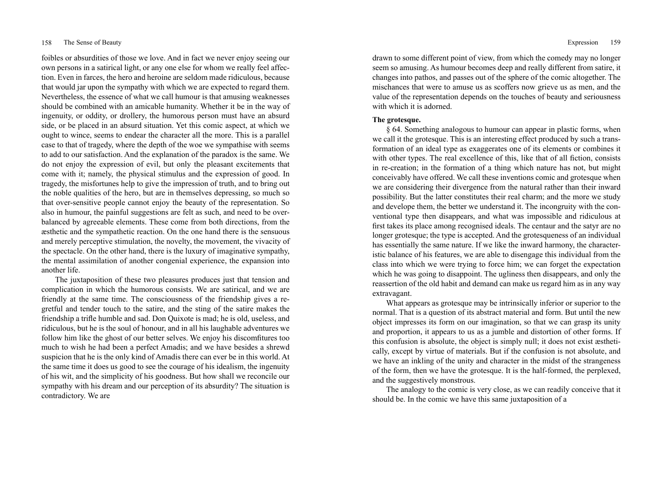foibles or absurdities of those we love. And in fact we never enjoy seeing our own persons in a satirical light, or any one else for whom we really feel affection. Even in farces, the hero and heroine are seldom made ridiculous, because that would jar upon the sympathy with which we are expected to regard them. Nevertheless, the essence of what we call humour is that amusing weaknesses should be combined with an amicable humanity. Whether it be in the way of ingenuity, or oddity, or drollery, the humorous person must have an absurd side, or be placed in an absurd situation. Yet this comic aspect, at which we ought to wince, seems to endear the character all the more. This is a parallel case to that of tragedy, where the depth of the woe we sympathise with seems to add to our satisfaction. And the explanation of the paradox is the same. We do not enjoy the expression of evil, but only the pleasant excitements that come with it; namely, the physical stimulus and the expression of good. In tragedy, the misfortunes help to give the impression of truth, and to bring out the noble qualities of the hero, but are in themselves depressing, so much so that over-sensitive people cannot enjoy the beauty of the representation. So also in humour, the painful suggestions are felt as such, and need to be overbalanced by agreeable elements. These come from both directions, from the æsthetic and the sympathetic reaction. On the one hand there is the sensuous and merely perceptive stimulation, the novelty, the movement, the vivacity of the spectacle. On the other hand, there is the luxury of imaginative sympathy, the mental assimilation of another congenial experience, the expansion into another life.

The juxtaposition of these two pleasures produces just that tension and complication in which the humorous consists. We are satirical, and we are friendly at the same time. The consciousness of the friendship gives a regretful and tender touch to the satire, and the sting of the satire makes the friendship a trifle humble and sad. Don Quixote is mad; he is old, useless, and ridiculous, but he is the soul of honour, and in all his laughable adventures we follow him like the ghost of our better selves. We enjoy his discomfitures too much to wish he had been a perfect Amadis; and we have besides a shrewd suspicion that he is the only kind of Amadis there can ever be in this world. At the same time it does us good to see the courage of his idealism, the ingenuity of his wit, and the simplicity of his goodness. But how shall we reconcile our sympathy with his dream and our perception of its absurdity? The situation is contradictory. We are

drawn to some different point of view, from which the comedy may no longer seem so amusing. As humour becomes deep and really different from satire, it changes into pathos, and passes out of the sphere of the comic altogether. The mischances that were to amuse us as scoffers now grieve us as men, and the value of the representation depends on the touches of beauty and seriousness with which it is adorned.

## **The grotesque.**

§ 64. Something analogous to humour can appear in plastic forms, when we call it the grotesque. This is an interesting effect produced by such a transformation of an ideal type as exaggerates one of its elements or combines it with other types. The real excellence of this, like that of all fiction, consists in re-creation; in the formation of a thing which nature has not, but might conceivably have offered. We call these inventions comic and grotesque when we are considering their divergence from the natural rather than their inward possibility. But the latter constitutes their real charm; and the more we study and develope them, the better we understand it. The incongruity with the conventional type then disappears, and what was impossible and ridiculous at first takes its place among recognised ideals. The centaur and the satyr are no longer grotesque; the type is accepted. And the grotesqueness of an individual has essentially the same nature. If we like the inward harmony, the characteristic balance of his features, we are able to disengage this individual from the class into which we were trying to force him; we can forget the expectation which he was going to disappoint. The ugliness then disappears, and only the reassertion of the old habit and demand can make us regard him as in any way extravagant.

What appears as grotesque may be intrinsically inferior or superior to the normal. That is a question of its abstract material and form. But until the new object impresses its form on our imagination, so that we can grasp its unity and proportion, it appears to us as a jumble and distortion of other forms. If this confusion is absolute, the object is simply null; it does not exist æsthetically, except by virtue of materials. But if the confusion is not absolute, and we have an inkling of the unity and character in the midst of the strangeness of the form, then we have the grotesque. It is the half-formed, the perplexed, and the suggestively monstrous.

The analogy to the comic is very close, as we can readily conceive that it should be. In the comic we have this same juxtaposition of a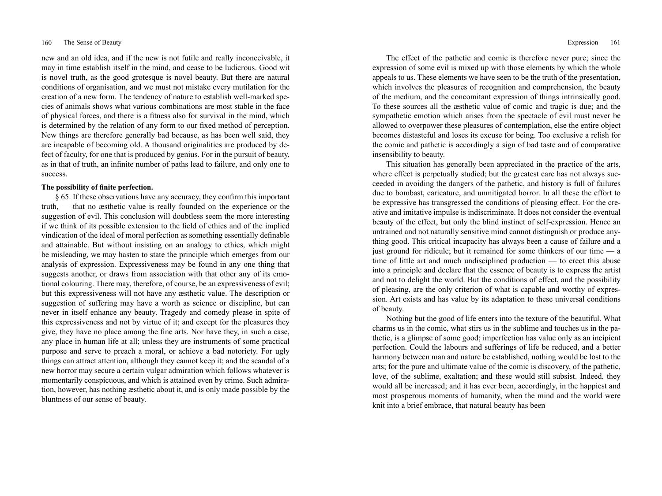new and an old idea, and if the new is not futile and really inconceivable, it may in time establish itself in the mind, and cease to be ludicrous. Good wit is novel truth, as the good grotesque is novel beauty. But there are natural conditions of organisation, and we must not mistake every mutilation for the creation of a new form. The tendency of nature to establish well-marked species of animals shows what various combinations are most stable in the face of physical forces, and there is a fitness also for survival in the mind, which is determined by the relation of any form to our fixed method of perception. New things are therefore generally bad because, as has been well said, they are incapable of becoming old. A thousand originalities are produced by defect of faculty, for one that is produced by genius. For in the pursuit of beauty, as in that of truth, an infinite number of paths lead to failure, and only one to success.

## **The possibility of finite perfection.**

§ 65. If these observations have any accuracy, they confirm this important truth, — that no æsthetic value is really founded on the experience or the suggestion of evil. This conclusion will doubtless seem the more interesting if we think of its possible extension to the field of ethics and of the implied vindication of the ideal of moral perfection as something essentially definable and attainable. But without insisting on an analogy to ethics, which might be misleading, we may hasten to state the principle which emerges from our analysis of expression. Expressiveness may be found in any one thing that suggests another, or draws from association with that other any of its emotional colouring. There may, therefore, of course, be an expressiveness of evil; but this expressiveness will not have any æsthetic value. The description or suggestion of suffering may have a worth as science or discipline, but can never in itself enhance any beauty. Tragedy and comedy please in spite of this expressiveness and not by virtue of it; and except for the pleasures they give, they have no place among the fine arts. Nor have they, in such a case, any place in human life at all; unless they are instruments of some practical purpose and serve to preach a moral, or achieve a bad notoriety. For ugly things can attract attention, although they cannot keep it; and the scandal of a new horror may secure a certain vulgar admiration which follows whatever is momentarily conspicuous, and which is attained even by crime. Such admiration, however, has nothing æsthetic about it, and is only made possible by the bluntness of our sense of beauty.

The effect of the pathetic and comic is therefore never pure; since the expression of some evil is mixed up with those elements by which the whole appeals to us. These elements we have seen to be the truth of the presentation, which involves the pleasures of recognition and comprehension, the beauty of the medium, and the concomitant expression of things intrinsically good. To these sources all the æsthetic value of comic and tragic is due; and the sympathetic emotion which arises from the spectacle of evil must never be allowed to overpower these pleasures of contemplation, else the entire object becomes distasteful and loses its excuse for being. Too exclusive a relish for the comic and pathetic is accordingly a sign of bad taste and of comparative insensibility to beauty.

This situation has generally been appreciated in the practice of the arts, where effect is perpetually studied; but the greatest care has not always succeeded in avoiding the dangers of the pathetic, and history is full of failures due to bombast, caricature, and unmitigated horror. In all these the effort to be expressive has transgressed the conditions of pleasing effect. For the creative and imitative impulse is indiscriminate. It does not consider the eventual beauty of the effect, but only the blind instinct of self-expression. Hence an untrained and not naturally sensitive mind cannot distinguish or produce anything good. This critical incapacity has always been a cause of failure and a just ground for ridicule; but it remained for some thinkers of our time  $-$  a time of little art and much undisciplined production — to erect this abuse into a principle and declare that the essence of beauty is to express the artist and not to delight the world. But the conditions of effect, and the possibility of pleasing, are the only criterion of what is capable and worthy of expression. Art exists and has value by its adaptation to these universal conditions of beauty.

Nothing but the good of life enters into the texture of the beautiful. What charms us in the comic, what stirs us in the sublime and touches us in the pathetic, is a glimpse of some good; imperfection has value only as an incipient perfection. Could the labours and sufferings of life be reduced, and a better harmony between man and nature be established, nothing would be lost to the arts; for the pure and ultimate value of the comic is discovery, of the pathetic, love, of the sublime, exaltation; and these would still subsist. Indeed, they would all be increased; and it has ever been, accordingly, in the happiest and most prosperous moments of humanity, when the mind and the world were knit into a brief embrace, that natural beauty has been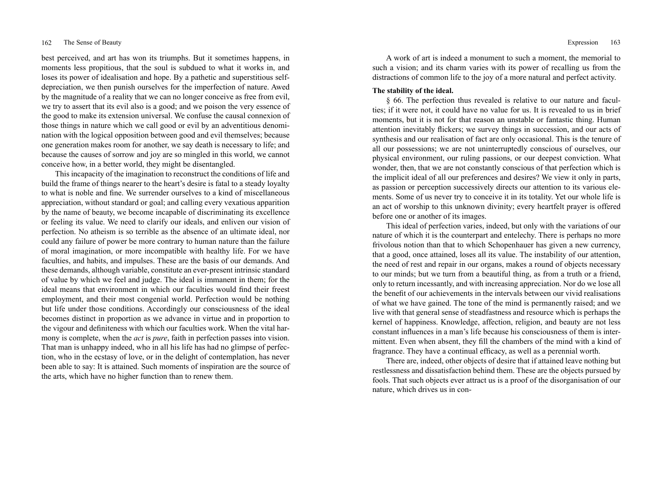best perceived, and art has won its triumphs. But it sometimes happens, in moments less propitious, that the soul is subdued to what it works in, and loses its power of idealisation and hope. By a pathetic and superstitious selfdepreciation, we then punish ourselves for the imperfection of nature. Awed by the magnitude of a reality that we can no longer conceive as free from evil, we try to assert that its evil also is a good; and we poison the very essence of the good to make its extension universal. We confuse the causal connexion of those things in nature which we call good or evil by an adventitious denomination with the logical opposition between good and evil themselves; because one generation makes room for another, we say death is necessary to life; and because the causes of sorrow and joy are so mingled in this world, we cannot conceive how, in a better world, they might be disentangled.

This incapacity of the imagination to reconstruct the conditions of life and build the frame of things nearer to the heart's desire is fatal to a steady loyalty to what is noble and fine. We surrender ourselves to a kind of miscellaneous appreciation, without standard or goal; and calling every vexatious apparition by the name of beauty, we become incapable of discriminating its excellence or feeling its value. We need to clarify our ideals, and enliven our vision of perfection. No atheism is so terrible as the absence of an ultimate ideal, nor could any failure of power be more contrary to human nature than the failure of moral imagination, or more incompatible with healthy life. For we have faculties, and habits, and impulses. These are the basis of our demands. And these demands, although variable, constitute an ever-present intrinsic standard of value by which we feel and judge. The ideal is immanent in them; for the ideal means that environment in which our faculties would find their freest employment, and their most congenial world. Perfection would be nothing but life under those conditions. Accordingly our consciousness of the ideal becomes distinct in proportion as we advance in virtue and in proportion to the vigour and definiteness with which our faculties work. When the vital harmony is complete, when the *act* is *pure*, faith in perfection passes into vision. That man is unhappy indeed, who in all his life has had no glimpse of perfection, who in the ecstasy of love, or in the delight of contemplation, has never been able to say: It is attained. Such moments of inspiration are the source of the arts, which have no higher function than to renew them.

A work of art is indeed a monument to such a moment, the memorial to such a vision; and its charm varies with its power of recalling us from the distractions of common life to the joy of a more natural and perfect activity.

# **The stability of the ideal.**

§ 66. The perfection thus revealed is relative to our nature and faculties; if it were not, it could have no value for us. It is revealed to us in brief moments, but it is not for that reason an unstable or fantastic thing. Human attention inevitably flickers; we survey things in succession, and our acts of synthesis and our realisation of fact are only occasional. This is the tenure of all our possessions; we are not uninterruptedly conscious of ourselves, our physical environment, our ruling passions, or our deepest conviction. What wonder, then, that we are not constantly conscious of that perfection which is the implicit ideal of all our preferences and desires? We view it only in parts, as passion or perception successively directs our attention to its various elements. Some of us never try to conceive it in its totality. Yet our whole life is an act of worship to this unknown divinity; every heartfelt prayer is offered before one or another of its images.

This ideal of perfection varies, indeed, but only with the variations of our nature of which it is the counterpart and entelechy. There is perhaps no more frivolous notion than that to which Schopenhauer has given a new currency, that a good, once attained, loses all its value. The instability of our attention, the need of rest and repair in our organs, makes a round of objects necessary to our minds; but we turn from a beautiful thing, as from a truth or a friend, only to return incessantly, and with increasing appreciation. Nor do we lose all the benefit of our achievements in the intervals between our vivid realisations of what we have gained. The tone of the mind is permanently raised; and we live with that general sense of steadfastness and resource which is perhaps the kernel of happiness. Knowledge, affection, religion, and beauty are not less constant influences in a man's life because his consciousness of them is intermittent. Even when absent, they fill the chambers of the mind with a kind of fragrance. They have a continual efficacy, as well as a perennial worth.

There are, indeed, other objects of desire that if attained leave nothing but restlessness and dissatisfaction behind them. These are the objects pursued by fools. That such objects ever attract us is a proof of the disorganisation of our nature, which drives us in con-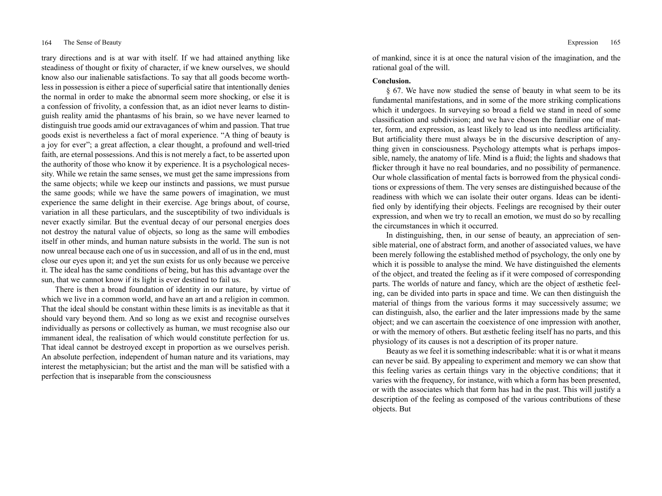trary directions and is at war with itself. If we had attained anything like steadiness of thought or fixity of character, if we knew ourselves, we should know also our inalienable satisfactions. To say that all goods become worthless in possession is either a piece of superficial satire that intentionally denies the normal in order to make the abnormal seem more shocking, or else it is a confession of frivolity, a confession that, as an idiot never learns to distinguish reality amid the phantasms of his brain, so we have never learned to distinguish true goods amid our extravagances of whim and passion. That true goods exist is nevertheless a fact of moral experience. "A thing of beauty is a joy for ever"; a great affection, a clear thought, a profound and well-tried faith, are eternal possessions. And this is not merely a fact, to be asserted upon the authority of those who know it by experience. It is a psychological necessity. While we retain the same senses, we must get the same impressions from the same objects; while we keep our instincts and passions, we must pursue the same goods; while we have the same powers of imagination, we must experience the same delight in their exercise. Age brings about, of course, variation in all these particulars, and the susceptibility of two individuals is never exactly similar. But the eventual decay of our personal energies does not destroy the natural value of objects, so long as the same will embodies itself in other minds, and human nature subsists in the world. The sun is not now unreal because each one of us in succession, and all of us in the end, must close our eyes upon it; and yet the sun exists for us only because we perceive it. The ideal has the same conditions of being, but has this advantage over the sun, that we cannot know if its light is ever destined to fail us.

There is then a broad foundation of identity in our nature, by virtue of which we live in a common world, and have an art and a religion in common. That the ideal should be constant within these limits is as inevitable as that it should vary beyond them. And so long as we exist and recognise ourselves individually as persons or collectively as human, we must recognise also our immanent ideal, the realisation of which would constitute perfection for us. That ideal cannot be destroyed except in proportion as we ourselves perish. An absolute perfection, independent of human nature and its variations, may interest the metaphysician; but the artist and the man will be satisfied with a perfection that is inseparable from the consciousness

of mankind, since it is at once the natural vision of the imagination, and the rational goal of the will.

## **Conclusion.**

§ 67. We have now studied the sense of beauty in what seem to be its fundamental manifestations, and in some of the more striking complications which it undergoes. In surveying so broad a field we stand in need of some classification and subdivision; and we have chosen the familiar one of matter, form, and expression, as least likely to lead us into needless artificiality. But artificiality there must always be in the discursive description of anything given in consciousness. Psychology attempts what is perhaps impossible, namely, the anatomy of life. Mind is a fluid; the lights and shadows that flicker through it have no real boundaries, and no possibility of permanence. Our whole classification of mental facts is borrowed from the physical conditions or expressions of them. The very senses are distinguished because of the readiness with which we can isolate their outer organs. Ideas can be identified only by identifying their objects. Feelings are recognised by their outer expression, and when we try to recall an emotion, we must do so by recalling the circumstances in which it occurred.

In distinguishing, then, in our sense of beauty, an appreciation of sensible material, one of abstract form, and another of associated values, we have been merely following the established method of psychology, the only one by which it is possible to analyse the mind. We have distinguished the elements of the object, and treated the feeling as if it were composed of corresponding parts. The worlds of nature and fancy, which are the object of æsthetic feeling, can be divided into parts in space and time. We can then distinguish the material of things from the various forms it may successively assume; we can distinguish, also, the earlier and the later impressions made by the same object; and we can ascertain the coexistence of one impression with another, or with the memory of others. But æsthetic feeling itself has no parts, and this physiology of its causes is not a description of its proper nature.

Beauty as we feel it is something indescribable: what it is or what it means can never be said. By appealing to experiment and memory we can show that this feeling varies as certain things vary in the objective conditions; that it varies with the frequency, for instance, with which a form has been presented, or with the associates which that form has had in the past. This will justify a description of the feeling as composed of the various contributions of these objects. But